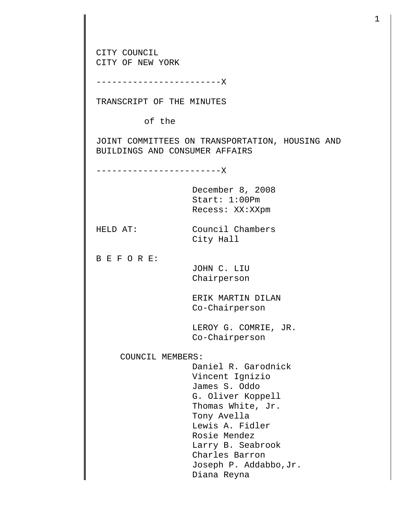CITY COUNCIL CITY OF NEW YORK ------------------------X TRANSCRIPT OF THE MINUTES of the JOINT COMMITTEES ON TRANSPORTATION, HOUSING AND BUILDINGS AND CONSUMER AFFAIRS ------------------------X December 8, 2008 Start: 1:00Pm Recess: XX:XXpm HELD AT: Council Chambers City Hall B E F O R E: JOHN C. LIU Chairperson ERIK MARTIN DILAN Co-Chairperson LEROY G. COMRIE, JR. Co-Chairperson COUNCIL MEMBERS: Daniel R. Garodnick Vincent Ignizio James S. Oddo G. Oliver Koppell Thomas White, Jr. Tony Avella Lewis A. Fidler Rosie Mendez Larry B. Seabrook Charles Barron Joseph P. Addabbo,Jr. Diana Reyna

1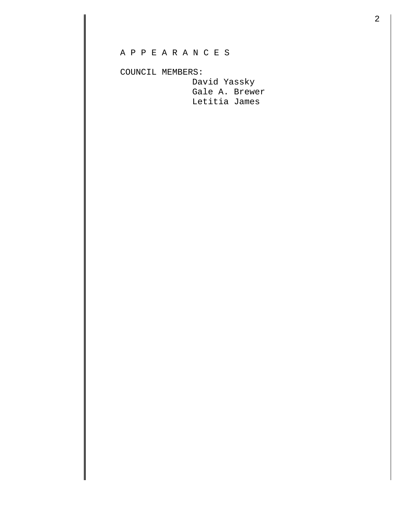COUNCIL MEMBERS:

 David Yassky Gale A. Brewer Letitia James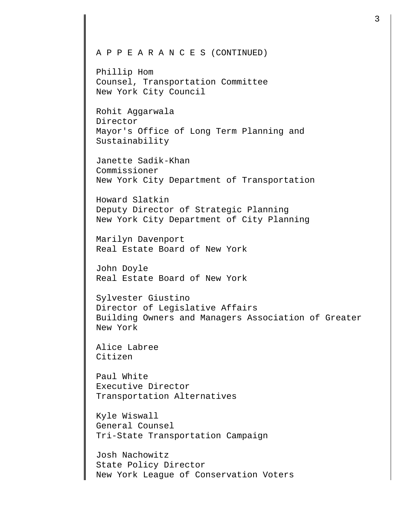## A P P E A R A N C E S (CONTINUED)

Phillip Hom Counsel, Transportation Committee New York City Council

Rohit Aggarwala Director Mayor's Office of Long Term Planning and Sustainability

Janette Sadik-Khan Commissioner New York City Department of Transportation

Howard Slatkin Deputy Director of Strategic Planning New York City Department of City Planning

Marilyn Davenport Real Estate Board of New York

John Doyle Real Estate Board of New York

Sylvester Giustino Director of Legislative Affairs Building Owners and Managers Association of Greater New York

Alice Labree Citizen

Paul White Executive Director Transportation Alternatives

Kyle Wiswall General Counsel Tri-State Transportation Campaign

Josh Nachowitz State Policy Director New York League of Conservation Voters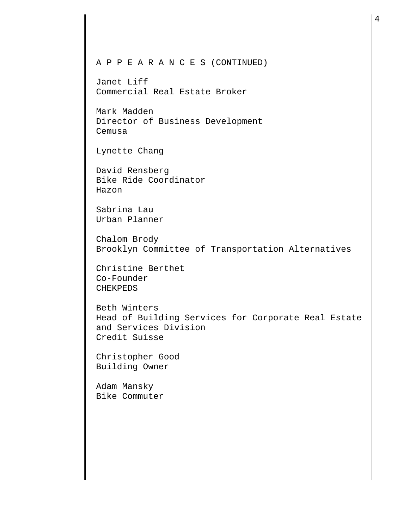## A P P E A R A N C E S (CONTINUED)

Janet Liff Commercial Real Estate Broker

Mark Madden Director of Business Development Cemusa

Lynette Chang

David Rensberg Bike Ride Coordinator Hazon

Sabrina Lau Urban Planner

Chalom Brody Brooklyn Committee of Transportation Alternatives

Christine Berthet Co-Founder CHEKPEDS

Beth Winters Head of Building Services for Corporate Real Estate and Services Division Credit Suisse

Christopher Good Building Owner

Adam Mansky Bike Commuter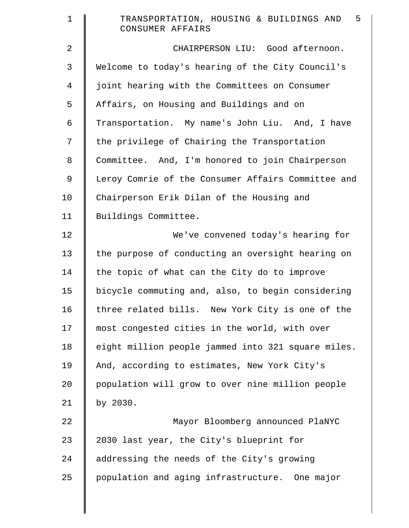| $\mathbf 1$    | 5<br>TRANSPORTATION, HOUSING & BUILDINGS AND<br>CONSUMER AFFAIRS |
|----------------|------------------------------------------------------------------|
| $\overline{2}$ | CHAIRPERSON LIU: Good afternoon.                                 |
| 3              | Welcome to today's hearing of the City Council's                 |
| 4              | joint hearing with the Committees on Consumer                    |
| 5              | Affairs, on Housing and Buildings and on                         |
| 6              | Transportation. My name's John Liu. And, I have                  |
| 7              | the privilege of Chairing the Transportation                     |
| $\,8\,$        | Committee. And, I'm honored to join Chairperson                  |
| 9              | Leroy Comrie of the Consumer Affairs Committee and               |
| 10             | Chairperson Erik Dilan of the Housing and                        |
| 11             | Buildings Committee.                                             |
| 12             | We've convened today's hearing for                               |
| 13             | the purpose of conducting an oversight hearing on                |
| 14             | the topic of what can the City do to improve                     |
| 15             | bicycle commuting and, also, to begin considering                |
| 16             | three related bills. New York City is one of the                 |
| 17             | most congested cities in the world, with over                    |
| 18             | eight million people jammed into 321 square miles.               |
| 19             | And, according to estimates, New York City's                     |
| 20             | population will grow to over nine million people                 |
| 21             | by 2030.                                                         |
| 22             | Mayor Bloomberg announced PlaNYC                                 |
| 23             | 2030 last year, the City's blueprint for                         |
| 24             | addressing the needs of the City's growing                       |
| 25             | population and aging infrastructure. One major                   |
|                |                                                                  |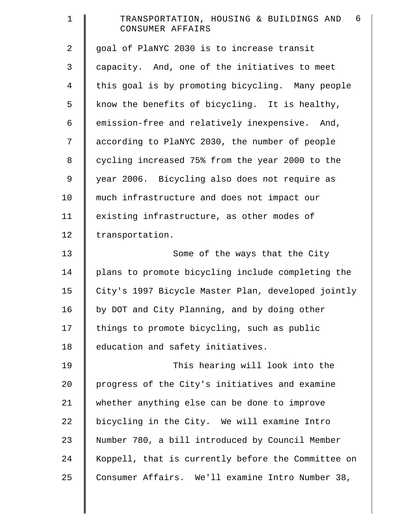| $\mathbf 1$    | 6<br>TRANSPORTATION, HOUSING & BUILDINGS AND<br>CONSUMER AFFAIRS |
|----------------|------------------------------------------------------------------|
| $\overline{a}$ | goal of PlaNYC 2030 is to increase transit                       |
| 3              | capacity. And, one of the initiatives to meet                    |
| $\overline{4}$ | this goal is by promoting bicycling. Many people                 |
| 5              | know the benefits of bicycling. It is healthy,                   |
| 6              | emission-free and relatively inexpensive. And,                   |
| 7              | according to PlaNYC 2030, the number of people                   |
| 8              | cycling increased 75% from the year 2000 to the                  |
| 9              | year 2006. Bicycling also does not require as                    |
| 10             | much infrastructure and does not impact our                      |
| 11             | existing infrastructure, as other modes of                       |
| 12             | transportation.                                                  |
| 13             | Some of the ways that the City                                   |
| 14             | plans to promote bicycling include completing the                |
| 15             | City's 1997 Bicycle Master Plan, developed jointly               |
| 16             | by DOT and City Planning, and by doing other                     |
| 17             | things to promote bicycling, such as public                      |
| 18             | education and safety initiatives.                                |
| 19             | This hearing will look into the                                  |
| 20             | progress of the City's initiatives and examine                   |
| 21             | whether anything else can be done to improve                     |
| 22             | bicycling in the City. We will examine Intro                     |
| 23             | Number 780, a bill introduced by Council Member                  |
| 24             | Koppell, that is currently before the Committee on               |
| 25             | Consumer Affairs. We'll examine Intro Number 38,                 |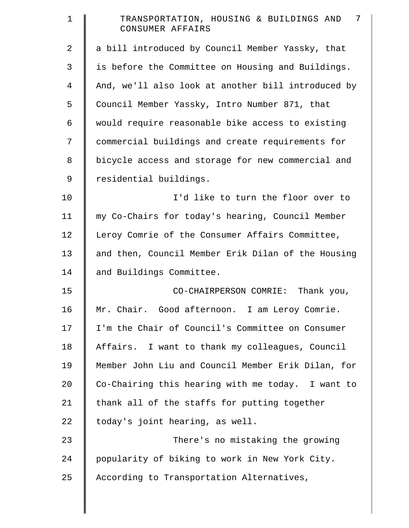| $\mathbf 1$    | 7<br>TRANSPORTATION, HOUSING & BUILDINGS AND<br>CONSUMER AFFAIRS |
|----------------|------------------------------------------------------------------|
| 2              | a bill introduced by Council Member Yassky, that                 |
| 3              | is before the Committee on Housing and Buildings.                |
| $\overline{4}$ | And, we'll also look at another bill introduced by               |
| 5              | Council Member Yassky, Intro Number 871, that                    |
| 6              | would require reasonable bike access to existing                 |
| 7              | commercial buildings and create requirements for                 |
| 8              | bicycle access and storage for new commercial and                |
| 9              | residential buildings.                                           |
| 10             | I'd like to turn the floor over to                               |
| 11             | my Co-Chairs for today's hearing, Council Member                 |
| 12             | Leroy Comrie of the Consumer Affairs Committee,                  |
| 13             | and then, Council Member Erik Dilan of the Housing               |
| 14             | and Buildings Committee.                                         |
| 15             | CO-CHAIRPERSON COMRIE: Thank you,                                |
| 16             | Mr. Chair. Good afternoon. I am Leroy Comrie.                    |
| 17             | I'm the Chair of Council's Committee on Consumer                 |
| 18             | Affairs. I want to thank my colleagues, Council                  |
| 19             | Member John Liu and Council Member Erik Dilan, for               |
| 20             | Co-Chairing this hearing with me today. I want to                |
| 21             | thank all of the staffs for putting together                     |
| 22             | today's joint hearing, as well.                                  |
| 23             | There's no mistaking the growing                                 |
| 24             | popularity of biking to work in New York City.                   |
| 25             | According to Transportation Alternatives,                        |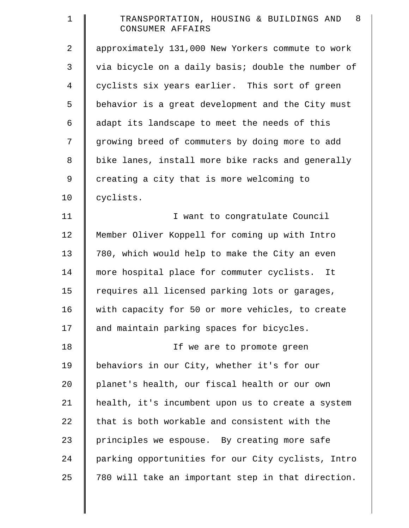| $\mathbf 1$    | 8<br>TRANSPORTATION, HOUSING & BUILDINGS AND<br>CONSUMER AFFAIRS |
|----------------|------------------------------------------------------------------|
| $\overline{a}$ | approximately 131,000 New Yorkers commute to work                |
| 3              | via bicycle on a daily basis; double the number of               |
| $\overline{4}$ | cyclists six years earlier. This sort of green                   |
| 5              | behavior is a great development and the City must                |
| 6              | adapt its landscape to meet the needs of this                    |
| 7              | growing breed of commuters by doing more to add                  |
| 8              | bike lanes, install more bike racks and generally                |
| 9              | creating a city that is more welcoming to                        |
| 10             | cyclists.                                                        |
| 11             | I want to congratulate Council                                   |
| 12             | Member Oliver Koppell for coming up with Intro                   |
| 13             | 780, which would help to make the City an even                   |
| 14             | more hospital place for commuter cyclists. It                    |
| 15             | requires all licensed parking lots or garages,                   |
| 16             | with capacity for 50 or more vehicles, to create                 |
| 17             | and maintain parking spaces for bicycles.                        |
| 18             | If we are to promote green                                       |
| 19             | behaviors in our City, whether it's for our                      |
| 20             | planet's health, our fiscal health or our own                    |
| 21             | health, it's incumbent upon us to create a system                |
| 22             | that is both workable and consistent with the                    |
| 23             | principles we espouse. By creating more safe                     |
| 24             | parking opportunities for our City cyclists, Intro               |
| 25             | 780 will take an important step in that direction.               |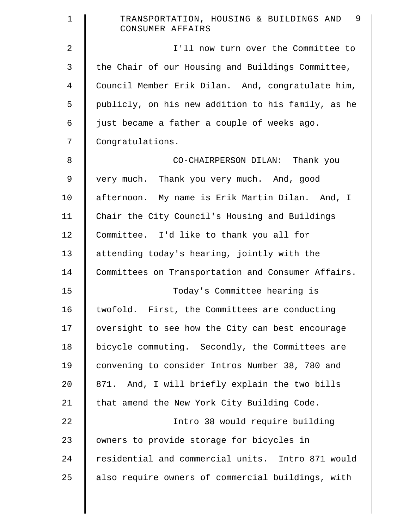| $\mathbf 1$    | 9<br>TRANSPORTATION, HOUSING & BUILDINGS AND<br>CONSUMER AFFAIRS |
|----------------|------------------------------------------------------------------|
| $\overline{a}$ | I'll now turn over the Committee to                              |
| 3              | the Chair of our Housing and Buildings Committee,                |
| 4              | Council Member Erik Dilan. And, congratulate him,                |
| 5              | publicly, on his new addition to his family, as he               |
| 6              | just became a father a couple of weeks ago.                      |
| 7              | Congratulations.                                                 |
| 8              | CO-CHAIRPERSON DILAN: Thank you                                  |
| 9              | very much. Thank you very much. And, good                        |
| 10             | afternoon. My name is Erik Martin Dilan. And, I                  |
| 11             | Chair the City Council's Housing and Buildings                   |
| 12             | Committee. I'd like to thank you all for                         |
| 13             | attending today's hearing, jointly with the                      |
| 14             | Committees on Transportation and Consumer Affairs.               |
| 15             | Today's Committee hearing is                                     |
| 16             | twofold. First, the Committees are conducting                    |
| 17             | oversight to see how the City can best encourage                 |
| 18             | bicycle commuting. Secondly, the Committees are                  |
| 19             | convening to consider Intros Number 38, 780 and                  |
| 20             | 871. And, I will briefly explain the two bills                   |
| 21             | that amend the New York City Building Code.                      |
| 22             | Intro 38 would require building                                  |
| 23             | owners to provide storage for bicycles in                        |
| 24             | residential and commercial units. Intro 871 would                |
| 25             | also require owners of commercial buildings, with                |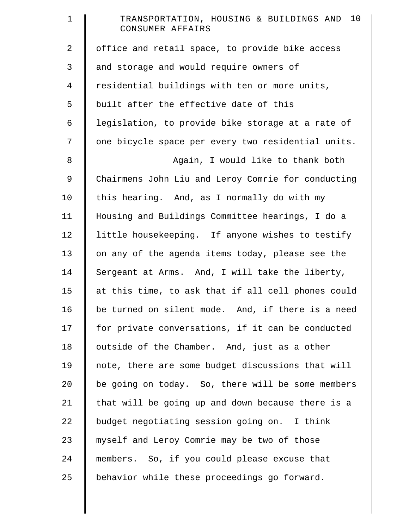| $\mathbf 1$    | TRANSPORTATION, HOUSING & BUILDINGS AND 10<br>CONSUMER AFFAIRS |
|----------------|----------------------------------------------------------------|
| $\overline{2}$ | office and retail space, to provide bike access                |
| 3              | and storage and would require owners of                        |
| $\overline{4}$ | residential buildings with ten or more units,                  |
| 5              | built after the effective date of this                         |
| 6              | legislation, to provide bike storage at a rate of              |
| 7              | one bicycle space per every two residential units.             |
| $\,8\,$        | Again, I would like to thank both                              |
| 9              | Chairmens John Liu and Leroy Comrie for conducting             |
| 10             | this hearing. And, as I normally do with my                    |
| 11             | Housing and Buildings Committee hearings, I do a               |
| 12             | little housekeeping. If anyone wishes to testify               |
| 13             | on any of the agenda items today, please see the               |
| 14             | Sergeant at Arms. And, I will take the liberty,                |
| 15             | at this time, to ask that if all cell phones could             |
| 16             | be turned on silent mode. And, if there is a need              |
| 17             | for private conversations, if it can be conducted              |
| 18             | outside of the Chamber. And, just as a other                   |
| 19             | note, there are some budget discussions that will              |
| 20             | be going on today. So, there will be some members              |
| 21             | that will be going up and down because there is a              |
| 22             | budget negotiating session going on. I think                   |
| 23             | myself and Leroy Comrie may be two of those                    |
| 24             | members. So, if you could please excuse that                   |
| 25             | behavior while these proceedings go forward.                   |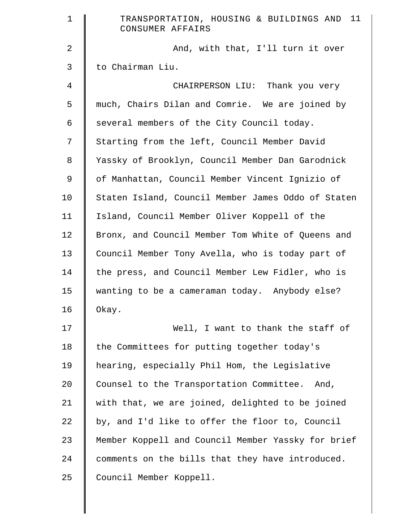| $\mathbf 1$ | TRANSPORTATION, HOUSING & BUILDINGS AND 11<br>CONSUMER AFFAIRS |
|-------------|----------------------------------------------------------------|
| 2           | And, with that, I'll turn it over                              |
| 3           | to Chairman Liu.                                               |
| 4           | CHAIRPERSON LIU: Thank you very                                |
| 5           | much, Chairs Dilan and Comrie. We are joined by                |
| 6           | several members of the City Council today.                     |
| 7           | Starting from the left, Council Member David                   |
| 8           | Yassky of Brooklyn, Council Member Dan Garodnick               |
| 9           | of Manhattan, Council Member Vincent Ignizio of                |
| 10          | Staten Island, Council Member James Oddo of Staten             |
| 11          | Island, Council Member Oliver Koppell of the                   |
| 12          | Bronx, and Council Member Tom White of Queens and              |
| 13          | Council Member Tony Avella, who is today part of               |
| 14          | the press, and Council Member Lew Fidler, who is               |
| 15          | wanting to be a cameraman today. Anybody else?                 |
| 16          | Okay.                                                          |
| 17          | Well, I want to thank the staff of                             |
| 18          | the Committees for putting together today's                    |
| 19          | hearing, especially Phil Hom, the Legislative                  |
| 20          | Counsel to the Transportation Committee. And,                  |
| 21          | with that, we are joined, delighted to be joined               |
| 22          | by, and I'd like to offer the floor to, Council                |
| 23          | Member Koppell and Council Member Yassky for brief             |
| 24          | comments on the bills that they have introduced.               |
| 25          | Council Member Koppell.                                        |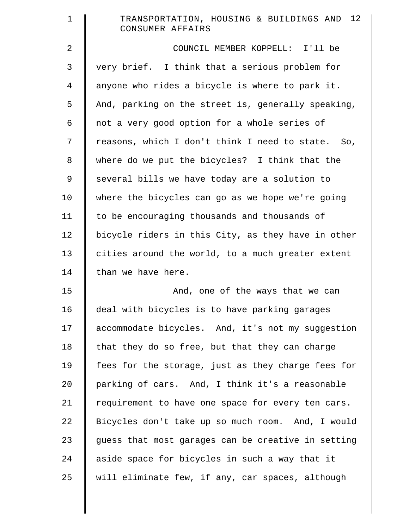| $\mathbf 1$    | TRANSPORTATION, HOUSING & BUILDINGS AND 12<br>CONSUMER AFFAIRS |
|----------------|----------------------------------------------------------------|
| 2              | COUNCIL MEMBER KOPPELL: I'll be                                |
| 3              | very brief. I think that a serious problem for                 |
| $\overline{4}$ | anyone who rides a bicycle is where to park it.                |
| 5              | And, parking on the street is, generally speaking,             |
| 6              | not a very good option for a whole series of                   |
| 7              | reasons, which I don't think I need to state. So,              |
| 8              | where do we put the bicycles? I think that the                 |
| 9              | several bills we have today are a solution to                  |
| 10             | where the bicycles can go as we hope we're going               |
| 11             | to be encouraging thousands and thousands of                   |
| 12             | bicycle riders in this City, as they have in other             |
| 13             | cities around the world, to a much greater extent              |
| 14             | than we have here.                                             |
| 15             | And, one of the ways that we can                               |
| 16             | deal with bicycles is to have parking garages                  |
| 17             | accommodate bicycles. And, it's not my suggestion              |
| 18             | that they do so free, but that they can charge                 |
| 19             | fees for the storage, just as they charge fees for             |
| 20             | parking of cars. And, I think it's a reasonable                |
| 21             | requirement to have one space for every ten cars.              |
| 22             | Bicycles don't take up so much room. And, I would              |
| 23             | guess that most garages can be creative in setting             |
| 24             | aside space for bicycles in such a way that it                 |
| 25             | will eliminate few, if any, car spaces, although               |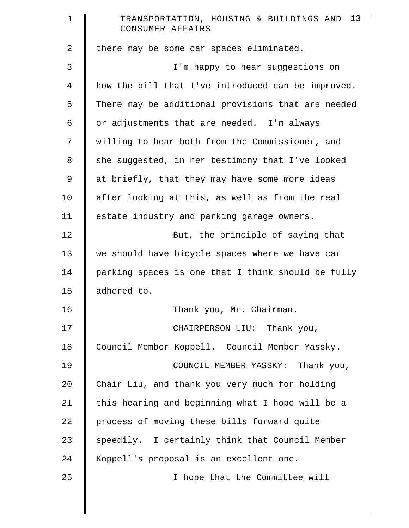| $\mathbf 1$    | TRANSPORTATION, HOUSING & BUILDINGS AND 13<br>CONSUMER AFFAIRS |
|----------------|----------------------------------------------------------------|
| $\overline{2}$ | there may be some car spaces eliminated.                       |
| 3              | I'm happy to hear suggestions on                               |
| $\overline{4}$ | how the bill that I've introduced can be improved.             |
| 5              | There may be additional provisions that are needed             |
| 6              | or adjustments that are needed. I'm always                     |
| 7              | willing to hear both from the Commissioner, and                |
| 8              | she suggested, in her testimony that I've looked               |
| 9              | at briefly, that they may have some more ideas                 |
| 10             | after looking at this, as well as from the real                |
| 11             | estate industry and parking garage owners.                     |
| 12             | But, the principle of saying that                              |
| 13             | we should have bicycle spaces where we have car                |
| 14             | parking spaces is one that I think should be fully             |
| 15             | adhered to.                                                    |
| 16             | Thank you, Mr. Chairman.                                       |
| 17             | CHAIRPERSON LIU: Thank you,                                    |
| 18             | Council Member Koppell. Council Member Yassky.                 |
| 19             | COUNCIL MEMBER YASSKY: Thank you,                              |
| 20             | Chair Liu, and thank you very much for holding                 |
| 21             | this hearing and beginning what I hope will be a               |
| 22             | process of moving these bills forward quite                    |
| 23             | speedily. I certainly think that Council Member                |
| 24             | Koppell's proposal is an excellent one.                        |
| 25             | I hope that the Committee will                                 |
|                |                                                                |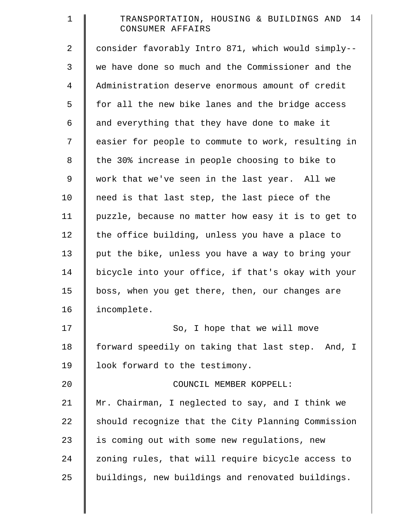| $\mathbf 1$    | TRANSPORTATION, HOUSING & BUILDINGS AND 14<br>CONSUMER AFFAIRS |
|----------------|----------------------------------------------------------------|
| $\overline{2}$ | consider favorably Intro 871, which would simply--             |
| 3              | we have done so much and the Commissioner and the              |
| $\overline{4}$ | Administration deserve enormous amount of credit               |
| 5              | for all the new bike lanes and the bridge access               |
| 6              | and everything that they have done to make it                  |
| 7              | easier for people to commute to work, resulting in             |
| 8              | the 30% increase in people choosing to bike to                 |
| 9              | work that we've seen in the last year. All we                  |
| 10             | need is that last step, the last piece of the                  |
| 11             | puzzle, because no matter how easy it is to get to             |
| 12             | the office building, unless you have a place to                |
| 13             | put the bike, unless you have a way to bring your              |
| 14             | bicycle into your office, if that's okay with your             |
| 15             | boss, when you get there, then, our changes are                |
| 16             | incomplete.                                                    |
| 17             | So, I hope that we will move                                   |
| 18             | forward speedily on taking that last step. And, I              |
| 19             | look forward to the testimony.                                 |
| 20             | COUNCIL MEMBER KOPPELL:                                        |
| 21             | Mr. Chairman, I neglected to say, and I think we               |
| 22             | should recognize that the City Planning Commission             |
| 23             | is coming out with some new regulations, new                   |
| 24             | zoning rules, that will require bicycle access to              |
| 25             | buildings, new buildings and renovated buildings.              |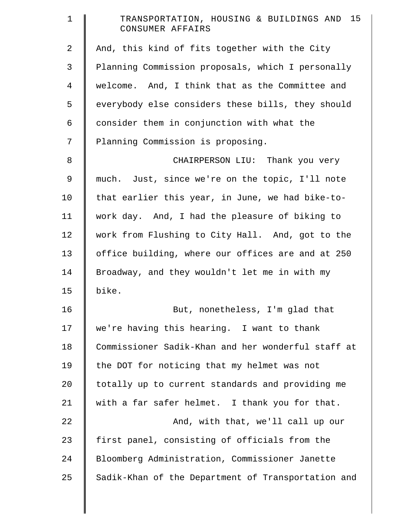| $\mathbf 1$ | TRANSPORTATION, HOUSING & BUILDINGS AND 15<br>CONSUMER AFFAIRS |
|-------------|----------------------------------------------------------------|
| 2           | And, this kind of fits together with the City                  |
| 3           | Planning Commission proposals, which I personally              |
| 4           | welcome. And, I think that as the Committee and                |
| 5           | everybody else considers these bills, they should              |
| 6           | consider them in conjunction with what the                     |
| 7           | Planning Commission is proposing.                              |
| $\,8\,$     | CHAIRPERSON LIU: Thank you very                                |
| 9           | much. Just, since we're on the topic, I'll note                |
| 10          | that earlier this year, in June, we had bike-to-               |
| 11          | work day. And, I had the pleasure of biking to                 |
| 12          | work from Flushing to City Hall. And, got to the               |
| 13          | office building, where our offices are and at 250              |
| 14          | Broadway, and they wouldn't let me in with my                  |
| 15          | bike.                                                          |
| 16          | But, nonetheless, I'm glad that                                |
| 17          | we're having this hearing. I want to thank                     |
| 18          | Commissioner Sadik-Khan and her wonderful staff at             |
| 19          | the DOT for noticing that my helmet was not                    |
| 20          | totally up to current standards and providing me               |
| 21          | with a far safer helmet. I thank you for that.                 |
| 22          | And, with that, we'll call up our                              |
| 23          | first panel, consisting of officials from the                  |
| 24          | Bloomberg Administration, Commissioner Janette                 |
| 25          | Sadik-Khan of the Department of Transportation and             |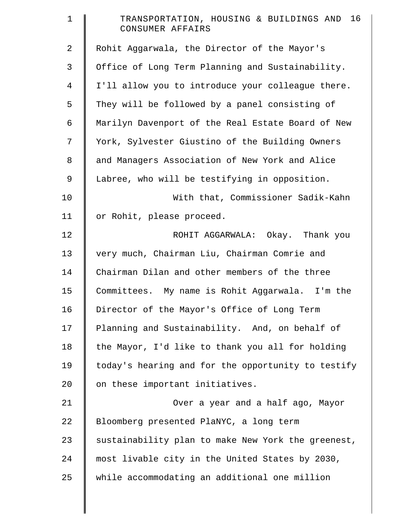| $\mathbf 1$    | TRANSPORTATION, HOUSING & BUILDINGS AND 16<br>CONSUMER AFFAIRS |
|----------------|----------------------------------------------------------------|
| $\overline{2}$ | Rohit Aggarwala, the Director of the Mayor's                   |
| 3              | Office of Long Term Planning and Sustainability.               |
| $\overline{4}$ | I'll allow you to introduce your colleague there.              |
| 5              | They will be followed by a panel consisting of                 |
| 6              | Marilyn Davenport of the Real Estate Board of New              |
| 7              | York, Sylvester Giustino of the Building Owners                |
| 8              | and Managers Association of New York and Alice                 |
| 9              | Labree, who will be testifying in opposition.                  |
| 10             | With that, Commissioner Sadik-Kahn                             |
| 11             | or Rohit, please proceed.                                      |
| 12             | ROHIT AGGARWALA: Okay. Thank you                               |
| 13             | very much, Chairman Liu, Chairman Comrie and                   |
| 14             | Chairman Dilan and other members of the three                  |
| 15             | Committees. My name is Rohit Aggarwala. I'm the                |
| 16             | Director of the Mayor's Office of Long Term                    |
| 17             | Planning and Sustainability. And, on behalf of                 |
| 18             | the Mayor, I'd like to thank you all for holding               |
| 19             | today's hearing and for the opportunity to testify             |
| 20             | on these important initiatives.                                |
| 21             | Over a year and a half ago, Mayor                              |
| 22             | Bloomberg presented PlaNYC, a long term                        |
| 23             | sustainability plan to make New York the greenest,             |
| 24             | most livable city in the United States by 2030,                |
| 25             | while accommodating an additional one million                  |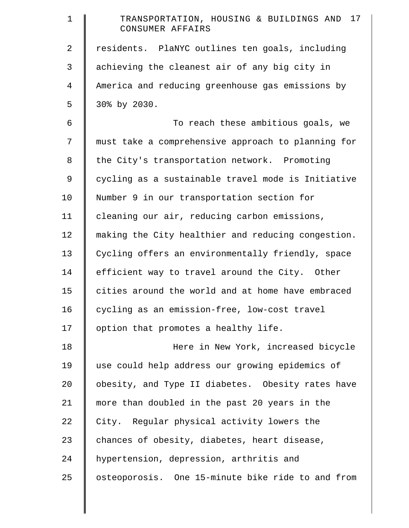| $\mathbf 1$    | 17<br>TRANSPORTATION, HOUSING & BUILDINGS AND<br>CONSUMER AFFAIRS |
|----------------|-------------------------------------------------------------------|
| $\overline{a}$ | residents. PlaNYC outlines ten goals, including                   |
| 3              | achieving the cleanest air of any big city in                     |
| $\overline{4}$ | America and reducing greenhouse gas emissions by                  |
| 5              | 30% by 2030.                                                      |
| 6              | To reach these ambitious goals, we                                |
| 7              | must take a comprehensive approach to planning for                |
| 8              | the City's transportation network. Promoting                      |
| 9              | cycling as a sustainable travel mode is Initiative                |
| 10             | Number 9 in our transportation section for                        |
| 11             | cleaning our air, reducing carbon emissions,                      |
| 12             | making the City healthier and reducing congestion.                |
| 13             | Cycling offers an environmentally friendly, space                 |
| 14             | efficient way to travel around the City. Other                    |
| 15             | cities around the world and at home have embraced                 |
| 16             | cycling as an emission-free, low-cost travel                      |
| 17             | option that promotes a healthy life.                              |
| 18             | Here in New York, increased bicycle                               |
| 19             | use could help address our growing epidemics of                   |
| $20 \,$        | obesity, and Type II diabetes. Obesity rates have                 |
| 21             | more than doubled in the past 20 years in the                     |
| 22             | City. Regular physical activity lowers the                        |
| 23             | chances of obesity, diabetes, heart disease,                      |
| 24             | hypertension, depression, arthritis and                           |
| 25             | osteoporosis. One 15-minute bike ride to and from                 |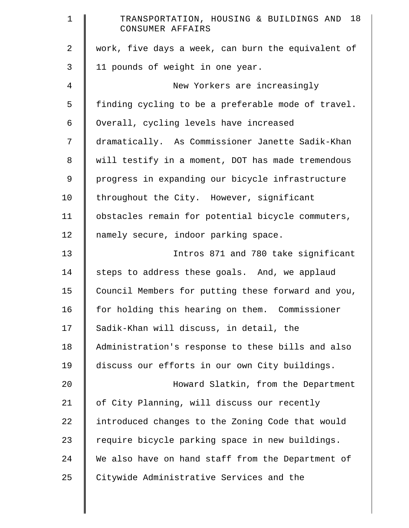| $\mathbf 1$    | TRANSPORTATION, HOUSING & BUILDINGS AND 18<br>CONSUMER AFFAIRS |
|----------------|----------------------------------------------------------------|
| $\overline{a}$ | work, five days a week, can burn the equivalent of             |
| 3              | 11 pounds of weight in one year.                               |
| $\overline{4}$ | New Yorkers are increasingly                                   |
| 5              | finding cycling to be a preferable mode of travel.             |
| 6              | Overall, cycling levels have increased                         |
| 7              | dramatically. As Commissioner Janette Sadik-Khan               |
| 8              | will testify in a moment, DOT has made tremendous              |
| 9              | progress in expanding our bicycle infrastructure               |
| 10             | throughout the City. However, significant                      |
| 11             | obstacles remain for potential bicycle commuters,              |
| 12             | namely secure, indoor parking space.                           |
| 13             | Intros 871 and 780 take significant                            |
| 14             | steps to address these goals. And, we applaud                  |
| 15             | Council Members for putting these forward and you,             |
| 16             | for holding this hearing on them. Commissioner                 |
| 17             | Sadik-Khan will discuss, in detail, the                        |
| 18             | Administration's response to these bills and also              |
| 19             | discuss our efforts in our own City buildings.                 |
| 20             | Howard Slatkin, from the Department                            |
| 21             | of City Planning, will discuss our recently                    |
| 22             | introduced changes to the Zoning Code that would               |
| 23             | require bicycle parking space in new buildings.                |
| 24             | We also have on hand staff from the Department of              |
| 25             | Citywide Administrative Services and the                       |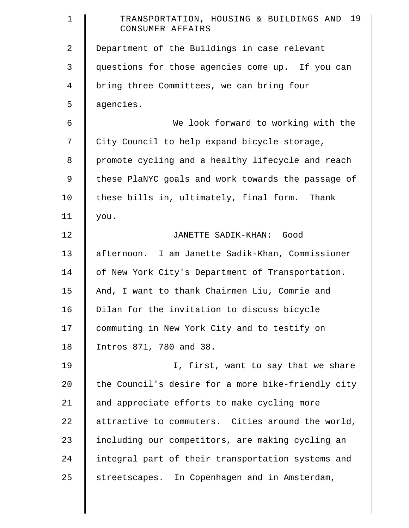| $\mathbf 1$    | 19<br>TRANSPORTATION, HOUSING & BUILDINGS AND<br>CONSUMER AFFAIRS |
|----------------|-------------------------------------------------------------------|
| 2              | Department of the Buildings in case relevant                      |
| 3              | questions for those agencies come up. If you can                  |
| $\overline{4}$ | bring three Committees, we can bring four                         |
| 5              | agencies.                                                         |
| 6              | We look forward to working with the                               |
| 7              | City Council to help expand bicycle storage,                      |
| 8              | promote cycling and a healthy lifecycle and reach                 |
| 9              | these PlaNYC goals and work towards the passage of                |
| 10             | these bills in, ultimately, final form. Thank                     |
| 11             | you.                                                              |
| 12             | JANETTE SADIK-KHAN:<br>Good                                       |
| 13             | afternoon. I am Janette Sadik-Khan, Commissioner                  |
| 14             | of New York City's Department of Transportation.                  |
| 15             | And, I want to thank Chairmen Liu, Comrie and                     |
| 16             | Dilan for the invitation to discuss bicycle                       |
| 17             | commuting in New York City and to testify on                      |
| 18             | Intros 871, 780 and 38.                                           |
| 19             | I, first, want to say that we share                               |
| 20             | the Council's desire for a more bike-friendly city                |
| 21             | and appreciate efforts to make cycling more                       |
| 22             | attractive to commuters. Cities around the world,                 |
| 23             | including our competitors, are making cycling an                  |
| 24             | integral part of their transportation systems and                 |
| 25             | streetscapes. In Copenhagen and in Amsterdam,                     |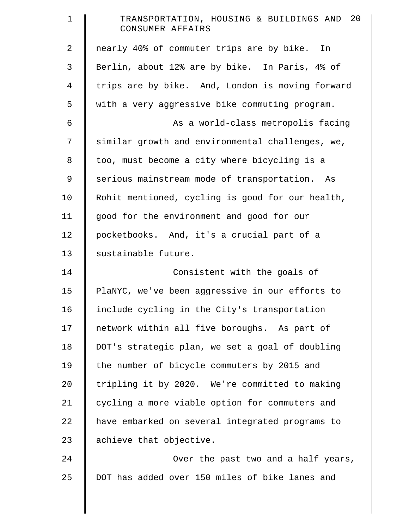| $\mathbf 1$    | 20<br>TRANSPORTATION, HOUSING & BUILDINGS AND<br>CONSUMER AFFAIRS |
|----------------|-------------------------------------------------------------------|
| 2              | nearly 40% of commuter trips are by bike. In                      |
| 3              | Berlin, about 12% are by bike. In Paris, 4% of                    |
| $\overline{4}$ | trips are by bike. And, London is moving forward                  |
| 5              | with a very aggressive bike commuting program.                    |
| 6              | As a world-class metropolis facing                                |
| 7              | similar growth and environmental challenges, we,                  |
| 8              | too, must become a city where bicycling is a                      |
| $\mathsf 9$    | serious mainstream mode of transportation. As                     |
| 10             | Rohit mentioned, cycling is good for our health,                  |
| 11             | good for the environment and good for our                         |
| 12             | pocketbooks. And, it's a crucial part of a                        |
| 13             | sustainable future.                                               |
| 14             | Consistent with the goals of                                      |
| 15             | PlaNYC, we've been aggressive in our efforts to                   |
| 16             | include cycling in the City's transportation                      |
| 17             | network within all five boroughs. As part of                      |
| 18             | DOT's strategic plan, we set a goal of doubling                   |
| 19             | the number of bicycle commuters by 2015 and                       |
| 20             | tripling it by 2020. We're committed to making                    |
| 21             | cycling a more viable option for commuters and                    |
| 22             | have embarked on several integrated programs to                   |
| 23             | achieve that objective.                                           |
| 24             | Over the past two and a half years,                               |
| 25             | DOT has added over 150 miles of bike lanes and                    |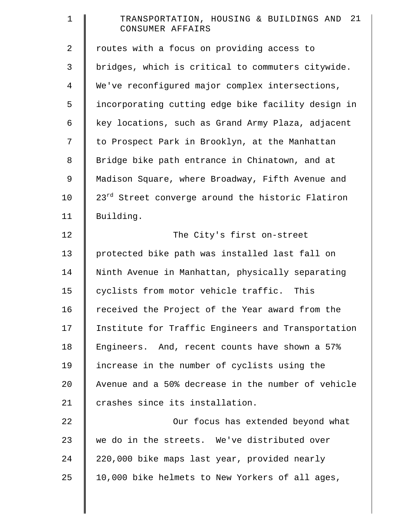| $\mathbf 1$    | TRANSPORTATION, HOUSING & BUILDINGS AND 21<br>CONSUMER AFFAIRS |
|----------------|----------------------------------------------------------------|
| $\overline{a}$ | routes with a focus on providing access to                     |
| 3              | bridges, which is critical to commuters citywide.              |
| $\overline{4}$ | We've reconfigured major complex intersections,                |
| 5              | incorporating cutting edge bike facility design in             |
| 6              | key locations, such as Grand Army Plaza, adjacent              |
| 7              | to Prospect Park in Brooklyn, at the Manhattan                 |
| 8              | Bridge bike path entrance in Chinatown, and at                 |
| $\mathsf 9$    | Madison Square, where Broadway, Fifth Avenue and               |
| 10             | 23 <sup>rd</sup> Street converge around the historic Flatiron  |
| 11             | Building.                                                      |
| 12             | The City's first on-street                                     |
| 13             | protected bike path was installed last fall on                 |
| 14             | Ninth Avenue in Manhattan, physically separating               |
| 15             | cyclists from motor vehicle traffic. This                      |
| 16             | received the Project of the Year award from the                |
| 17             | Institute for Traffic Engineers and Transportation             |
| 18             | Engineers. And, recent counts have shown a 57%                 |
| 19             | increase in the number of cyclists using the                   |
| 20             | Avenue and a 50% decrease in the number of vehicle             |
| 21             | crashes since its installation.                                |
| 22             | Our focus has extended beyond what                             |
| 23             | we do in the streets. We've distributed over                   |
| 24             | 220,000 bike maps last year, provided nearly                   |
| 25             | 10,000 bike helmets to New Yorkers of all ages,                |
|                |                                                                |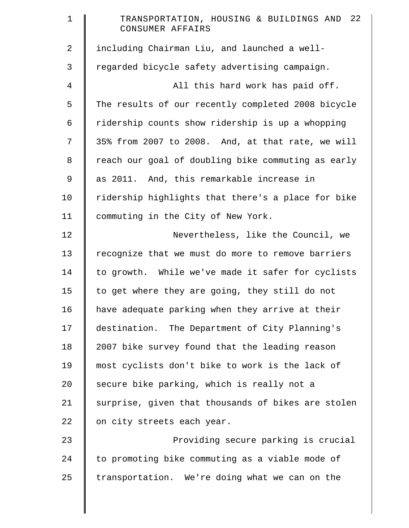| $\mathbf 1$    | TRANSPORTATION, HOUSING & BUILDINGS AND 22<br>CONSUMER AFFAIRS |
|----------------|----------------------------------------------------------------|
| $\overline{a}$ | including Chairman Liu, and launched a well-                   |
| 3              | regarded bicycle safety advertising campaign.                  |
| 4              | All this hard work has paid off.                               |
| 5              | The results of our recently completed 2008 bicycle             |
| 6              | ridership counts show ridership is up a whopping               |
| 7              | 35% from 2007 to 2008. And, at that rate, we will              |
| 8              | reach our goal of doubling bike commuting as early             |
| 9              | as 2011. And, this remarkable increase in                      |
| 10             | ridership highlights that there's a place for bike             |
| 11             | commuting in the City of New York.                             |
| 12             | Nevertheless, like the Council, we                             |
| 13             | recognize that we must do more to remove barriers              |
| 14             | to growth. While we've made it safer for cyclists              |
| 15             | to get where they are going, they still do not                 |
| 16             | have adequate parking when they arrive at their                |
| 17             | destination. The Department of City Planning's                 |
| 18             | 2007 bike survey found that the leading reason                 |
| 19             | most cyclists don't bike to work is the lack of                |
| 20             | secure bike parking, which is really not a                     |
| 21             | surprise, given that thousands of bikes are stolen             |
| 22             | on city streets each year.                                     |
| 23             | Providing secure parking is crucial                            |
| 24             | to promoting bike commuting as a viable mode of                |
| 25             | transportation. We're doing what we can on the                 |
|                |                                                                |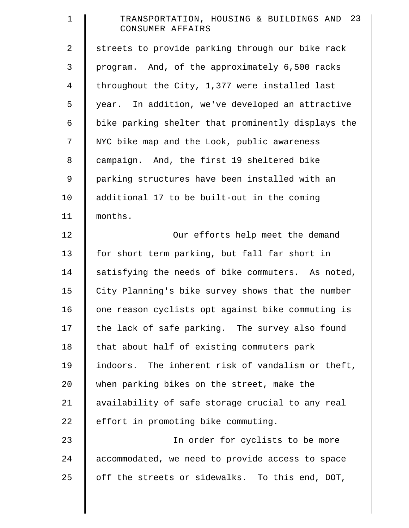| $\mathbf 1$ | TRANSPORTATION, HOUSING & BUILDINGS AND 23<br>CONSUMER AFFAIRS |
|-------------|----------------------------------------------------------------|
| 2           | streets to provide parking through our bike rack               |
| 3           | program. And, of the approximately 6,500 racks                 |
| 4           | throughout the City, 1,377 were installed last                 |
| 5           | year. In addition, we've developed an attractive               |
| 6           | bike parking shelter that prominently displays the             |
| 7           | NYC bike map and the Look, public awareness                    |
| $\,8\,$     | campaign. And, the first 19 sheltered bike                     |
| 9           | parking structures have been installed with an                 |
| 10          | additional 17 to be built-out in the coming                    |
| 11          | months.                                                        |
| 12          | Our efforts help meet the demand                               |
| 13          | for short term parking, but fall far short in                  |
| 14          | satisfying the needs of bike commuters. As noted,              |
| 15          | City Planning's bike survey shows that the number              |
| 16          | one reason cyclists opt against bike commuting is              |
| 17          | the lack of safe parking. The survey also found                |
| 18          | that about half of existing commuters park                     |
| 19          | indoors. The inherent risk of vandalism or theft,              |
| 20          | when parking bikes on the street, make the                     |
| 21          | availability of safe storage crucial to any real               |
| 22          | effort in promoting bike commuting.                            |
| 23          | In order for cyclists to be more                               |
| 24          | accommodated, we need to provide access to space               |
| 25          | off the streets or sidewalks. To this end, DOT,                |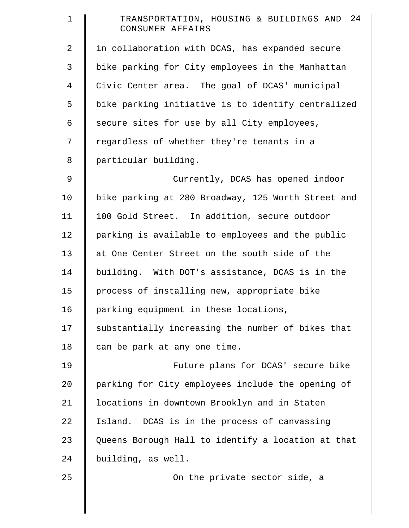| $\mathbf 1$    | TRANSPORTATION, HOUSING & BUILDINGS AND 24<br>CONSUMER AFFAIRS |
|----------------|----------------------------------------------------------------|
| $\overline{2}$ | in collaboration with DCAS, has expanded secure                |
| 3              | bike parking for City employees in the Manhattan               |
| 4              | Civic Center area. The goal of DCAS' municipal                 |
| 5              | bike parking initiative is to identify centralized             |
| 6              | secure sites for use by all City employees,                    |
| 7              | regardless of whether they're tenants in a                     |
| 8              | particular building.                                           |
| 9              | Currently, DCAS has opened indoor                              |
| 10             | bike parking at 280 Broadway, 125 Worth Street and             |
| 11             | 100 Gold Street. In addition, secure outdoor                   |
| 12             | parking is available to employees and the public               |
| 13             | at One Center Street on the south side of the                  |
| 14             | building. With DOT's assistance, DCAS is in the                |
| 15             | process of installing new, appropriate bike                    |
| 16             | parking equipment in these locations,                          |
| 17             | substantially increasing the number of bikes that              |
| 18             | can be park at any one time.                                   |
| 19             | Future plans for DCAS' secure bike                             |
| 20             | parking for City employees include the opening of              |
| 21             | locations in downtown Brooklyn and in Staten                   |
| 22             | Island. DCAS is in the process of canvassing                   |
| 23             | Queens Borough Hall to identify a location at that             |
| 24             | building, as well.                                             |
| 25             | On the private sector side, a                                  |
|                |                                                                |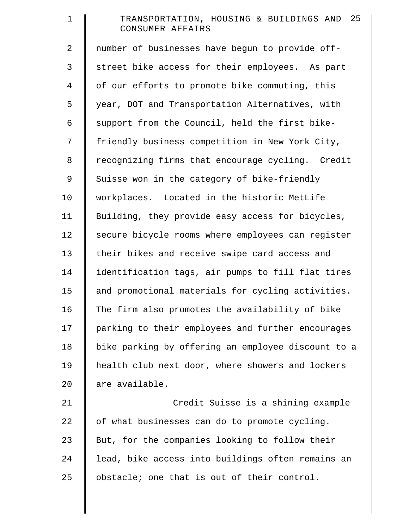| $\mathbf 1$    | TRANSPORTATION, HOUSING & BUILDINGS AND 25<br>CONSUMER AFFAIRS |
|----------------|----------------------------------------------------------------|
| $\overline{a}$ | number of businesses have begun to provide off-                |
| 3              | street bike access for their employees. As part                |
| $\overline{4}$ | of our efforts to promote bike commuting, this                 |
| 5              | year, DOT and Transportation Alternatives, with                |
| 6              | support from the Council, held the first bike-                 |
| 7              | friendly business competition in New York City,                |
| 8              | recognizing firms that encourage cycling. Credit               |
| $\mathsf 9$    | Suisse won in the category of bike-friendly                    |
| 10             | workplaces. Located in the historic MetLife                    |
| 11             | Building, they provide easy access for bicycles,               |
| 12             | secure bicycle rooms where employees can register              |
| 13             | their bikes and receive swipe card access and                  |
| 14             | identification tags, air pumps to fill flat tires              |
| 15             | and promotional materials for cycling activities.              |
| 16             | The firm also promotes the availability of bike                |
| 17             | parking to their employees and further encourages              |
| 18             | bike parking by offering an employee discount to a             |
| 19             | health club next door, where showers and lockers               |
| 20             | are available.                                                 |
| 21             | Credit Suisse is a shining example                             |
| 22             | of what businesses can do to promote cycling.                  |
| 23             | But, for the companies looking to follow their                 |
| 24             | lead, bike access into buildings often remains an              |
| 25             | obstacle; one that is out of their control.                    |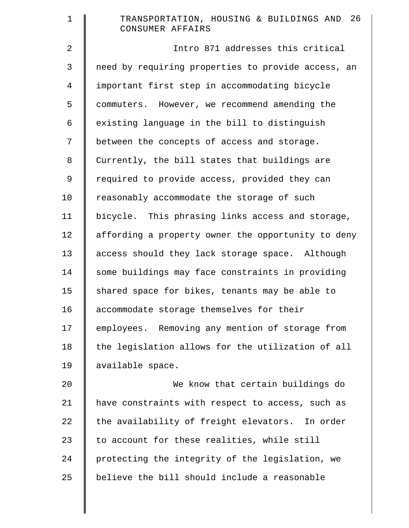| $\mathbf 1$ | 26<br>TRANSPORTATION, HOUSING & BUILDINGS AND<br>CONSUMER AFFAIRS |
|-------------|-------------------------------------------------------------------|
| 2           | Intro 871 addresses this critical                                 |
| 3           | need by requiring properties to provide access, an                |
| 4           | important first step in accommodating bicycle                     |
| 5           | commuters. However, we recommend amending the                     |
| 6           | existing language in the bill to distinguish                      |
| 7           | between the concepts of access and storage.                       |
| 8           | Currently, the bill states that buildings are                     |
| 9           | required to provide access, provided they can                     |
| 10          | reasonably accommodate the storage of such                        |
| 11          | bicycle. This phrasing links access and storage,                  |
| 12          | affording a property owner the opportunity to deny                |
| 13          | access should they lack storage space. Although                   |
| 14          | some buildings may face constraints in providing                  |
| 15          | shared space for bikes, tenants may be able to                    |
| 16          | accommodate storage themselves for their                          |
| 17          | employees. Removing any mention of storage from                   |
| 18          | the legislation allows for the utilization of all                 |
| 19          | available space.                                                  |
| 20          | We know that certain buildings do                                 |
| 21          | have constraints with respect to access, such as                  |
| 22          | the availability of freight elevators. In order                   |
| 23          | to account for these realities, while still                       |
| 24          | protecting the integrity of the legislation, we                   |
| 25          | believe the bill should include a reasonable                      |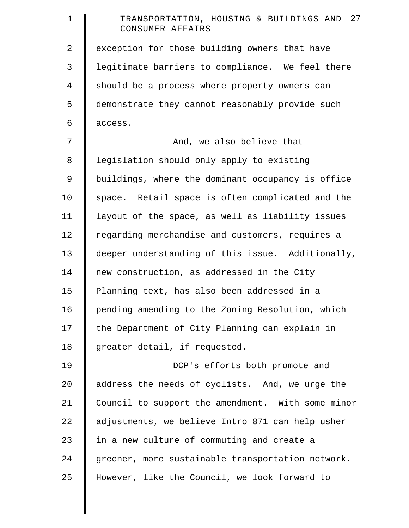| $\mathbf 1$    | 27<br>TRANSPORTATION, HOUSING & BUILDINGS AND<br>CONSUMER AFFAIRS |
|----------------|-------------------------------------------------------------------|
| $\overline{a}$ | exception for those building owners that have                     |
| 3              | legitimate barriers to compliance. We feel there                  |
| 4              | should be a process where property owners can                     |
| 5              | demonstrate they cannot reasonably provide such                   |
| 6              | access.                                                           |
| 7              | And, we also believe that                                         |
| 8              | legislation should only apply to existing                         |
| $\mathsf 9$    | buildings, where the dominant occupancy is office                 |
| 10             | space. Retail space is often complicated and the                  |
| 11             | layout of the space, as well as liability issues                  |
| 12             | regarding merchandise and customers, requires a                   |
| 13             | deeper understanding of this issue. Additionally,                 |
| 14             | new construction, as addressed in the City                        |
| 15             | Planning text, has also been addressed in a                       |
| 16             | pending amending to the Zoning Resolution, which                  |
| 17             | the Department of City Planning can explain in                    |
| 18             | greater detail, if requested.                                     |
| 19             | DCP's efforts both promote and                                    |
| 20             | address the needs of cyclists. And, we urge the                   |
| 21             | Council to support the amendment. With some minor                 |
| 22             | adjustments, we believe Intro 871 can help usher                  |
| 23             | in a new culture of commuting and create a                        |
| 24             | greener, more sustainable transportation network.                 |
| 25             | However, like the Council, we look forward to                     |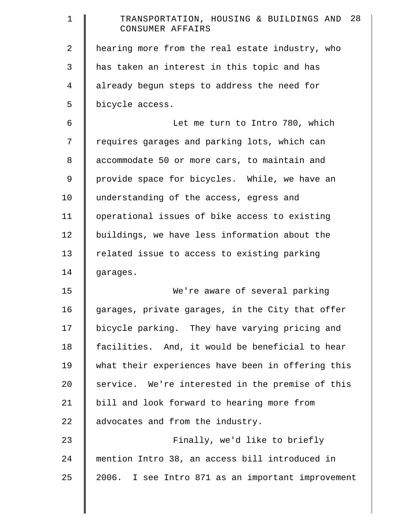| $\mathbf 1$    | TRANSPORTATION, HOUSING & BUILDINGS AND 28<br>CONSUMER AFFAIRS |
|----------------|----------------------------------------------------------------|
| $\overline{2}$ | hearing more from the real estate industry, who                |
| 3              | has taken an interest in this topic and has                    |
| 4              | already begun steps to address the need for                    |
| 5              | bicycle access.                                                |
| 6              | Let me turn to Intro 780, which                                |
| 7              | requires garages and parking lots, which can                   |
| 8              | accommodate 50 or more cars, to maintain and                   |
| 9              | provide space for bicycles. While, we have an                  |
| 10             | understanding of the access, egress and                        |
| 11             | operational issues of bike access to existing                  |
| 12             | buildings, we have less information about the                  |
| 13             | related issue to access to existing parking                    |
| 14             | garages.                                                       |
| 15             | We're aware of several parking                                 |
| 16             | garages, private garages, in the City that offer               |
| 17             | bicycle parking. They have varying pricing and                 |
| 18             | facilities. And, it would be beneficial to hear                |
| 19             | what their experiences have been in offering this              |
| 20             | service. We're interested in the premise of this               |
| 21             | bill and look forward to hearing more from                     |
| 22             | advocates and from the industry.                               |
| 23             | Finally, we'd like to briefly                                  |
| 24             | mention Intro 38, an access bill introduced in                 |
| 25             | 2006. I see Intro 871 as an important improvement              |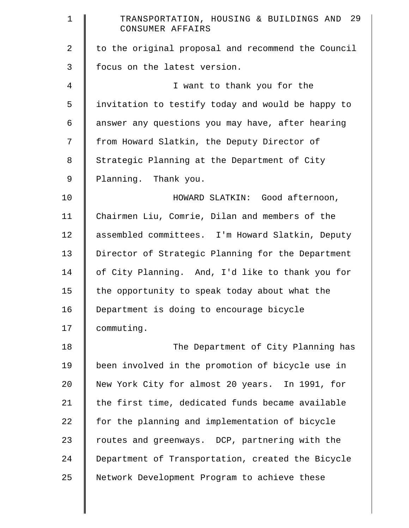| $\mathbf 1$ | TRANSPORTATION, HOUSING & BUILDINGS AND 29<br>CONSUMER AFFAIRS |
|-------------|----------------------------------------------------------------|
| 2           | to the original proposal and recommend the Council             |
| 3           | focus on the latest version.                                   |
| 4           | I want to thank you for the                                    |
| 5           | invitation to testify today and would be happy to              |
| 6           | answer any questions you may have, after hearing               |
| 7           | from Howard Slatkin, the Deputy Director of                    |
| 8           | Strategic Planning at the Department of City                   |
| 9           | Planning. Thank you.                                           |
| 10          | HOWARD SLATKIN: Good afternoon,                                |
| 11          | Chairmen Liu, Comrie, Dilan and members of the                 |
| 12          | assembled committees. I'm Howard Slatkin, Deputy               |
| 13          | Director of Strategic Planning for the Department              |
| 14          | of City Planning. And, I'd like to thank you for               |
| 15          | the opportunity to speak today about what the                  |
| 16          | Department is doing to encourage bicycle                       |
| 17          | commuting.                                                     |
| 18          | The Department of City Planning has                            |
| 19          | been involved in the promotion of bicycle use in               |
| 20          | New York City for almost 20 years. In 1991, for                |
| 21          | the first time, dedicated funds became available               |
| 22          | for the planning and implementation of bicycle                 |
| 23          | routes and greenways. DCP, partnering with the                 |
| 24          | Department of Transportation, created the Bicycle              |
| 25          | Network Development Program to achieve these                   |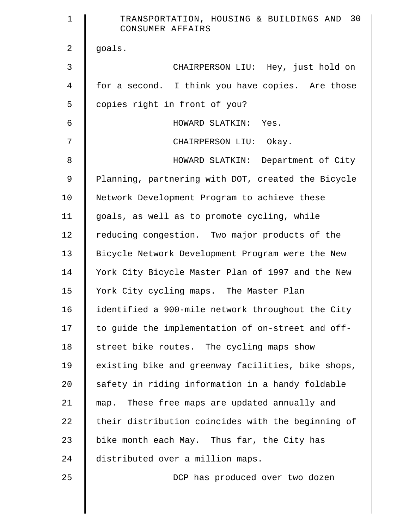| $\mathbf 1$    | 30<br>TRANSPORTATION, HOUSING & BUILDINGS AND<br>CONSUMER AFFAIRS |
|----------------|-------------------------------------------------------------------|
| 2              | goals.                                                            |
| 3              | CHAIRPERSON LIU: Hey, just hold on                                |
| $\overline{4}$ | for a second. I think you have copies. Are those                  |
| 5              | copies right in front of you?                                     |
| 6              | HOWARD SLATKIN:<br>Yes.                                           |
| 7              | CHAIRPERSON LIU: Okay.                                            |
| 8              | HOWARD SLATKIN: Department of City                                |
| 9              | Planning, partnering with DOT, created the Bicycle                |
| 10             | Network Development Program to achieve these                      |
| 11             | goals, as well as to promote cycling, while                       |
| 12             | reducing congestion. Two major products of the                    |
| 13             | Bicycle Network Development Program were the New                  |
| 14             | York City Bicycle Master Plan of 1997 and the New                 |
| 15             | York City cycling maps. The Master Plan                           |
| 16             | identified a 900-mile network throughout the City                 |
| 17             | to guide the implementation of on-street and off-                 |
| 18             | street bike routes. The cycling maps show                         |
| 19             | existing bike and greenway facilities, bike shops,                |
| 20             | safety in riding information in a handy foldable                  |
| 21             | map. These free maps are updated annually and                     |
| 22             | their distribution coincides with the beginning of                |
| 23             | bike month each May. Thus far, the City has                       |
| 24             | distributed over a million maps.                                  |
| 25             | DCP has produced over two dozen                                   |
|                |                                                                   |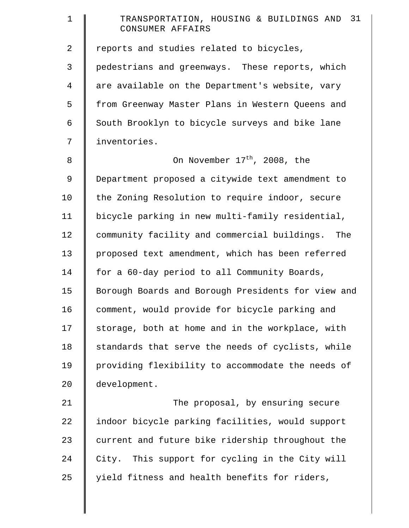| $\mathbf 1$    | TRANSPORTATION, HOUSING & BUILDINGS AND 31<br>CONSUMER AFFAIRS |
|----------------|----------------------------------------------------------------|
| 2              | reports and studies related to bicycles,                       |
| 3              | pedestrians and greenways. These reports, which                |
| $\overline{4}$ | are available on the Department's website, vary                |
| 5              | from Greenway Master Plans in Western Queens and               |
| 6              | South Brooklyn to bicycle surveys and bike lane                |
| 7              | inventories.                                                   |
| 8              | On November 17 <sup>th</sup> , 2008, the                       |
| 9              | Department proposed a citywide text amendment to               |
| 10             | the Zoning Resolution to require indoor, secure                |
| 11             | bicycle parking in new multi-family residential,               |
| 12             | community facility and commercial buildings.<br>The            |
| 13             | proposed text amendment, which has been referred               |
| 14             | for a 60-day period to all Community Boards,                   |
| 15             | Borough Boards and Borough Presidents for view and             |
| 16             | comment, would provide for bicycle parking and                 |
| 17             | storage, both at home and in the workplace, with               |
| 18             | standards that serve the needs of cyclists, while              |
| 19             | providing flexibility to accommodate the needs of              |
| 20             | development.                                                   |
| 21             | The proposal, by ensuring secure                               |
| 22             | indoor bicycle parking facilities, would support               |
| 23             | current and future bike ridership throughout the               |
| 24             | City. This support for cycling in the City will                |
| 25             | yield fitness and health benefits for riders,                  |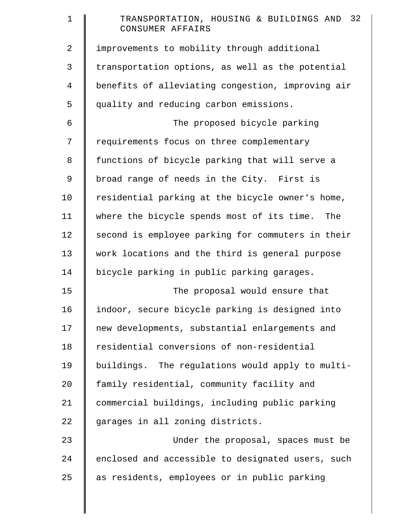| $\mathbf 1$    | TRANSPORTATION, HOUSING & BUILDINGS AND 32<br>CONSUMER AFFAIRS |
|----------------|----------------------------------------------------------------|
| 2              | improvements to mobility through additional                    |
| 3              | transportation options, as well as the potential               |
| $\overline{4}$ | benefits of alleviating congestion, improving air              |
| 5              | quality and reducing carbon emissions.                         |
| 6              | The proposed bicycle parking                                   |
| 7              | requirements focus on three complementary                      |
| 8              | functions of bicycle parking that will serve a                 |
| $\mathsf 9$    | broad range of needs in the City. First is                     |
| 10             | residential parking at the bicycle owner's home,               |
| 11             | where the bicycle spends most of its time. The                 |
| 12             | second is employee parking for commuters in their              |
| 13             | work locations and the third is general purpose                |
| 14             | bicycle parking in public parking garages.                     |
| 15             | The proposal would ensure that                                 |
| 16             | indoor, secure bicycle parking is designed into                |
| 17             | new developments, substantial enlargements and                 |
| 18             | residential conversions of non-residential                     |
| 19             | buildings. The regulations would apply to multi-               |
| 20             | family residential, community facility and                     |
| 21             | commercial buildings, including public parking                 |
| 22             | garages in all zoning districts.                               |
| 23             | Under the proposal, spaces must be                             |
| 24             | enclosed and accessible to designated users, such              |
| 25             | as residents, employees or in public parking                   |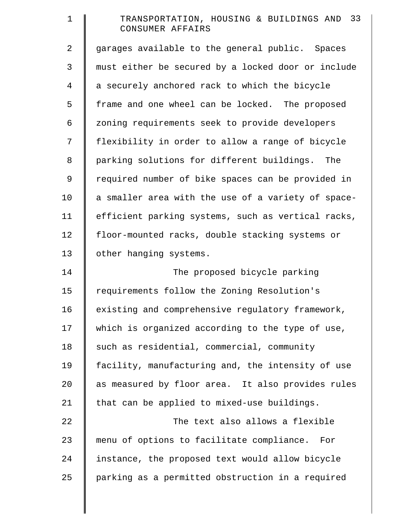| $\mathbf 1$    | TRANSPORTATION, HOUSING & BUILDINGS AND 33<br>CONSUMER AFFAIRS |
|----------------|----------------------------------------------------------------|
| $\overline{a}$ | garages available to the general public. Spaces                |
| 3              | must either be secured by a locked door or include             |
| 4              | a securely anchored rack to which the bicycle                  |
| 5              | frame and one wheel can be locked. The proposed                |
| 6              | zoning requirements seek to provide developers                 |
| 7              | flexibility in order to allow a range of bicycle               |
| $8\,$          | parking solutions for different buildings.<br>The              |
| 9              | required number of bike spaces can be provided in              |
| 10             | a smaller area with the use of a variety of space-             |
| 11             | efficient parking systems, such as vertical racks,             |
| 12             | floor-mounted racks, double stacking systems or                |
| 13             | other hanging systems.                                         |
| 14             | The proposed bicycle parking                                   |
| 15             | requirements follow the Zoning Resolution's                    |
| 16             | existing and comprehensive regulatory framework,               |
| 17             | which is organized according to the type of use,               |
| 18             | such as residential, commercial, community                     |
| 19             | facility, manufacturing and, the intensity of use              |
| 20             | as measured by floor area. It also provides rules              |
| 21             | that can be applied to mixed-use buildings.                    |
| 22             | The text also allows a flexible                                |
| 23             | menu of options to facilitate compliance.<br>For               |
| 24             | instance, the proposed text would allow bicycle                |
| 25             | parking as a permitted obstruction in a required               |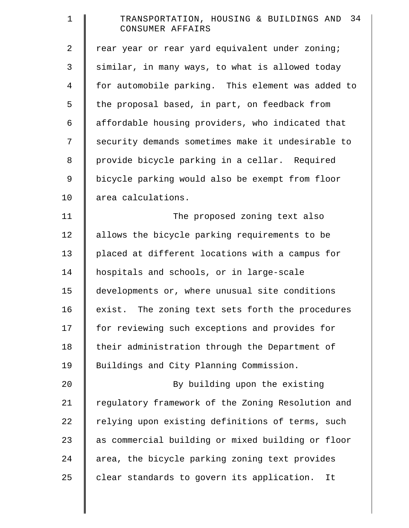| $\mathbf 1$    | TRANSPORTATION, HOUSING & BUILDINGS AND 34<br>CONSUMER AFFAIRS |
|----------------|----------------------------------------------------------------|
| 2              | rear year or rear yard equivalent under zoning;                |
| 3              | similar, in many ways, to what is allowed today                |
| $\overline{4}$ | for automobile parking. This element was added to              |
| 5              | the proposal based, in part, on feedback from                  |
| 6              | affordable housing providers, who indicated that               |
| 7              | security demands sometimes make it undesirable to              |
| 8              | provide bicycle parking in a cellar. Required                  |
| 9              | bicycle parking would also be exempt from floor                |
| 10             | area calculations.                                             |
| 11             | The proposed zoning text also                                  |
| 12             | allows the bicycle parking requirements to be                  |
| 13             | placed at different locations with a campus for                |
| 14             | hospitals and schools, or in large-scale                       |
| 15             | developments or, where unusual site conditions                 |
| 16             | exist. The zoning text sets forth the procedures               |
| 17             | for reviewing such exceptions and provides for                 |
| 18             | their administration through the Department of                 |
| 19             | Buildings and City Planning Commission.                        |
| 20             | By building upon the existing                                  |
| 21             | regulatory framework of the Zoning Resolution and              |
| 22             | relying upon existing definitions of terms, such               |
| 23             | as commercial building or mixed building or floor              |
| 24             | area, the bicycle parking zoning text provides                 |
| 25             | clear standards to govern its application.<br>It               |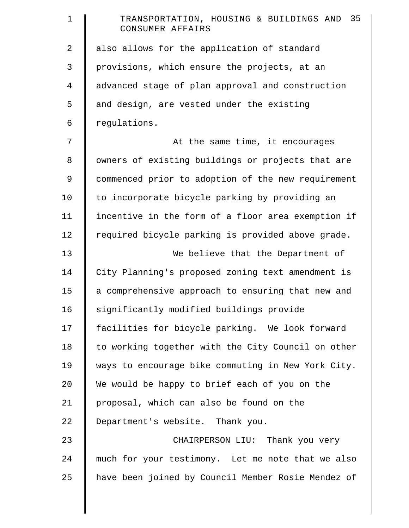| $\mathbf 1$ | 35<br>TRANSPORTATION, HOUSING & BUILDINGS AND<br>CONSUMER AFFAIRS |
|-------------|-------------------------------------------------------------------|
| 2           | also allows for the application of standard                       |
| 3           | provisions, which ensure the projects, at an                      |
| 4           | advanced stage of plan approval and construction                  |
| 5           | and design, are vested under the existing                         |
| 6           | regulations.                                                      |
| 7           | At the same time, it encourages                                   |
| $8\,$       | owners of existing buildings or projects that are                 |
| 9           | commenced prior to adoption of the new requirement                |
| 10          | to incorporate bicycle parking by providing an                    |
| 11          | incentive in the form of a floor area exemption if                |
| 12          | required bicycle parking is provided above grade.                 |
| 13          | We believe that the Department of                                 |
| 14          | City Planning's proposed zoning text amendment is                 |
| 15          | a comprehensive approach to ensuring that new and                 |
| 16          | significantly modified buildings provide                          |
| 17          | facilities for bicycle parking. We look forward                   |
| 18          | to working together with the City Council on other                |
| 19          | ways to encourage bike commuting in New York City.                |
| 20          | We would be happy to brief each of you on the                     |
| 21          | proposal, which can also be found on the                          |
| 22          | Department's website. Thank you.                                  |
| 23          | CHAIRPERSON LIU: Thank you very                                   |
| 24          | much for your testimony. Let me note that we also                 |
| 25          | have been joined by Council Member Rosie Mendez of                |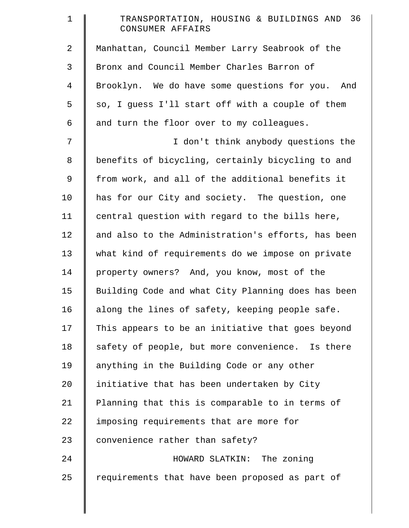| $\mathbf 1$    | TRANSPORTATION, HOUSING & BUILDINGS AND 36<br>CONSUMER AFFAIRS |
|----------------|----------------------------------------------------------------|
| $\overline{2}$ | Manhattan, Council Member Larry Seabrook of the                |
| 3              | Bronx and Council Member Charles Barron of                     |
| $\overline{4}$ | Brooklyn. We do have some questions for you. And               |
| 5              | so, I guess I'll start off with a couple of them               |
| 6              | and turn the floor over to my colleagues.                      |
| 7              | I don't think anybody questions the                            |
| $\,8\,$        | benefits of bicycling, certainly bicycling to and              |
| $\mathsf 9$    | from work, and all of the additional benefits it               |
| 10             | has for our City and society. The question, one                |
| 11             | central question with regard to the bills here,                |
| 12             | and also to the Administration's efforts, has been             |
| 13             | what kind of requirements do we impose on private              |
| 14             | property owners? And, you know, most of the                    |
| 15             | Building Code and what City Planning does has been             |
| 16             | along the lines of safety, keeping people safe.                |
| 17             | This appears to be an initiative that goes beyond              |
| 18             | safety of people, but more convenience. Is there               |
| 19             | anything in the Building Code or any other                     |
| 20             | initiative that has been undertaken by City                    |
| 21             | Planning that this is comparable to in terms of                |
| 22             | imposing requirements that are more for                        |
| 23             | convenience rather than safety?                                |
| 24             | HOWARD SLATKIN: The zoning                                     |
| 25             | requirements that have been proposed as part of                |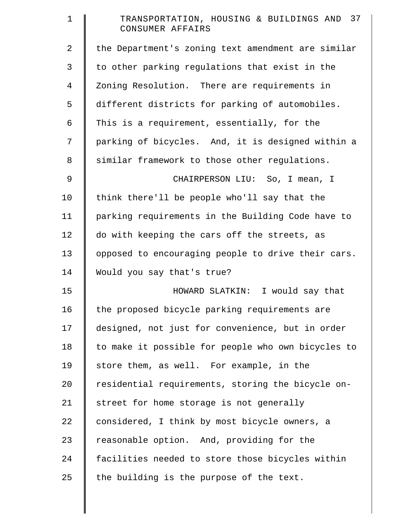| $\mathbf 1$    | TRANSPORTATION, HOUSING & BUILDINGS AND 37<br>CONSUMER AFFAIRS |
|----------------|----------------------------------------------------------------|
| $\overline{a}$ | the Department's zoning text amendment are similar             |
| 3              | to other parking regulations that exist in the                 |
| 4              | Zoning Resolution. There are requirements in                   |
| 5              | different districts for parking of automobiles.                |
| 6              | This is a requirement, essentially, for the                    |
| 7              | parking of bicycles. And, it is designed within a              |
| 8              | similar framework to those other regulations.                  |
| 9              | CHAIRPERSON LIU: So, I mean, I                                 |
| 10             | think there'll be people who'll say that the                   |
| 11             | parking requirements in the Building Code have to              |
| 12             | do with keeping the cars off the streets, as                   |
| 13             | opposed to encouraging people to drive their cars.             |
| 14             | Would you say that's true?                                     |
| 15             | HOWARD SLATKIN: I would say that                               |
| 16             | the proposed bicycle parking requirements are                  |
| 17             | designed, not just for convenience, but in order               |
| 18             | to make it possible for people who own bicycles to             |
| 19             | store them, as well. For example, in the                       |
| 20             | residential requirements, storing the bicycle on-              |
| 21             | street for home storage is not generally                       |
| 22             | considered, I think by most bicycle owners, a                  |
| 23             | reasonable option. And, providing for the                      |
| 24             | facilities needed to store those bicycles within               |
| 25             | the building is the purpose of the text.                       |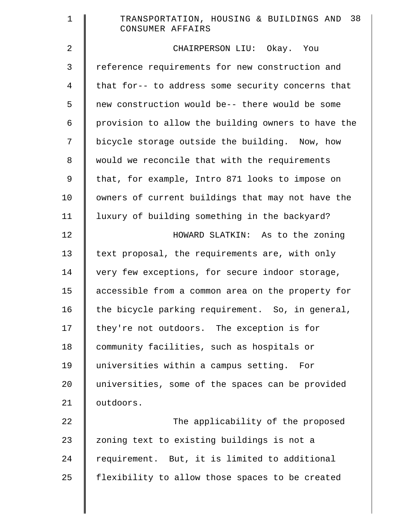| $\mathbf 1$    | TRANSPORTATION, HOUSING & BUILDINGS AND 38<br>CONSUMER AFFAIRS |
|----------------|----------------------------------------------------------------|
| $\overline{2}$ | CHAIRPERSON LIU: Okay. You                                     |
| 3              | reference requirements for new construction and                |
| $\overline{4}$ | that for-- to address some security concerns that              |
| 5              | new construction would be-- there would be some                |
| 6              | provision to allow the building owners to have the             |
| 7              | bicycle storage outside the building. Now, how                 |
| 8              | would we reconcile that with the requirements                  |
| 9              | that, for example, Intro 871 looks to impose on                |
| 10             | owners of current buildings that may not have the              |
| 11             | luxury of building something in the backyard?                  |
| 12             | HOWARD SLATKIN: As to the zoning                               |
| 13             | text proposal, the requirements are, with only                 |
| 14             | very few exceptions, for secure indoor storage,                |
| 15             | accessible from a common area on the property for              |
| 16             | the bicycle parking requirement. So, in general,               |
| 17             | they're not outdoors. The exception is for                     |
| 18             | community facilities, such as hospitals or                     |
| 19             | universities within a campus setting. For                      |
| 20             | universities, some of the spaces can be provided               |
| 21             | outdoors.                                                      |
| 22             | The applicability of the proposed                              |
| 23             | zoning text to existing buildings is not a                     |
| 24             | requirement. But, it is limited to additional                  |
| 25             | flexibility to allow those spaces to be created                |
|                |                                                                |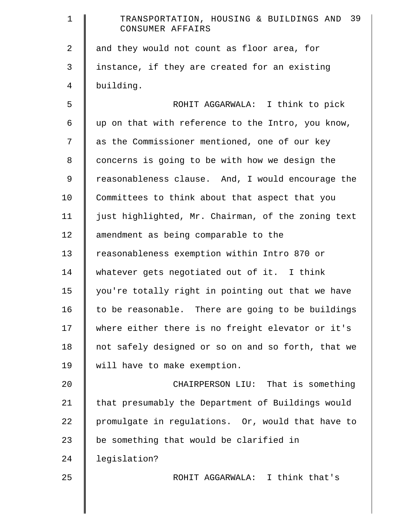| $\mathbf 1$ | 39<br>TRANSPORTATION, HOUSING & BUILDINGS AND<br>CONSUMER AFFAIRS |
|-------------|-------------------------------------------------------------------|
| 2           | and they would not count as floor area, for                       |
| 3           | instance, if they are created for an existing                     |
| 4           | building.                                                         |
| 5           | ROHIT AGGARWALA: I think to pick                                  |
| 6           | up on that with reference to the Intro, you know,                 |
| 7           | as the Commissioner mentioned, one of our key                     |
| 8           | concerns is going to be with how we design the                    |
| 9           | reasonableness clause. And, I would encourage the                 |
| 10          | Committees to think about that aspect that you                    |
| 11          | just highlighted, Mr. Chairman, of the zoning text                |
| 12          | amendment as being comparable to the                              |
| 13          | reasonableness exemption within Intro 870 or                      |
| 14          | whatever gets negotiated out of it. I think                       |
| 15          | you're totally right in pointing out that we have                 |
| 16          | to be reasonable. There are going to be buildings                 |
| 17          | where either there is no freight elevator or it's                 |
| 18          | not safely designed or so on and so forth, that we                |
| 19          | will have to make exemption.                                      |
| 20          | CHAIRPERSON LIU: That is something                                |
| 21          | that presumably the Department of Buildings would                 |
| 22          | promulgate in regulations. Or, would that have to                 |
| 23          | be something that would be clarified in                           |
| 24          | legislation?                                                      |
| 25          | ROHIT AGGARWALA: I think that's                                   |
|             |                                                                   |
|             |                                                                   |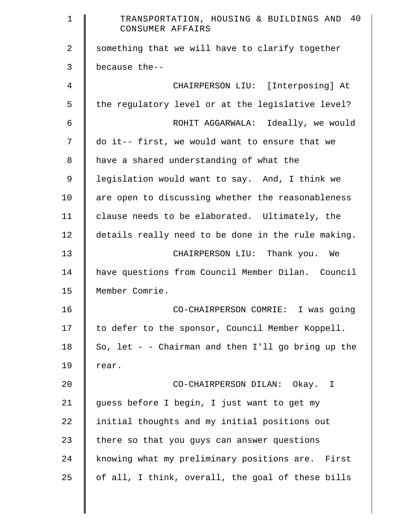| $\mathbf 1$    | TRANSPORTATION, HOUSING & BUILDINGS AND 40<br>CONSUMER AFFAIRS |
|----------------|----------------------------------------------------------------|
| $\overline{2}$ | something that we will have to clarify together                |
| 3              | because the--                                                  |
| 4              | CHAIRPERSON LIU: [Interposing] At                              |
| 5              | the regulatory level or at the legislative level?              |
| 6              | ROHIT AGGARWALA: Ideally, we would                             |
| 7              | do it-- first, we would want to ensure that we                 |
| 8              | have a shared understanding of what the                        |
| $\mathsf 9$    | legislation would want to say. And, I think we                 |
| 10             | are open to discussing whether the reasonableness              |
| 11             | clause needs to be elaborated. Ultimately, the                 |
| 12             | details really need to be done in the rule making.             |
| 13             | CHAIRPERSON LIU: Thank you. We                                 |
| 14             | have questions from Council Member Dilan. Council              |
| 15             | Member Comrie.                                                 |
| 16             | CO-CHAIRPERSON COMRIE: I was going                             |
| 17             | to defer to the sponsor, Council Member Koppell.               |
| 18             | So, let - - Chairman and then $I'll$ go bring up the           |
| 19             | rear.                                                          |
| 20             | CO-CHAIRPERSON DILAN: Okay. I                                  |
| 21             | guess before I begin, I just want to get my                    |
| 22             | initial thoughts and my initial positions out                  |
| 23             | there so that you guys can answer questions                    |
| 24             | knowing what my preliminary positions are. First               |
| 25             | of all, I think, overall, the goal of these bills              |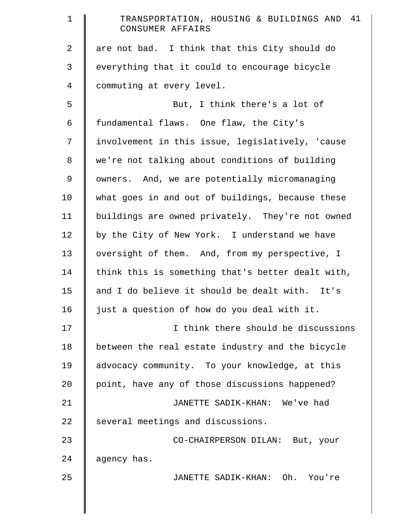| $\mathbf 1$ | TRANSPORTATION, HOUSING & BUILDINGS AND 41<br>CONSUMER AFFAIRS |
|-------------|----------------------------------------------------------------|
| 2           | are not bad. I think that this City should do                  |
| 3           | everything that it could to encourage bicycle                  |
| 4           | commuting at every level.                                      |
| 5           | But, I think there's a lot of                                  |
| 6           | fundamental flaws. One flaw, the City's                        |
| 7           | involvement in this issue, legislatively, 'cause               |
| 8           | we're not talking about conditions of building                 |
| 9           | owners. And, we are potentially micromanaging                  |
| 10          | what goes in and out of buildings, because these               |
| 11          | buildings are owned privately. They're not owned               |
| 12          | by the City of New York. I understand we have                  |
| 13          | oversight of them. And, from my perspective, I                 |
| 14          | think this is something that's better dealt with,              |
| 15          | and I do believe it should be dealt with. It's                 |
| 16          | just a question of how do you deal with it.                    |
| 17          | I think there should be discussions                            |
| 18          | between the real estate industry and the bicycle               |
| 19          | advocacy community. To your knowledge, at this                 |
| 20          | point, have any of those discussions happened?                 |
| 21          | JANETTE SADIK-KHAN: We've had                                  |
| 22          | several meetings and discussions.                              |
| 23          | CO-CHAIRPERSON DILAN: But, your                                |
| 24          | agency has.                                                    |
| 25          | JANETTE SADIK-KHAN: Oh. You're                                 |
|             |                                                                |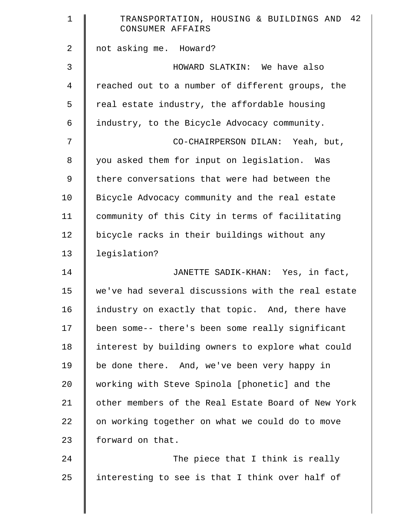| $\mathbf 1$ | TRANSPORTATION, HOUSING & BUILDINGS AND 42<br>CONSUMER AFFAIRS |
|-------------|----------------------------------------------------------------|
| 2           | not asking me. Howard?                                         |
| 3           | HOWARD SLATKIN: We have also                                   |
| 4           | reached out to a number of different groups, the               |
| 5           | real estate industry, the affordable housing                   |
| 6           | industry, to the Bicycle Advocacy community.                   |
| 7           | CO-CHAIRPERSON DILAN: Yeah, but,                               |
| 8           | you asked them for input on legislation. Was                   |
| 9           | there conversations that were had between the                  |
| 10          | Bicycle Advocacy community and the real estate                 |
| 11          | community of this City in terms of facilitating                |
| 12          | bicycle racks in their buildings without any                   |
| 13          | legislation?                                                   |
| 14          | JANETTE SADIK-KHAN: Yes, in fact,                              |
| 15          | we've had several discussions with the real estate             |
| 16          | industry on exactly that topic. And, there have                |
| 17          | been some-- there's been some really significant               |
| 18          | interest by building owners to explore what could              |
| 19          | be done there. And, we've been very happy in                   |
| 20          | working with Steve Spinola [phonetic] and the                  |
| 21          | other members of the Real Estate Board of New York             |
| 22          | on working together on what we could do to move                |
| 23          | forward on that.                                               |
| 24          | The piece that I think is really                               |
| 25          | interesting to see is that I think over half of                |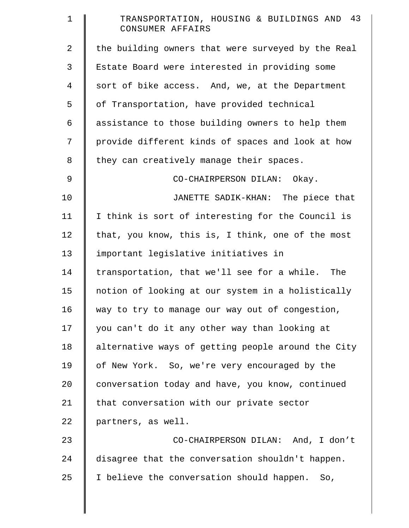| $\mathbf 1$ | TRANSPORTATION, HOUSING & BUILDINGS AND 43<br>CONSUMER AFFAIRS |
|-------------|----------------------------------------------------------------|
| 2           | the building owners that were surveyed by the Real             |
| 3           | Estate Board were interested in providing some                 |
| 4           | sort of bike access. And, we, at the Department                |
| 5           | of Transportation, have provided technical                     |
| 6           | assistance to those building owners to help them               |
| 7           | provide different kinds of spaces and look at how              |
| 8           | they can creatively manage their spaces.                       |
| 9           | CO-CHAIRPERSON DILAN: Okay.                                    |
| 10          | JANETTE SADIK-KHAN: The piece that                             |
| 11          | I think is sort of interesting for the Council is              |
| 12          | that, you know, this is, I think, one of the most              |
| 13          | important legislative initiatives in                           |
| 14          | transportation, that we'll see for a while. The                |
| 15          | notion of looking at our system in a holistically              |
| 16          | way to try to manage our way out of congestion,                |
| 17          | you can't do it any other way than looking at                  |
| 18          | alternative ways of getting people around the City             |
| 19          | of New York. So, we're very encouraged by the                  |
| 20          | conversation today and have, you know, continued               |
| 21          | that conversation with our private sector                      |
| 22          | partners, as well.                                             |
| 23          | CO-CHAIRPERSON DILAN: And, I don't                             |
| 24          | disagree that the conversation shouldn't happen.               |
| 25          | I believe the conversation should happen.<br>So,               |
|             |                                                                |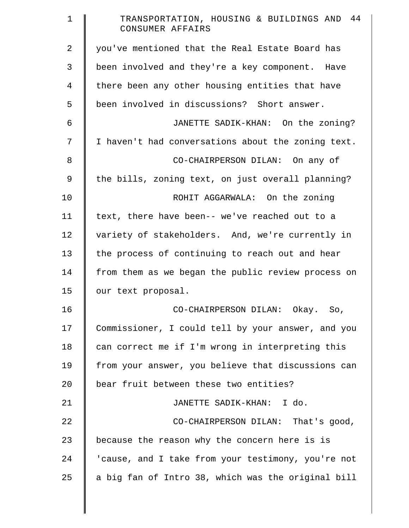| 1  | TRANSPORTATION, HOUSING & BUILDINGS AND 44<br>CONSUMER AFFAIRS |
|----|----------------------------------------------------------------|
| 2  | you've mentioned that the Real Estate Board has                |
| 3  | been involved and they're a key component. Have                |
| 4  | there been any other housing entities that have                |
| 5  | been involved in discussions? Short answer.                    |
| 6  | JANETTE SADIK-KHAN: On the zoning?                             |
| 7  | I haven't had conversations about the zoning text.             |
| 8  | CO-CHAIRPERSON DILAN: On any of                                |
| 9  | the bills, zoning text, on just overall planning?              |
| 10 | ROHIT AGGARWALA: On the zoning                                 |
| 11 | text, there have been-- we've reached out to a                 |
| 12 | variety of stakeholders. And, we're currently in               |
| 13 | the process of continuing to reach out and hear                |
| 14 | from them as we began the public review process on             |
| 15 | our text proposal.                                             |
| 16 | CO-CHAIRPERSON DILAN: Okay. So,                                |
| 17 | Commissioner, I could tell by your answer, and you             |
| 18 | can correct me if I'm wrong in interpreting this               |
| 19 | from your answer, you believe that discussions can             |
| 20 | bear fruit between these two entities?                         |
| 21 | JANETTE SADIK-KHAN: I do.                                      |
| 22 | CO-CHAIRPERSON DILAN: That's good,                             |
| 23 | because the reason why the concern here is is                  |
| 24 | 'cause, and I take from your testimony, you're not             |
| 25 | a big fan of Intro 38, which was the original bill             |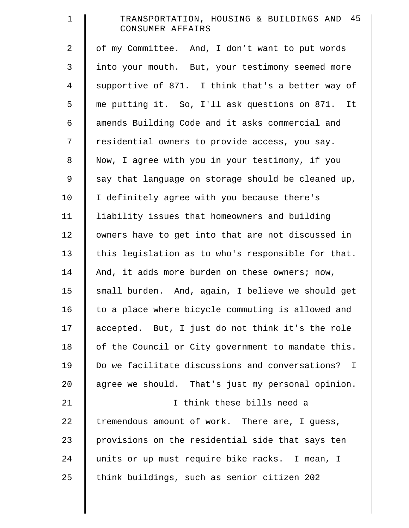| $\mathbf 1$    | TRANSPORTATION, HOUSING & BUILDINGS AND 45<br>CONSUMER AFFAIRS |
|----------------|----------------------------------------------------------------|
| $\overline{2}$ | of my Committee. And, I don't want to put words                |
| 3              | into your mouth. But, your testimony seemed more               |
| $\overline{4}$ | supportive of 871. I think that's a better way of              |
| 5              | me putting it. So, I'll ask questions on 871. It               |
| 6              | amends Building Code and it asks commercial and                |
| 7              | residential owners to provide access, you say.                 |
| $8\,$          | Now, I agree with you in your testimony, if you                |
| $\mathsf 9$    | say that language on storage should be cleaned up,             |
| 10             | I definitely agree with you because there's                    |
| 11             | liability issues that homeowners and building                  |
| 12             | owners have to get into that are not discussed in              |
| 13             | this legislation as to who's responsible for that.             |
| 14             | And, it adds more burden on these owners; now,                 |
| 15             | small burden. And, again, I believe we should get              |
| 16             | to a place where bicycle commuting is allowed and              |
| 17             | accepted. But, I just do not think it's the role               |
| 18             | of the Council or City government to mandate this.             |
| 19             | Do we facilitate discussions and conversations? I              |
| 20             | agree we should. That's just my personal opinion.              |
| 21             | I think these bills need a                                     |
| 22             | tremendous amount of work. There are, I guess,                 |
| 23             | provisions on the residential side that says ten               |
| 24             | units or up must require bike racks. I mean, I                 |
| 25             | think buildings, such as senior citizen 202                    |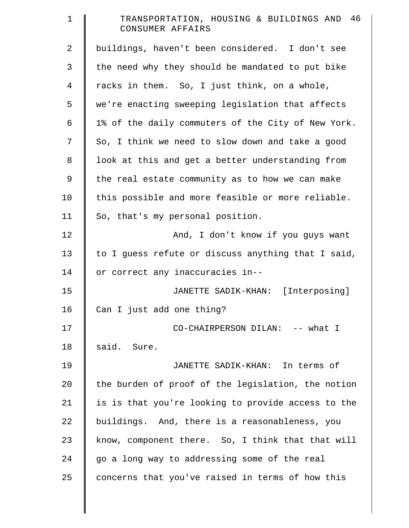| $\mathbf 1$    | TRANSPORTATION, HOUSING & BUILDINGS AND 46<br>CONSUMER AFFAIRS |
|----------------|----------------------------------------------------------------|
| $\overline{2}$ | buildings, haven't been considered. I don't see                |
| 3              | the need why they should be mandated to put bike               |
| 4              | racks in them. So, I just think, on a whole,                   |
| 5              | we're enacting sweeping legislation that affects               |
| 6              | 1% of the daily commuters of the City of New York.             |
| 7              | So, I think we need to slow down and take a good               |
| 8              | look at this and get a better understanding from               |
| 9              | the real estate community as to how we can make                |
| 10             | this possible and more feasible or more reliable.              |
| 11             | So, that's my personal position.                               |
| 12             | And, I don't know if you guys want                             |
| 13             | to I guess refute or discuss anything that I said,             |
| 14             | or correct any inaccuracies in--                               |
| 15             | JANETTE SADIK-KHAN: [Interposing]                              |
| 16             | Can I just add one thing?                                      |
| 17             | CO-CHAIRPERSON DILAN: -- what I                                |
| 18             | said. Sure.                                                    |
| 19             | JANETTE SADIK-KHAN: In terms of                                |
| 20             | the burden of proof of the legislation, the notion             |
| 21             | is is that you're looking to provide access to the             |
| 22             | buildings. And, there is a reasonableness, you                 |
| 23             | know, component there. So, I think that that will              |
| 24             | go a long way to addressing some of the real                   |
| 25             | concerns that you've raised in terms of how this               |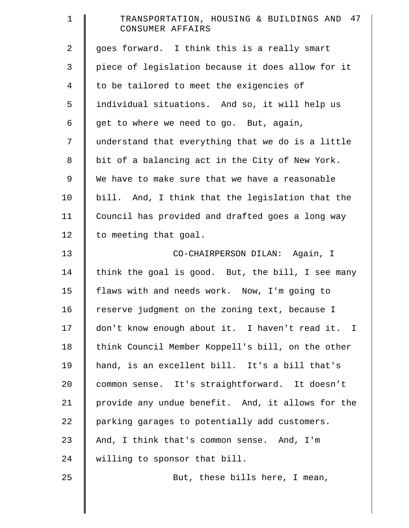| $\mathbf 1$    | TRANSPORTATION, HOUSING & BUILDINGS AND 47<br>CONSUMER AFFAIRS |
|----------------|----------------------------------------------------------------|
| $\overline{a}$ | goes forward. I think this is a really smart                   |
| 3              | piece of legislation because it does allow for it              |
| 4              | to be tailored to meet the exigencies of                       |
| 5              | individual situations. And so, it will help us                 |
| 6              | get to where we need to go. But, again,                        |
| 7              | understand that everything that we do is a little              |
| 8              | bit of a balancing act in the City of New York.                |
| 9              | We have to make sure that we have a reasonable                 |
| 10             | bill. And, I think that the legislation that the               |
| 11             | Council has provided and drafted goes a long way               |
| 12             | to meeting that goal.                                          |
| 13             | CO-CHAIRPERSON DILAN: Again, I                                 |
| 14             | think the goal is good. But, the bill, I see many              |
| 15             | flaws with and needs work. Now, I'm going to                   |
| 16             | reserve judgment on the zoning text, because I                 |
| 17             | don't know enough about it. I haven't read it. I               |
| 18             | think Council Member Koppell's bill, on the other              |
| 19             | hand, is an excellent bill. It's a bill that's                 |
| 20             | common sense. It's straightforward. It doesn't                 |
| 21             | provide any undue benefit. And, it allows for the              |
| 22             | parking garages to potentially add customers.                  |
| 23             | And, I think that's common sense. And, I'm                     |
| 24             | willing to sponsor that bill.                                  |
| 25             | But, these bills here, I mean,                                 |
|                |                                                                |
|                |                                                                |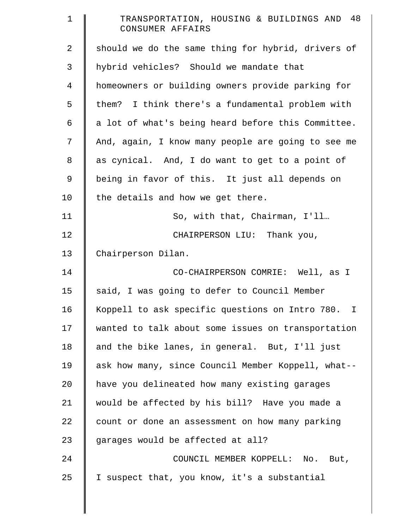| $\mathbf 1$    | TRANSPORTATION, HOUSING & BUILDINGS AND 48<br>CONSUMER AFFAIRS |
|----------------|----------------------------------------------------------------|
| $\overline{2}$ | should we do the same thing for hybrid, drivers of             |
| 3              | hybrid vehicles? Should we mandate that                        |
| $\overline{4}$ | homeowners or building owners provide parking for              |
| 5              | them? I think there's a fundamental problem with               |
| 6              | a lot of what's being heard before this Committee.             |
| 7              | And, again, I know many people are going to see me             |
| $\,8\,$        | as cynical. And, I do want to get to a point of                |
| $\mathsf 9$    | being in favor of this. It just all depends on                 |
| 10             | the details and how we get there.                              |
| 11             | So, with that, Chairman, I'll                                  |
| 12             | CHAIRPERSON LIU: Thank you,                                    |
| 13             | Chairperson Dilan.                                             |
| 14             | CO-CHAIRPERSON COMRIE: Well, as I                              |
| 15             | said, I was going to defer to Council Member                   |
| 16             | Koppell to ask specific questions on Intro 780. I              |
| 17             | wanted to talk about some issues on transportation             |
| 18             | and the bike lanes, in general. But, I'll just                 |
| 19             | ask how many, since Council Member Koppell, what--             |
| 20             | have you delineated how many existing garages                  |
| 21             | would be affected by his bill? Have you made a                 |
| 22             | count or done an assessment on how many parking                |
| 23             | garages would be affected at all?                              |
| 24             | COUNCIL MEMBER KOPPELL: No. But,                               |
| 25             | I suspect that, you know, it's a substantial                   |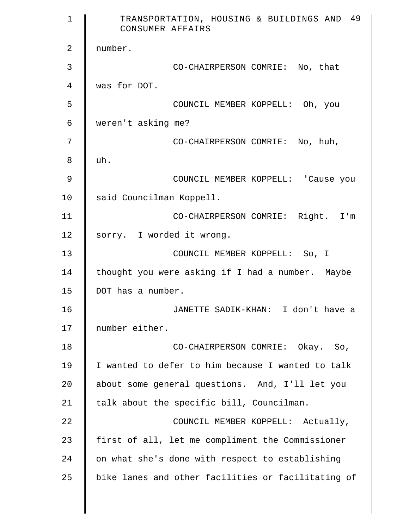| $\mathbf 1$ | TRANSPORTATION, HOUSING & BUILDINGS AND 49<br>CONSUMER AFFAIRS |
|-------------|----------------------------------------------------------------|
| 2           | number.                                                        |
| 3           | CO-CHAIRPERSON COMRIE: No, that                                |
| 4           | was for DOT.                                                   |
| 5           | COUNCIL MEMBER KOPPELL: Oh, you                                |
| 6           | weren't asking me?                                             |
| 7           | CO-CHAIRPERSON COMRIE: No, huh,                                |
| 8           | uh.                                                            |
| 9           | COUNCIL MEMBER KOPPELL: 'Cause you                             |
| 10          | said Councilman Koppell.                                       |
| 11          | CO-CHAIRPERSON COMRIE: Right. I'm                              |
| 12          | sorry. I worded it wrong.                                      |
| 13          | COUNCIL MEMBER KOPPELL: So, I                                  |
| 14          | thought you were asking if I had a number. Maybe               |
| 15          | DOT has a number.                                              |
| 16          | JANETTE SADIK-KHAN: I don't have a                             |
| 17          | number either.                                                 |
| 18          | CO-CHAIRPERSON COMRIE: Okay. So,                               |
| 19          | I wanted to defer to him because I wanted to talk              |
| 20          | about some general questions. And, I'll let you                |
| 21          | talk about the specific bill, Councilman.                      |
| 22          | COUNCIL MEMBER KOPPELL: Actually,                              |
| 23          | first of all, let me compliment the Commissioner               |
| 24          | on what she's done with respect to establishing                |
| 25          | bike lanes and other facilities or facilitating of             |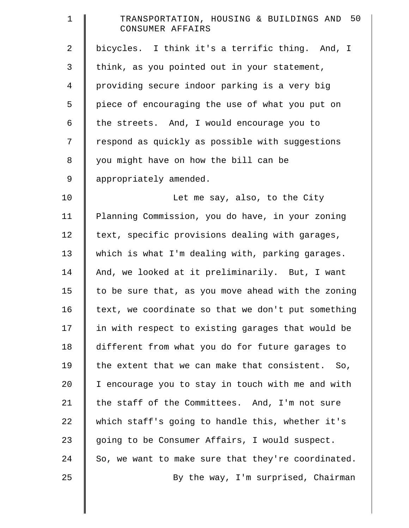| $\mathbf 1$ | TRANSPORTATION, HOUSING & BUILDINGS AND 50<br>CONSUMER AFFAIRS |
|-------------|----------------------------------------------------------------|
| 2           | bicycles. I think it's a terrific thing. And, I                |
| 3           | think, as you pointed out in your statement,                   |
| 4           | providing secure indoor parking is a very big                  |
| 5           | piece of encouraging the use of what you put on                |
| 6           | the streets. And, I would encourage you to                     |
| 7           | respond as quickly as possible with suggestions                |
| 8           | you might have on how the bill can be                          |
| 9           | appropriately amended.                                         |
| 10          | Let me say, also, to the City                                  |
| 11          | Planning Commission, you do have, in your zoning               |
| 12          | text, specific provisions dealing with garages,                |
| 13          | which is what I'm dealing with, parking garages.               |
| 14          | And, we looked at it preliminarily. But, I want                |
| 15          | to be sure that, as you move ahead with the zoning             |
| 16          | text, we coordinate so that we don't put something             |
| 17          | in with respect to existing garages that would be              |
| 18          | different from what you do for future garages to               |
| 19          | the extent that we can make that consistent. So,               |
| 20          | I encourage you to stay in touch with me and with              |
| 21          | the staff of the Committees. And, I'm not sure                 |
| 22          | which staff's going to handle this, whether it's               |
| 23          | going to be Consumer Affairs, I would suspect.                 |
| 24          | So, we want to make sure that they're coordinated.             |
| 25          | By the way, I'm surprised, Chairman                            |
|             |                                                                |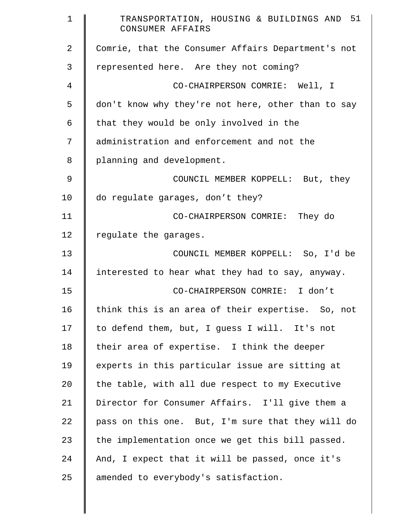| $\mathbf 1$    | TRANSPORTATION, HOUSING & BUILDINGS AND 51<br>CONSUMER AFFAIRS |
|----------------|----------------------------------------------------------------|
| $\overline{2}$ | Comrie, that the Consumer Affairs Department's not             |
| 3              | represented here. Are they not coming?                         |
| 4              | CO-CHAIRPERSON COMRIE: Well, I                                 |
| 5              | don't know why they're not here, other than to say             |
| 6              | that they would be only involved in the                        |
| 7              | administration and enforcement and not the                     |
| 8              | planning and development.                                      |
| 9              | COUNCIL MEMBER KOPPELL: But, they                              |
| 10             | do regulate garages, don't they?                               |
| 11             | CO-CHAIRPERSON COMRIE: They do                                 |
| 12             | regulate the garages.                                          |
| 13             | COUNCIL MEMBER KOPPELL: So, I'd be                             |
| 14             | interested to hear what they had to say, anyway.               |
| 15             | CO-CHAIRPERSON COMRIE: I don't                                 |
| 16             | think this is an area of their expertise. So, not              |
| 17             | to defend them, but, I guess I will. It's not                  |
| 18             | their area of expertise. I think the deeper                    |
| 19             | experts in this particular issue are sitting at                |
| $20 \,$        | the table, with all due respect to my Executive                |
| 21             | Director for Consumer Affairs. I'll give them a                |
| 22             | pass on this one. But, I'm sure that they will do              |
| 23             | the implementation once we get this bill passed.               |
| 24             | And, I expect that it will be passed, once it's                |
| 25             | amended to everybody's satisfaction.                           |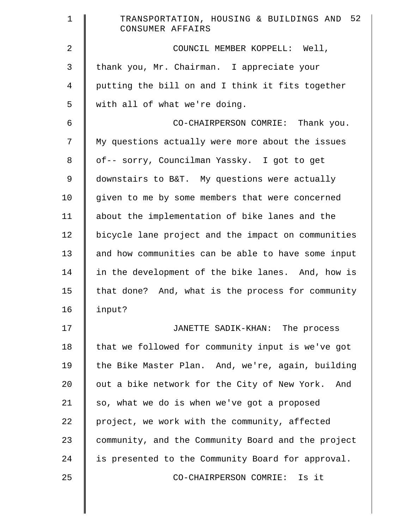| $\mathbf 1$    | TRANSPORTATION, HOUSING & BUILDINGS AND 52<br>CONSUMER AFFAIRS |
|----------------|----------------------------------------------------------------|
| 2              | COUNCIL MEMBER KOPPELL: Well,                                  |
| 3              | thank you, Mr. Chairman. I appreciate your                     |
| $\overline{4}$ | putting the bill on and I think it fits together               |
| 5              | with all of what we're doing.                                  |
| 6              | CO-CHAIRPERSON COMRIE: Thank you.                              |
| 7              | My questions actually were more about the issues               |
| 8              | of-- sorry, Councilman Yassky. I got to get                    |
| $\mathcal{G}$  | downstairs to B&T. My questions were actually                  |
| 10             | given to me by some members that were concerned                |
| 11             | about the implementation of bike lanes and the                 |
| 12             | bicycle lane project and the impact on communities             |
| 13             | and how communities can be able to have some input             |
| 14             | in the development of the bike lanes. And, how is              |
| 15             | that done? And, what is the process for community              |
| 16             | input?                                                         |
| 17             | JANETTE SADIK-KHAN: The process                                |
| 18             | that we followed for community input is we've got              |
| 19             | the Bike Master Plan. And, we're, again, building              |
| 20             | out a bike network for the City of New York. And               |
| 21             | so, what we do is when we've got a proposed                    |
| 22             | project, we work with the community, affected                  |
| 23             | community, and the Community Board and the project             |
| 24             | is presented to the Community Board for approval.              |
| 25             | Is it<br>CO-CHAIRPERSON COMRIE:                                |
|                |                                                                |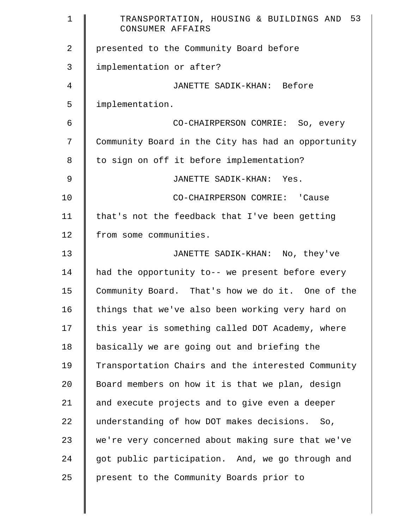| $\mathbf{1}$   | TRANSPORTATION, HOUSING & BUILDINGS AND 53<br>CONSUMER AFFAIRS |
|----------------|----------------------------------------------------------------|
| $\overline{2}$ | presented to the Community Board before                        |
| 3              | implementation or after?                                       |
| 4              | JANETTE SADIK-KHAN: Before                                     |
| 5              | implementation.                                                |
| 6              | CO-CHAIRPERSON COMRIE: So, every                               |
| 7              | Community Board in the City has had an opportunity             |
| 8              | to sign on off it before implementation?                       |
| $\mathfrak{g}$ | JANETTE SADIK-KHAN: Yes.                                       |
| 10             | CO-CHAIRPERSON COMRIE: 'Cause                                  |
| 11             | that's not the feedback that I've been getting                 |
| 12             | from some communities.                                         |
| 13             | JANETTE SADIK-KHAN: No, they've                                |
| 14             | had the opportunity to-- we present before every               |
| 15             | Community Board. That's how we do it. One of the               |
| 16             | things that we've also been working very hard on               |
| 17             | this year is something called DOT Academy, where               |
| 18             | basically we are going out and briefing the                    |
| 19             | Transportation Chairs and the interested Community             |
| 20             | Board members on how it is that we plan, design                |
| 21             | and execute projects and to give even a deeper                 |
| 22             | understanding of how DOT makes decisions. So,                  |
| 23             | we're very concerned about making sure that we've              |
| 24             | got public participation. And, we go through and               |
| 25             | present to the Community Boards prior to                       |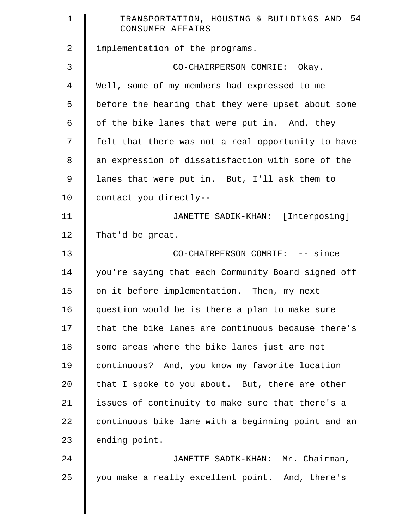| $\mathbf 1$    | TRANSPORTATION, HOUSING & BUILDINGS AND 54<br>CONSUMER AFFAIRS |
|----------------|----------------------------------------------------------------|
| $\overline{a}$ | implementation of the programs.                                |
| 3              | CO-CHAIRPERSON COMRIE: Okay.                                   |
| 4              | Well, some of my members had expressed to me                   |
| 5              | before the hearing that they were upset about some             |
| 6              | of the bike lanes that were put in. And, they                  |
| 7              | felt that there was not a real opportunity to have             |
| 8              | an expression of dissatisfaction with some of the              |
| 9              | lanes that were put in. But, I'll ask them to                  |
| 10             | contact you directly--                                         |
| 11             | JANETTE SADIK-KHAN: [Interposing]                              |
| 12             | That'd be great.                                               |
| 13             | CO-CHAIRPERSON COMRIE: -- since                                |
| 14             | you're saying that each Community Board signed off             |
| 15             | on it before implementation. Then, my next                     |
| 16             | question would be is there a plan to make sure                 |
| 17             | that the bike lanes are continuous because there's             |
| 18             | some areas where the bike lanes just are not                   |
| 19             | continuous? And, you know my favorite location                 |
| 20             | that I spoke to you about. But, there are other                |
| 21             | issues of continuity to make sure that there's a               |
| 22             | continuous bike lane with a beginning point and an             |
| 23             | ending point.                                                  |
| 24             | JANETTE SADIK-KHAN: Mr. Chairman,                              |
| 25             | you make a really excellent point. And, there's                |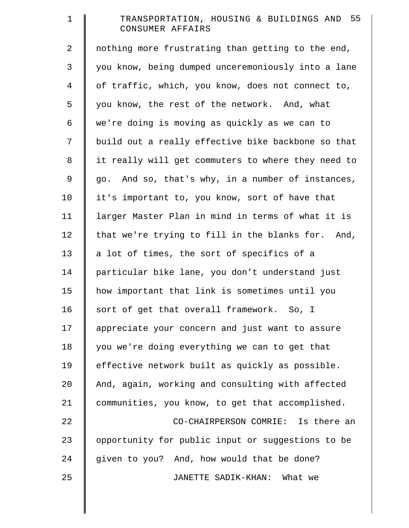| $\mathbf 1$    | TRANSPORTATION, HOUSING & BUILDINGS AND 55<br>CONSUMER AFFAIRS |
|----------------|----------------------------------------------------------------|
| $\overline{2}$ | nothing more frustrating than getting to the end,              |
| 3              | you know, being dumped unceremoniously into a lane             |
| $\overline{4}$ | of traffic, which, you know, does not connect to,              |
| 5              | you know, the rest of the network. And, what                   |
| 6              | we're doing is moving as quickly as we can to                  |
| 7              | build out a really effective bike backbone so that             |
| 8              | it really will get commuters to where they need to             |
| 9              | go. And so, that's why, in a number of instances,              |
| 10             | it's important to, you know, sort of have that                 |
| 11             | larger Master Plan in mind in terms of what it is              |
| 12             | that we're trying to fill in the blanks for. And,              |
| 13             | a lot of times, the sort of specifics of a                     |
| 14             | particular bike lane, you don't understand just                |
| 15             | how important that link is sometimes until you                 |
| 16             | sort of get that overall framework. So, I                      |
| 17             | appreciate your concern and just want to assure                |
| 18             | you we're doing everything we can to get that                  |
| 19             | effective network built as quickly as possible.                |
| 20             | And, again, working and consulting with affected               |
| 21             | communities, you know, to get that accomplished.               |
| 22             | CO-CHAIRPERSON COMRIE: Is there an                             |
| 23             | opportunity for public input or suggestions to be              |
| 24             | given to you? And, how would that be done?                     |
| 25             | JANETTE SADIK-KHAN:<br>What we                                 |
|                |                                                                |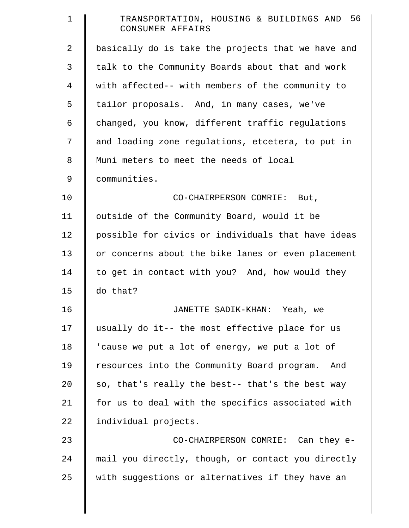| $\mathbf 1$ | TRANSPORTATION, HOUSING & BUILDINGS AND 56<br>CONSUMER AFFAIRS |
|-------------|----------------------------------------------------------------|
| 2           | basically do is take the projects that we have and             |
| 3           | talk to the Community Boards about that and work               |
| 4           | with affected-- with members of the community to               |
| 5           | tailor proposals. And, in many cases, we've                    |
| 6           | changed, you know, different traffic regulations               |
| 7           | and loading zone regulations, etcetera, to put in              |
| 8           | Muni meters to meet the needs of local                         |
| 9           | communities.                                                   |
| 10          | CO-CHAIRPERSON COMRIE: But,                                    |
| 11          | outside of the Community Board, would it be                    |
| 12          | possible for civics or individuals that have ideas             |
| 13          | or concerns about the bike lanes or even placement             |
| 14          | to get in contact with you? And, how would they                |
| 15          | do that?                                                       |
| 16          | JANETTE SADIK-KHAN: Yeah, we                                   |
| 17          | usually do it-- the most effective place for us                |
| 18          | 'cause we put a lot of energy, we put a lot of                 |
| 19          | resources into the Community Board program.<br>And             |
| 20          | so, that's really the best-- that's the best way               |
| 21          | for us to deal with the specifics associated with              |
| 22          | individual projects.                                           |
| 23          | CO-CHAIRPERSON COMRIE: Can they e-                             |
| 24          | mail you directly, though, or contact you directly             |
| 25          | with suggestions or alternatives if they have an               |
|             |                                                                |

║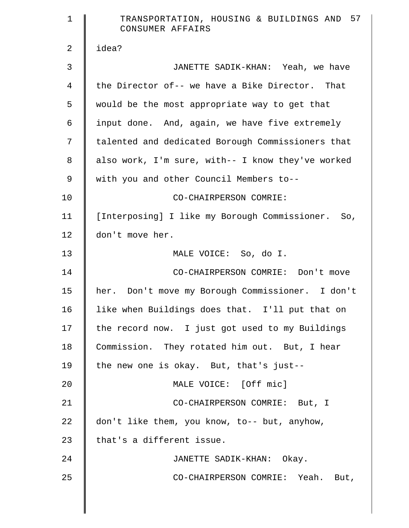| $\mathbf 1$    | TRANSPORTATION, HOUSING & BUILDINGS AND 57<br>CONSUMER AFFAIRS |
|----------------|----------------------------------------------------------------|
| 2              | idea?                                                          |
| 3              | JANETTE SADIK-KHAN: Yeah, we have                              |
| $\overline{4}$ | the Director of-- we have a Bike Director. That                |
| 5              | would be the most appropriate way to get that                  |
| 6              | input done. And, again, we have five extremely                 |
| 7              | talented and dedicated Borough Commissioners that              |
| 8              | also work, I'm sure, with-- I know they've worked              |
| 9              | with you and other Council Members to--                        |
| 10             | CO-CHAIRPERSON COMRIE:                                         |
| 11             | [Interposing] I like my Borough Commissioner. So,              |
| 12             | don't move her.                                                |
| 13             | MALE VOICE: So, do I.                                          |
| 14             | CO-CHAIRPERSON COMRIE: Don't move                              |
| 15             | her. Don't move my Borough Commissioner. I don't               |
| 16             | like when Buildings does that. I'll put that on                |
| 17             | the record now. I just got used to my Buildings                |
| 18             | Commission. They rotated him out. But, I hear                  |
| 19             | the new one is okay. But, that's just--                        |
| 20             | MALE VOICE: [Off mic]                                          |
| 21             | CO-CHAIRPERSON COMRIE: But, I                                  |
| 22             | don't like them, you know, to-- but, anyhow,                   |
| 23             | that's a different issue.                                      |
| 24             | JANETTE SADIK-KHAN: Okay.                                      |
| 25             | CO-CHAIRPERSON COMRIE: Yeah. But,                              |
|                |                                                                |
|                |                                                                |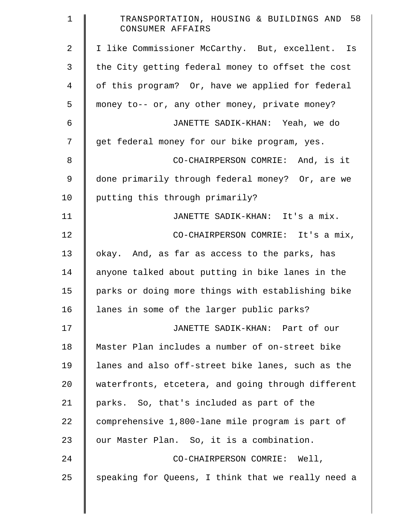| $\mathbf 1$    | TRANSPORTATION, HOUSING & BUILDINGS AND 58<br>CONSUMER AFFAIRS |
|----------------|----------------------------------------------------------------|
| $\overline{2}$ | I like Commissioner McCarthy. But, excellent. Is               |
| 3              | the City getting federal money to offset the cost              |
| 4              | of this program? Or, have we applied for federal               |
| 5              | money to-- or, any other money, private money?                 |
| 6              | JANETTE SADIK-KHAN: Yeah, we do                                |
| 7              | get federal money for our bike program, yes.                   |
| 8              | CO-CHAIRPERSON COMRIE: And, is it                              |
| 9              | done primarily through federal money? Or, are we               |
| 10             | putting this through primarily?                                |
| 11             | JANETTE SADIK-KHAN: It's a mix.                                |
| 12             | CO-CHAIRPERSON COMRIE: It's a mix,                             |
| 13             | okay. And, as far as access to the parks, has                  |
| 14             | anyone talked about putting in bike lanes in the               |
| 15             | parks or doing more things with establishing bike              |
| 16             | lanes in some of the larger public parks?                      |
| 17             | JANETTE SADIK-KHAN: Part of our                                |
| 18             | Master Plan includes a number of on-street bike                |
| 19             | lanes and also off-street bike lanes, such as the              |
| 20             | waterfronts, etcetera, and going through different             |
| 21             | parks. So, that's included as part of the                      |
| 22             | comprehensive 1,800-lane mile program is part of               |
| 23             | our Master Plan. So, it is a combination.                      |
| 24             | CO-CHAIRPERSON COMRIE: Well,                                   |
| 25             | speaking for Queens, I think that we really need a             |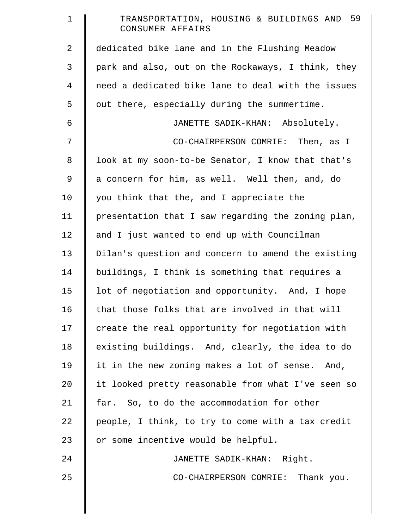| $\mathbf 1$ | TRANSPORTATION, HOUSING & BUILDINGS AND 59<br>CONSUMER AFFAIRS |
|-------------|----------------------------------------------------------------|
| 2           | dedicated bike lane and in the Flushing Meadow                 |
| 3           | park and also, out on the Rockaways, I think, they             |
| 4           | need a dedicated bike lane to deal with the issues             |
| 5           | out there, especially during the summertime.                   |
| 6           | JANETTE SADIK-KHAN: Absolutely.                                |
| 7           | CO-CHAIRPERSON COMRIE: Then, as I                              |
| 8           | look at my soon-to-be Senator, I know that that's              |
| 9           | a concern for him, as well. Well then, and, do                 |
| 10          | you think that the, and I appreciate the                       |
| 11          | presentation that I saw regarding the zoning plan,             |
| 12          | and I just wanted to end up with Councilman                    |
| 13          | Dilan's question and concern to amend the existing             |
| 14          | buildings, I think is something that requires a                |
| 15          | lot of negotiation and opportunity. And, I hope                |
| 16          | that those folks that are involved in that will                |
| 17          | create the real opportunity for negotiation with               |
| 18          | existing buildings. And, clearly, the idea to do               |
| 19          | it in the new zoning makes a lot of sense. And,                |
| 20          | it looked pretty reasonable from what I've seen so             |
| 21          | far. So, to do the accommodation for other                     |
| 22          | people, I think, to try to come with a tax credit              |
| 23          | or some incentive would be helpful.                            |
| 24          | JANETTE SADIK-KHAN: Right.                                     |
|             |                                                                |
| 25          | CO-CHAIRPERSON COMRIE: Thank you.                              |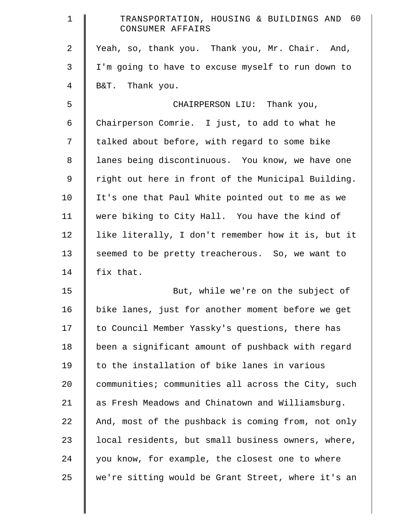| $\mathbf 1$ | TRANSPORTATION, HOUSING & BUILDINGS AND 60<br>CONSUMER AFFAIRS |
|-------------|----------------------------------------------------------------|
| 2           | Yeah, so, thank you. Thank you, Mr. Chair. And,                |
| 3           | I'm going to have to excuse myself to run down to              |
| 4           | B&T. Thank you.                                                |
| 5           | CHAIRPERSON LIU: Thank you,                                    |
| 6           | Chairperson Comrie. I just, to add to what he                  |
| 7           | talked about before, with regard to some bike                  |
| 8           | lanes being discontinuous. You know, we have one               |
| 9           | right out here in front of the Municipal Building.             |
| 10          | It's one that Paul White pointed out to me as we               |
| 11          | were biking to City Hall. You have the kind of                 |
| 12          | like literally, I don't remember how it is, but it             |
| 13          | seemed to be pretty treacherous. So, we want to                |
| 14          | fix that.                                                      |
| 15          | But, while we're on the subject of                             |
| 16          | bike lanes, just for another moment before we get              |
| 17          | to Council Member Yassky's questions, there has                |
| 18          | been a significant amount of pushback with regard              |
| 19          | to the installation of bike lanes in various                   |
| 20          | communities; communities all across the City, such             |
| 21          | as Fresh Meadows and Chinatown and Williamsburg.               |
| 22          | And, most of the pushback is coming from, not only             |
| 23          | local residents, but small business owners, where,             |
| 24          | you know, for example, the closest one to where                |
| 25          | we're sitting would be Grant Street, where it's an             |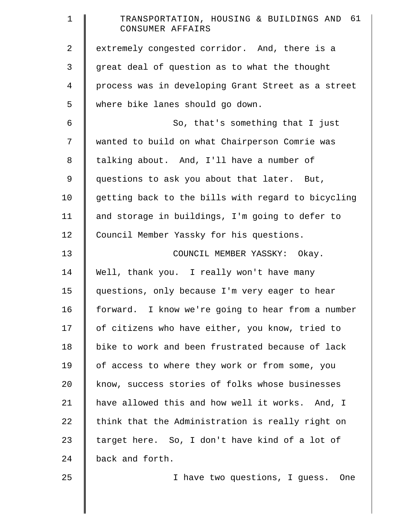| $\mathbf 1$    | TRANSPORTATION, HOUSING & BUILDINGS AND 61<br>CONSUMER AFFAIRS |
|----------------|----------------------------------------------------------------|
| $\overline{2}$ | extremely congested corridor. And, there is a                  |
| 3              | great deal of question as to what the thought                  |
| $\overline{4}$ | process was in developing Grant Street as a street             |
| 5              | where bike lanes should go down.                               |
| 6              | So, that's something that I just                               |
| 7              | wanted to build on what Chairperson Comrie was                 |
| 8              | talking about. And, I'll have a number of                      |
| $\mathsf 9$    | questions to ask you about that later. But,                    |
| 10             | getting back to the bills with regard to bicycling             |
| 11             | and storage in buildings, I'm going to defer to                |
| 12             | Council Member Yassky for his questions.                       |
| 13             | COUNCIL MEMBER YASSKY: Okay.                                   |
| 14             | Well, thank you. I really won't have many                      |
| 15             | questions, only because I'm very eager to hear                 |
| 16             | forward. I know we're going to hear from a number              |
| 17             | of citizens who have either, you know, tried to                |
| 18             | bike to work and been frustrated because of lack               |
| 19             | of access to where they work or from some, you                 |
| 20             | know, success stories of folks whose businesses                |
| 21             | have allowed this and how well it works. And, I                |
| 22             | think that the Administration is really right on               |
| 23             | target here. So, I don't have kind of a lot of                 |
| 24             | back and forth.                                                |
| 25             | I have two questions, I guess. One                             |
|                |                                                                |
|                |                                                                |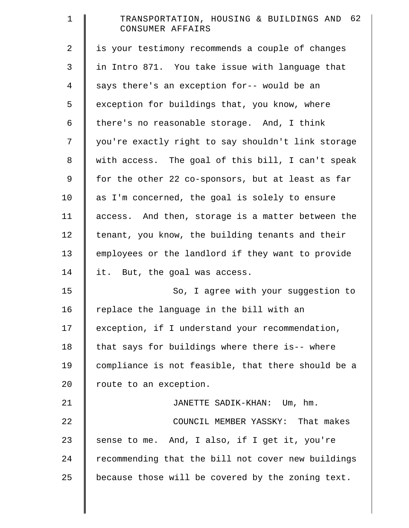| $\mathbf 1$    | TRANSPORTATION, HOUSING & BUILDINGS AND 62<br>CONSUMER AFFAIRS |
|----------------|----------------------------------------------------------------|
| 2              | is your testimony recommends a couple of changes               |
| 3              | in Intro 871. You take issue with language that                |
| $\overline{4}$ | says there's an exception for-- would be an                    |
| 5              | exception for buildings that, you know, where                  |
| 6              | there's no reasonable storage. And, I think                    |
| 7              | you're exactly right to say shouldn't link storage             |
| $8\,$          | with access. The goal of this bill, I can't speak              |
| $\mathsf 9$    | for the other 22 co-sponsors, but at least as far              |
| 10             | as I'm concerned, the goal is solely to ensure                 |
| 11             | access. And then, storage is a matter between the              |
| 12             | tenant, you know, the building tenants and their               |
| 13             | employees or the landlord if they want to provide              |
| 14             | it. But, the goal was access.                                  |
| 15             | So, I agree with your suggestion to                            |
| 16             | replace the language in the bill with an                       |
| 17             | exception, if I understand your recommendation,                |
| 18             | that says for buildings where there is-- where                 |
| 19             | compliance is not feasible, that there should be a             |
| 20             | route to an exception.                                         |
| 21             | JANETTE SADIK-KHAN: Um, hm.                                    |
| 22             | COUNCIL MEMBER YASSKY: That makes                              |
| 23             | sense to me. And, I also, if I get it, you're                  |
| 24             | recommending that the bill not cover new buildings             |
| 25             | because those will be covered by the zoning text.              |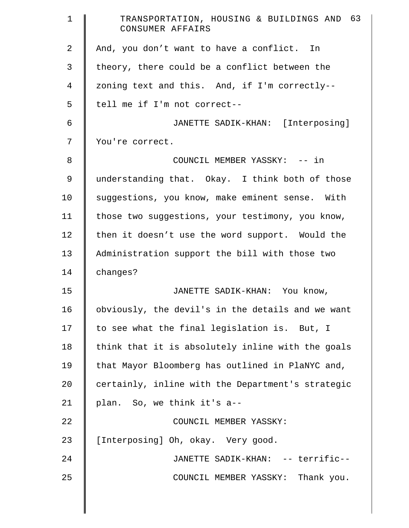| $\mathbf{1}$   | TRANSPORTATION, HOUSING & BUILDINGS AND 63<br>CONSUMER AFFAIRS |
|----------------|----------------------------------------------------------------|
| $\overline{2}$ | And, you don't want to have a conflict. In                     |
| 3              | theory, there could be a conflict between the                  |
| $\overline{4}$ | zoning text and this. And, if I'm correctly--                  |
| 5              | tell me if I'm not correct--                                   |
| 6              | JANETTE SADIK-KHAN: [Interposing]                              |
| 7              | You're correct.                                                |
| 8              | COUNCIL MEMBER YASSKY: -- in                                   |
| $\mathsf 9$    | understanding that. Okay. I think both of those                |
| 10             | suggestions, you know, make eminent sense. With                |
| 11             | those two suggestions, your testimony, you know,               |
| 12             | then it doesn't use the word support. Would the                |
| 13             | Administration support the bill with those two                 |
| 14             | changes?                                                       |
| 15             | JANETTE SADIK-KHAN: You know,                                  |
| 16             | obviously, the devil's in the details and we want              |
| 17             | to see what the final legislation is. But, I                   |
| 18             | think that it is absolutely inline with the goals              |
| 19             | that Mayor Bloomberg has outlined in PlaNYC and,               |
| 20             | certainly, inline with the Department's strategic              |
| 21             | plan. So, we think it's a--                                    |
| 22             | COUNCIL MEMBER YASSKY:                                         |
| 23             | [Interposing] Oh, okay. Very good.                             |
| 24             | JANETTE SADIK-KHAN: -- terrific--                              |
| 25             | COUNCIL MEMBER YASSKY: Thank you.                              |
|                |                                                                |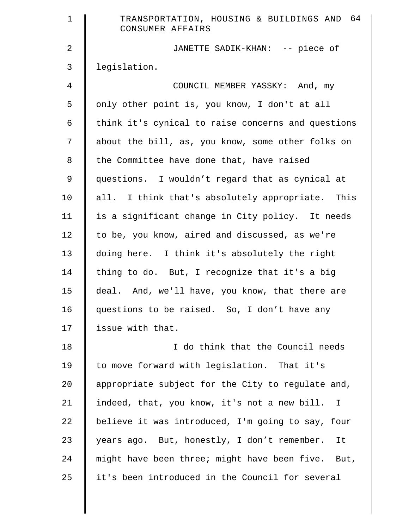| $\mathbf 1$    | TRANSPORTATION, HOUSING & BUILDINGS AND 64<br>CONSUMER AFFAIRS |
|----------------|----------------------------------------------------------------|
| $\overline{a}$ | JANETTE SADIK-KHAN: -- piece of                                |
| 3              | legislation.                                                   |
| $\overline{4}$ | COUNCIL MEMBER YASSKY: And, my                                 |
| 5              | only other point is, you know, I don't at all                  |
| 6              | think it's cynical to raise concerns and questions             |
| 7              | about the bill, as, you know, some other folks on              |
| 8              | the Committee have done that, have raised                      |
| 9              | questions. I wouldn't regard that as cynical at                |
| 10             | all. I think that's absolutely appropriate. This               |
| 11             | is a significant change in City policy. It needs               |
| 12             | to be, you know, aired and discussed, as we're                 |
| 13             | doing here. I think it's absolutely the right                  |
| 14             | thing to do. But, I recognize that it's a big                  |
| 15             | deal. And, we'll have, you know, that there are                |
| 16             | questions to be raised. So, I don't have any                   |
| 17             | issue with that.                                               |
| 18             | I do think that the Council needs                              |
| 19             | to move forward with legislation. That it's                    |
| 20             | appropriate subject for the City to regulate and,              |
| 21             | indeed, that, you know, it's not a new bill. I                 |
| 22             | believe it was introduced, I'm going to say, four              |
| 23             | years ago. But, honestly, I don't remember.<br>It              |
| 24             | might have been three; might have been five. But,              |
| 25             | it's been introduced in the Council for several                |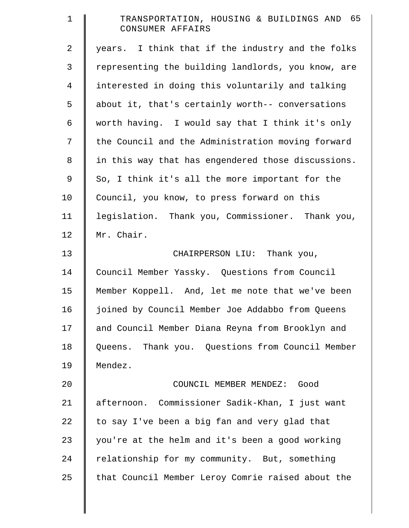| $\mathbf 1$    | TRANSPORTATION, HOUSING & BUILDINGS AND 65<br>CONSUMER AFFAIRS |
|----------------|----------------------------------------------------------------|
| $\overline{2}$ | years. I think that if the industry and the folks              |
| 3              | representing the building landlords, you know, are             |
| $\overline{4}$ | interested in doing this voluntarily and talking               |
| 5              | about it, that's certainly worth-- conversations               |
| 6              | worth having. I would say that I think it's only               |
| 7              | the Council and the Administration moving forward              |
| $\,8\,$        | in this way that has engendered those discussions.             |
| 9              | So, I think it's all the more important for the                |
| 10             | Council, you know, to press forward on this                    |
| 11             | legislation. Thank you, Commissioner. Thank you,               |
| 12             | Mr. Chair.                                                     |
| 13             | CHAIRPERSON LIU: Thank you,                                    |
| 14             | Council Member Yassky. Questions from Council                  |
| 15             | Member Koppell. And, let me note that we've been               |
| 16             | joined by Council Member Joe Addabbo from Queens               |
| 17             | and Council Member Diana Reyna from Brooklyn and               |
| 18             | Queens. Thank you. Questions from Council Member               |
| 19             | Mendez.                                                        |
| 20             | COUNCIL MEMBER MENDEZ:<br>Good                                 |
| 21             | afternoon. Commissioner Sadik-Khan, I just want                |
| 22             | to say I've been a big fan and very glad that                  |
| 23             | you're at the helm and it's been a good working                |
| 24             | relationship for my community. But, something                  |
| 25             | that Council Member Leroy Comrie raised about the              |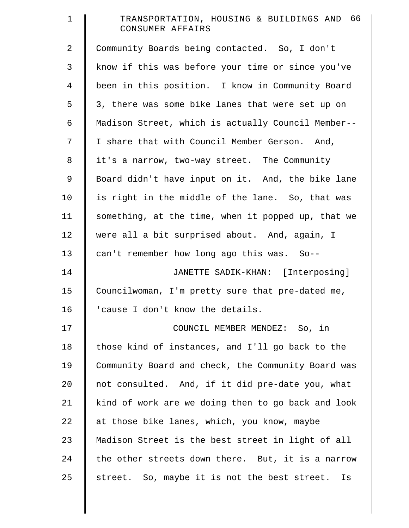| $\mathbf 1$    | TRANSPORTATION, HOUSING & BUILDINGS AND 66<br>CONSUMER AFFAIRS |
|----------------|----------------------------------------------------------------|
| $\overline{a}$ | Community Boards being contacted. So, I don't                  |
| 3              | know if this was before your time or since you've              |
| $\overline{4}$ | been in this position. I know in Community Board               |
| 5              | 3, there was some bike lanes that were set up on               |
| 6              | Madison Street, which is actually Council Member--             |
| 7              | I share that with Council Member Gerson. And,                  |
| $8\,$          | it's a narrow, two-way street. The Community                   |
| $\mathsf 9$    | Board didn't have input on it. And, the bike lane              |
| 10             | is right in the middle of the lane. So, that was               |
| 11             | something, at the time, when it popped up, that we             |
| 12             | were all a bit surprised about. And, again, I                  |
| 13             | can't remember how long ago this was. So--                     |
| 14             | JANETTE SADIK-KHAN: [Interposing]                              |
| 15             | Councilwoman, I'm pretty sure that pre-dated me,               |
| 16             | 'cause I don't know the details.                               |
| 17             | COUNCIL MEMBER MENDEZ: So, in                                  |
| 18             | those kind of instances, and I'll go back to the               |
| 19             | Community Board and check, the Community Board was             |
| 20             | not consulted. And, if it did pre-date you, what               |
| 21             | kind of work are we doing then to go back and look             |
| 22             | at those bike lanes, which, you know, maybe                    |
| 23             | Madison Street is the best street in light of all              |
| 24             | the other streets down there. But, it is a narrow              |
| 25             | street. So, maybe it is not the best street.<br>Is             |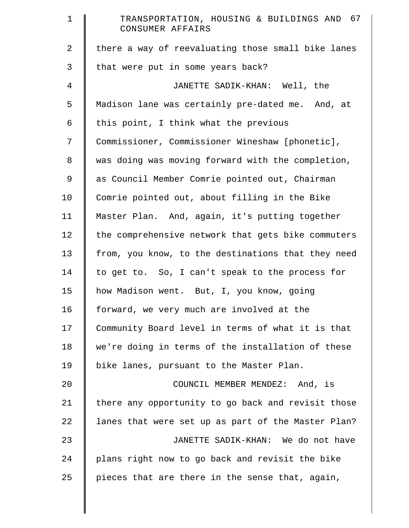| $\mathbf 1$    | TRANSPORTATION, HOUSING & BUILDINGS AND 67<br>CONSUMER AFFAIRS |
|----------------|----------------------------------------------------------------|
| $\overline{a}$ | there a way of reevaluating those small bike lanes             |
| 3              | that were put in some years back?                              |
| 4              | JANETTE SADIK-KHAN: Well, the                                  |
| 5              | Madison lane was certainly pre-dated me. And, at               |
| 6              | this point, I think what the previous                          |
| 7              | Commissioner, Commissioner Wineshaw [phonetic],                |
| 8              | was doing was moving forward with the completion,              |
| $\mathsf 9$    | as Council Member Comrie pointed out, Chairman                 |
| 10             | Comrie pointed out, about filling in the Bike                  |
| 11             | Master Plan. And, again, it's putting together                 |
| 12             | the comprehensive network that gets bike commuters             |
| 13             | from, you know, to the destinations that they need             |
| 14             | to get to. So, I can't speak to the process for                |
| 15             | how Madison went. But, I, you know, going                      |
| 16             | forward, we very much are involved at the                      |
| 17             | Community Board level in terms of what it is that              |
| 18             | we're doing in terms of the installation of these              |
| 19             | bike lanes, pursuant to the Master Plan.                       |
| 20             | COUNCIL MEMBER MENDEZ: And, is                                 |
| 21             | there any opportunity to go back and revisit those             |
| 22             | lanes that were set up as part of the Master Plan?             |
| 23             | JANETTE SADIK-KHAN: We do not have                             |
| 24             | plans right now to go back and revisit the bike                |
| 25             | pieces that are there in the sense that, again,                |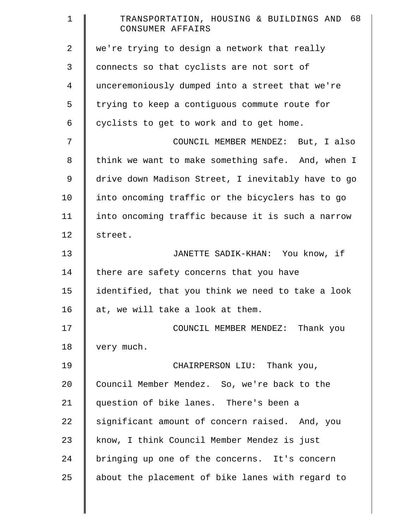| 1              | TRANSPORTATION, HOUSING & BUILDINGS AND 68<br>CONSUMER AFFAIRS |
|----------------|----------------------------------------------------------------|
| $\overline{a}$ | we're trying to design a network that really                   |
| 3              | connects so that cyclists are not sort of                      |
| 4              | unceremoniously dumped into a street that we're                |
| 5              | trying to keep a contiguous commute route for                  |
| 6              | cyclists to get to work and to get home.                       |
| 7              | COUNCIL MEMBER MENDEZ: But, I also                             |
| 8              | think we want to make something safe. And, when I              |
| 9              | drive down Madison Street, I inevitably have to go             |
| 10             | into oncoming traffic or the bicyclers has to go               |
| 11             | into oncoming traffic because it is such a narrow              |
| 12             | street.                                                        |
| 13             | JANETTE SADIK-KHAN: You know, if                               |
| 14             | there are safety concerns that you have                        |
| 15             | identified, that you think we need to take a look              |
| 16             | at, we will take a look at them.                               |
| 17             | COUNCIL MEMBER MENDEZ: Thank you                               |
| 18             | very much.                                                     |
| 19             | CHAIRPERSON LIU: Thank you,                                    |
| 20             | Council Member Mendez. So, we're back to the                   |
| 21             | question of bike lanes. There's been a                         |
| 22             | significant amount of concern raised. And, you                 |
| 23             | know, I think Council Member Mendez is just                    |
| 24             | bringing up one of the concerns. It's concern                  |
| 25             | about the placement of bike lanes with regard to               |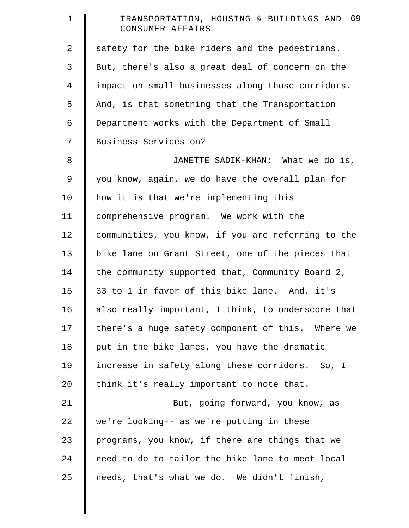| $\mathbf 1$    | TRANSPORTATION, HOUSING & BUILDINGS AND 69<br>CONSUMER AFFAIRS |
|----------------|----------------------------------------------------------------|
| 2              | safety for the bike riders and the pedestrians.                |
| 3              | But, there's also a great deal of concern on the               |
| $\overline{4}$ | impact on small businesses along those corridors.              |
| 5              | And, is that something that the Transportation                 |
| 6              | Department works with the Department of Small                  |
| 7              | Business Services on?                                          |
| 8              | JANETTE SADIK-KHAN: What we do is,                             |
| $\mathsf 9$    | you know, again, we do have the overall plan for               |
| 10             | how it is that we're implementing this                         |
| 11             | comprehensive program. We work with the                        |
| 12             | communities, you know, if you are referring to the             |
| 13             | bike lane on Grant Street, one of the pieces that              |
| 14             | the community supported that, Community Board 2,               |
| 15             | 33 to 1 in favor of this bike lane. And, it's                  |
| 16             | also really important, I think, to underscore that             |
| 17             | there's a huge safety component of this. Where we              |
| 18             | put in the bike lanes, you have the dramatic                   |
| 19             | increase in safety along these corridors. So, I                |
| 20             | think it's really important to note that.                      |
| 21             | But, going forward, you know, as                               |
| 22             | we're looking-- as we're putting in these                      |
| 23             | programs, you know, if there are things that we                |
| 24             | need to do to tailor the bike lane to meet local               |
| 25             | needs, that's what we do. We didn't finish,                    |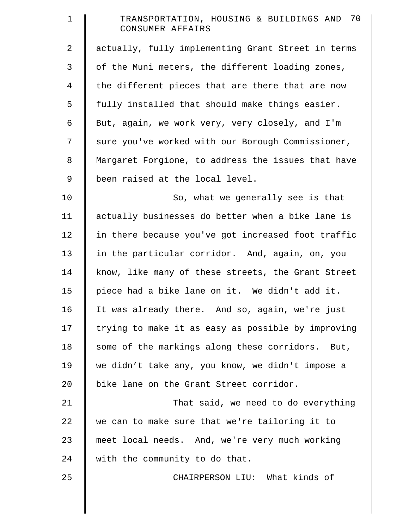| 1              | TRANSPORTATION, HOUSING & BUILDINGS AND 70<br>CONSUMER AFFAIRS |
|----------------|----------------------------------------------------------------|
| 2              | actually, fully implementing Grant Street in terms             |
| $\mathfrak{Z}$ | of the Muni meters, the different loading zones,               |
| $\overline{4}$ | the different pieces that are there that are now               |
| 5              | fully installed that should make things easier.                |
| 6              | But, again, we work very, very closely, and I'm                |
| 7              | sure you've worked with our Borough Commissioner,              |
| 8              | Margaret Forgione, to address the issues that have             |
| $\mathsf 9$    | been raised at the local level.                                |
| 10             | So, what we generally see is that                              |
| 11             | actually businesses do better when a bike lane is              |
| 12             | in there because you've got increased foot traffic             |
| 13             | in the particular corridor. And, again, on, you                |
| 14             | know, like many of these streets, the Grant Street             |
| 15             | piece had a bike lane on it. We didn't add it.                 |
| 16             | It was already there. And so, again, we're just                |
| 17             | trying to make it as easy as possible by improving             |
| 18             | some of the markings along these corridors. But,               |
| 19             | we didn't take any, you know, we didn't impose a               |
| 20             | bike lane on the Grant Street corridor.                        |
| 21             | That said, we need to do everything                            |
| 22             | we can to make sure that we're tailoring it to                 |
| 23             | meet local needs. And, we're very much working                 |
| 24             | with the community to do that.                                 |
| 25             | CHAIRPERSON LIU: What kinds of                                 |
|                |                                                                |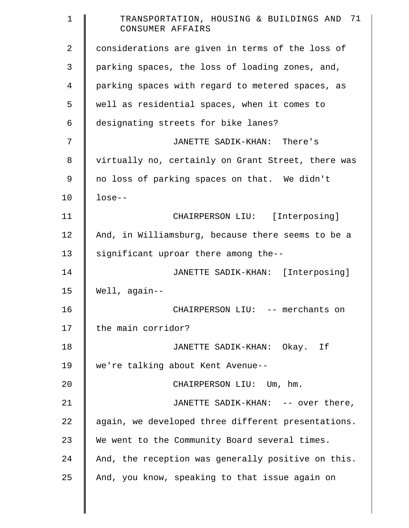| $\mathbf 1$ | TRANSPORTATION, HOUSING & BUILDINGS AND 71<br>CONSUMER AFFAIRS |
|-------------|----------------------------------------------------------------|
| 2           | considerations are given in terms of the loss of               |
| 3           | parking spaces, the loss of loading zones, and,                |
| 4           | parking spaces with regard to metered spaces, as               |
| 5           | well as residential spaces, when it comes to                   |
| 6           | designating streets for bike lanes?                            |
| 7           | JANETTE SADIK-KHAN: There's                                    |
| 8           | virtually no, certainly on Grant Street, there was             |
| 9           | no loss of parking spaces on that. We didn't                   |
| 10          | $lose--$                                                       |
| 11          | CHAIRPERSON LIU: [Interposing]                                 |
| 12          | And, in Williamsburg, because there seems to be a              |
| 13          | significant uproar there among the--                           |
| 14          | JANETTE SADIK-KHAN: [Interposing]                              |
| 15          | Well, again--                                                  |
| 16          | CHAIRPERSON LIU: -- merchants on                               |
| 17          | the main corridor?                                             |
| 18          | JANETTE SADIK-KHAN: Okay. If                                   |
| 19          | we're talking about Kent Avenue--                              |
| 20          | CHAIRPERSON LIU: Um, hm.                                       |
| 21          | JANETTE SADIK-KHAN: -- over there,                             |
| 22          | again, we developed three different presentations.             |
| 23          | We went to the Community Board several times.                  |
| 24          | And, the reception was generally positive on this.             |
| 25          | And, you know, speaking to that issue again on                 |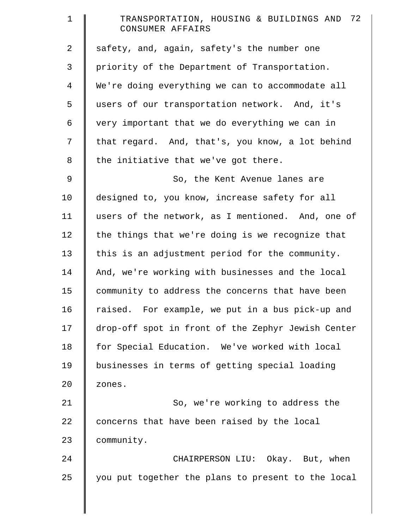| $\mathbf 1$    | TRANSPORTATION, HOUSING & BUILDINGS AND 72<br>CONSUMER AFFAIRS |
|----------------|----------------------------------------------------------------|
| 2              | safety, and, again, safety's the number one                    |
| 3              | priority of the Department of Transportation.                  |
| $\overline{4}$ | We're doing everything we can to accommodate all               |
| 5              | users of our transportation network. And, it's                 |
| 6              | very important that we do everything we can in                 |
| 7              | that regard. And, that's, you know, a lot behind               |
| $8\,$          | the initiative that we've got there.                           |
| 9              | So, the Kent Avenue lanes are                                  |
| 10             | designed to, you know, increase safety for all                 |
| 11             | users of the network, as I mentioned. And, one of              |
| 12             | the things that we're doing is we recognize that               |
| 13             | this is an adjustment period for the community.                |
| 14             | And, we're working with businesses and the local               |
| 15             | community to address the concerns that have been               |
| 16             | raised. For example, we put in a bus pick-up and               |
| 17             | drop-off spot in front of the Zephyr Jewish Center             |
| 18             | for Special Education. We've worked with local                 |
| 19             | businesses in terms of getting special loading                 |
| 20             | zones.                                                         |
| 21             | So, we're working to address the                               |
| 22             | concerns that have been raised by the local                    |
| 23             | community.                                                     |
| 24             | CHAIRPERSON LIU: Okay. But, when                               |
| 25             | you put together the plans to present to the local             |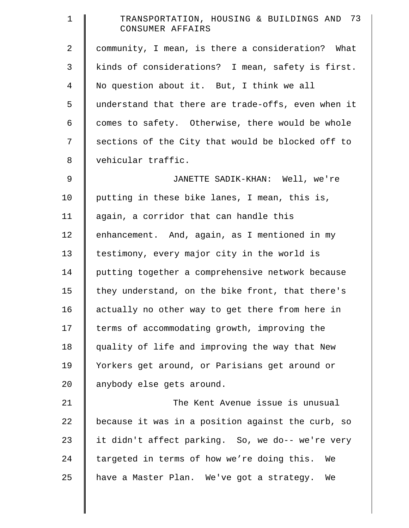| $\mathbf 1$ | TRANSPORTATION, HOUSING & BUILDINGS AND 73<br>CONSUMER AFFAIRS |
|-------------|----------------------------------------------------------------|
| 2           | community, I mean, is there a consideration? What              |
| 3           | kinds of considerations? I mean, safety is first.              |
| 4           | No question about it. But, I think we all                      |
| 5           | understand that there are trade-offs, even when it             |
| 6           | comes to safety. Otherwise, there would be whole               |
| 7           | sections of the City that would be blocked off to              |
| 8           | vehicular traffic.                                             |
| 9           | JANETTE SADIK-KHAN: Well, we're                                |
| 10          | putting in these bike lanes, I mean, this is,                  |
| 11          | again, a corridor that can handle this                         |
| 12          | enhancement. And, again, as I mentioned in my                  |
| 13          | testimony, every major city in the world is                    |
| 14          | putting together a comprehensive network because               |
| 15          | they understand, on the bike front, that there's               |
| 16          | actually no other way to get there from here in                |
| 17          | terms of accommodating growth, improving the                   |
| 18          | quality of life and improving the way that New                 |
| 19          | Yorkers get around, or Parisians get around or                 |
| 20          | anybody else gets around.                                      |
| 21          | The Kent Avenue issue is unusual                               |
| 22          | because it was in a position against the curb, so              |
| 23          | it didn't affect parking. So, we do-- we're very               |
| 24          | targeted in terms of how we're doing this. We                  |
| 25          | have a Master Plan. We've got a strategy.<br>We                |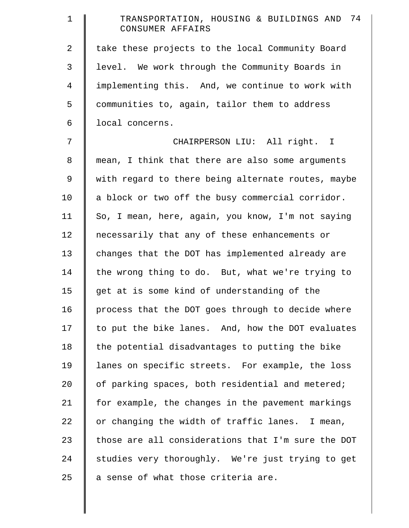| $\mathbf 1$    | TRANSPORTATION, HOUSING & BUILDINGS AND 74<br>CONSUMER AFFAIRS |
|----------------|----------------------------------------------------------------|
| 2              | take these projects to the local Community Board               |
| 3              | level. We work through the Community Boards in                 |
| $\overline{4}$ | implementing this. And, we continue to work with               |
| 5              | communities to, again, tailor them to address                  |
| 6              | local concerns.                                                |
| 7              | CHAIRPERSON LIU: All right. I                                  |
| 8              | mean, I think that there are also some arguments               |
| 9              | with regard to there being alternate routes, maybe             |
| 10             | a block or two off the busy commercial corridor.               |
| 11             | So, I mean, here, again, you know, I'm not saying              |
| 12             | necessarily that any of these enhancements or                  |
| 13             | changes that the DOT has implemented already are               |
| 14             | the wrong thing to do. But, what we're trying to               |
| 15             | get at is some kind of understanding of the                    |
| 16             | process that the DOT goes through to decide where              |
| 17             | to put the bike lanes. And, how the DOT evaluates              |
| 18             | the potential disadvantages to putting the bike                |
| 19             | lanes on specific streets. For example, the loss               |
| 20             | of parking spaces, both residential and metered;               |
| 21             | for example, the changes in the pavement markings              |
| 22             | or changing the width of traffic lanes. I mean,                |
| 23             | those are all considerations that I'm sure the DOT             |
| 24             | studies very thoroughly. We're just trying to get              |
| 25             | a sense of what those criteria are.                            |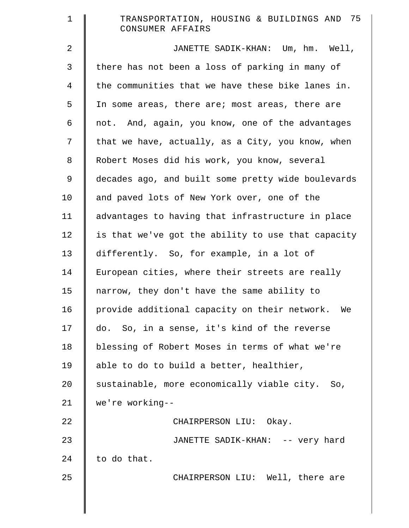| $\mathbf 1$    | TRANSPORTATION, HOUSING & BUILDINGS AND 75<br>CONSUMER AFFAIRS |
|----------------|----------------------------------------------------------------|
| 2              | JANETTE SADIK-KHAN: Um, hm. Well,                              |
| 3              | there has not been a loss of parking in many of                |
| $\overline{4}$ | the communities that we have these bike lanes in.              |
| 5              | In some areas, there are; most areas, there are                |
| 6              | not. And, again, you know, one of the advantages               |
| 7              | that we have, actually, as a City, you know, when              |
| 8              | Robert Moses did his work, you know, several                   |
| 9              | decades ago, and built some pretty wide boulevards             |
| 10             | and paved lots of New York over, one of the                    |
| 11             | advantages to having that infrastructure in place              |
| 12             | is that we've got the ability to use that capacity             |
| 13             | differently. So, for example, in a lot of                      |
| 14             | European cities, where their streets are really                |
| 15             | narrow, they don't have the same ability to                    |
| 16             | provide additional capacity on their network. We               |
| 17             | do. So, in a sense, it's kind of the reverse                   |
| 18             | blessing of Robert Moses in terms of what we're                |
| 19             | able to do to build a better, healthier,                       |
| 20             | sustainable, more economically viable city. So,                |
| 21             | we're working--                                                |
| 22             | CHAIRPERSON LIU: Okay.                                         |
| 23             | JANETTE SADIK-KHAN: -- very hard                               |
| 24             | to do that.                                                    |
| 25             | CHAIRPERSON LIU: Well, there are                               |
|                |                                                                |
|                |                                                                |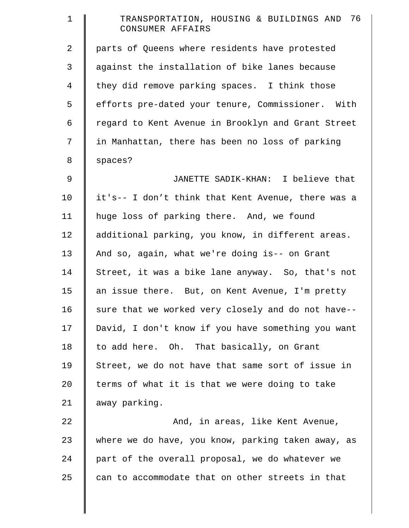| $\mathbf 1$    | TRANSPORTATION, HOUSING & BUILDINGS AND 76<br>CONSUMER AFFAIRS |
|----------------|----------------------------------------------------------------|
| $\overline{2}$ | parts of Queens where residents have protested                 |
| 3              | against the installation of bike lanes because                 |
| $\overline{4}$ | they did remove parking spaces. I think those                  |
| 5              | efforts pre-dated your tenure, Commissioner. With              |
| 6              | regard to Kent Avenue in Brooklyn and Grant Street             |
| 7              | in Manhattan, there has been no loss of parking                |
| 8              | spaces?                                                        |
| $\mathsf 9$    | JANETTE SADIK-KHAN: I believe that                             |
| 10             | it's-- I don't think that Kent Avenue, there was a             |
| 11             | huge loss of parking there. And, we found                      |
| 12             | additional parking, you know, in different areas.              |
| 13             | And so, again, what we're doing is-- on Grant                  |
| 14             | Street, it was a bike lane anyway. So, that's not              |
| 15             | an issue there. But, on Kent Avenue, I'm pretty                |
| 16             | sure that we worked very closely and do not have--             |
| 17             | David, I don't know if you have something you want             |
| 18             | to add here. Oh. That basically, on Grant                      |
| 19             | Street, we do not have that same sort of issue in              |
| 20             | terms of what it is that we were doing to take                 |
| 21             | away parking.                                                  |
| 22             | And, in areas, like Kent Avenue,                               |
| 23             | where we do have, you know, parking taken away, as             |
| 24             | part of the overall proposal, we do whatever we                |
| 25             | can to accommodate that on other streets in that               |
|                |                                                                |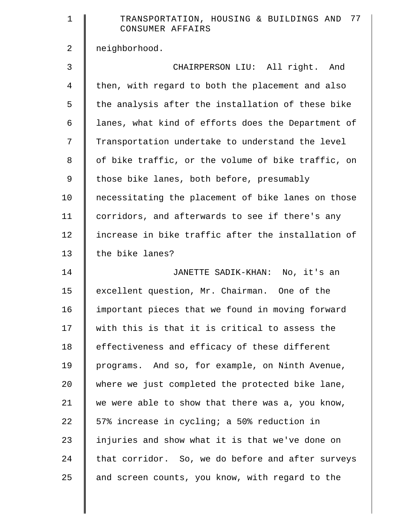| $\mathbf 1$    | TRANSPORTATION, HOUSING & BUILDINGS AND 77<br>CONSUMER AFFAIRS |
|----------------|----------------------------------------------------------------|
| $\overline{2}$ | neighborhood.                                                  |
| 3              | CHAIRPERSON LIU: All right. And                                |
| $\overline{4}$ | then, with regard to both the placement and also               |
| 5              | the analysis after the installation of these bike              |
| 6              | lanes, what kind of efforts does the Department of             |
| 7              | Transportation undertake to understand the level               |
| 8              | of bike traffic, or the volume of bike traffic, on             |
| 9              | those bike lanes, both before, presumably                      |
| 10             | necessitating the placement of bike lanes on those             |
| 11             | corridors, and afterwards to see if there's any                |
| 12             | increase in bike traffic after the installation of             |
| 13             | the bike lanes?                                                |
| 14             | JANETTE SADIK-KHAN: No, it's an                                |
| 15             | excellent question, Mr. Chairman. One of the                   |
| 16             | important pieces that we found in moving forward               |
| 17             | with this is that it is critical to assess the                 |
| 18             | effectiveness and efficacy of these different                  |
| 19             | programs. And so, for example, on Ninth Avenue,                |
| 20             | where we just completed the protected bike lane,               |
| 21             | we were able to show that there was a, you know,               |
| 22             | 57% increase in cycling; a 50% reduction in                    |
| 23             | injuries and show what it is that we've done on                |
| 24             | that corridor. So, we do before and after surveys              |
| 25             | and screen counts, you know, with regard to the                |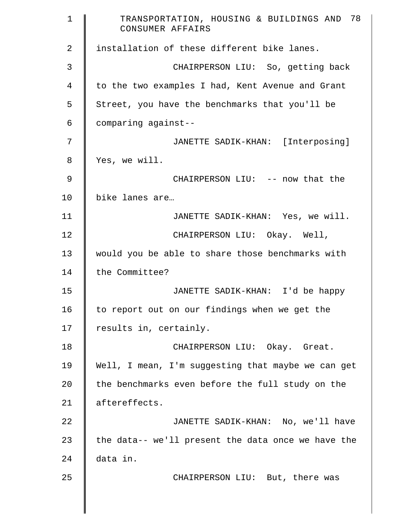| $\mathbf{1}$   | TRANSPORTATION, HOUSING & BUILDINGS AND 78<br>CONSUMER AFFAIRS |
|----------------|----------------------------------------------------------------|
| $\mathbf{2}$   | installation of these different bike lanes.                    |
| 3              | CHAIRPERSON LIU: So, getting back                              |
| $\overline{4}$ | to the two examples I had, Kent Avenue and Grant               |
| 5              | Street, you have the benchmarks that you'll be                 |
| 6              | comparing against--                                            |
| 7              | JANETTE SADIK-KHAN: [Interposing]                              |
| 8              | Yes, we will.                                                  |
| 9              | CHAIRPERSON LIU: -- now that the                               |
| 10             | bike lanes are                                                 |
| 11             | JANETTE SADIK-KHAN: Yes, we will.                              |
| 12             | CHAIRPERSON LIU: Okay. Well,                                   |
| 13             | would you be able to share those benchmarks with               |
| 14             | the Committee?                                                 |
| 15             | JANETTE SADIK-KHAN: I'd be happy                               |
| 16             | to report out on our findings when we get the                  |
| 17             | results in, certainly.                                         |
| 18             | CHAIRPERSON LIU: Okay. Great.                                  |
| 19             | Well, I mean, I'm suggesting that maybe we can get             |
| 20             | the benchmarks even before the full study on the               |
| 21             | aftereffects.                                                  |
| 22             | JANETTE SADIK-KHAN: No, we'll have                             |
| 23             | the data-- we'll present the data once we have the             |
| 24             | data in.                                                       |
| 25             | CHAIRPERSON LIU: But, there was                                |
|                |                                                                |
|                |                                                                |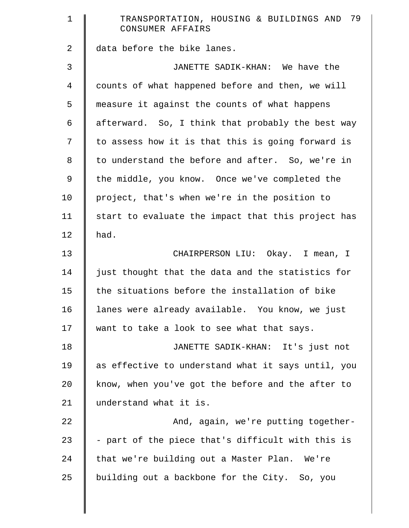| $\mathbf 1$ | 79<br>TRANSPORTATION, HOUSING & BUILDINGS AND<br>CONSUMER AFFAIRS |
|-------------|-------------------------------------------------------------------|
| 2           | data before the bike lanes.                                       |
| 3           | JANETTE SADIK-KHAN: We have the                                   |
| 4           | counts of what happened before and then, we will                  |
| 5           | measure it against the counts of what happens                     |
| 6           | afterward. So, I think that probably the best way                 |
| 7           | to assess how it is that this is going forward is                 |
| 8           | to understand the before and after. So, we're in                  |
| 9           | the middle, you know. Once we've completed the                    |
| 10          | project, that's when we're in the position to                     |
| 11          | start to evaluate the impact that this project has                |
| 12          | had.                                                              |
| 13          | CHAIRPERSON LIU: Okay. I mean, I                                  |
| 14          | just thought that the data and the statistics for                 |
| 15          | the situations before the installation of bike                    |
| 16          | lanes were already available. You know, we just                   |
| 17          | want to take a look to see what that says.                        |
| 18          | JANETTE SADIK-KHAN: It's just not                                 |
| 19          | as effective to understand what it says until, you                |
| 20          | know, when you've got the before and the after to                 |
| 21          | understand what it is.                                            |
| 22          | And, again, we're putting together-                               |
| 23          | - part of the piece that's difficult with this is                 |
| 24          | that we're building out a Master Plan. We're                      |
| 25          | building out a backbone for the City. So, you                     |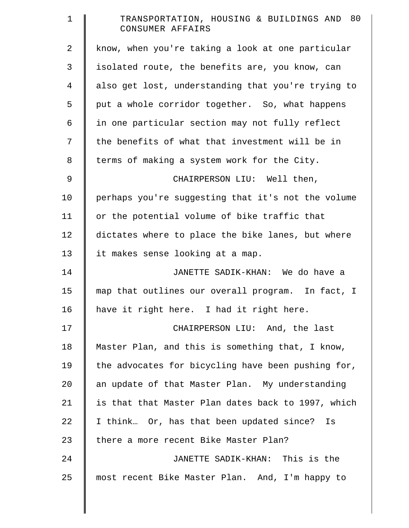| $\mathbf 1$ | TRANSPORTATION, HOUSING & BUILDINGS AND 80<br>CONSUMER AFFAIRS |
|-------------|----------------------------------------------------------------|
| 2           | know, when you're taking a look at one particular              |
| 3           | isolated route, the benefits are, you know, can                |
| 4           | also get lost, understanding that you're trying to             |
| 5           | put a whole corridor together. So, what happens                |
| 6           | in one particular section may not fully reflect                |
| 7           | the benefits of what that investment will be in                |
| 8           | terms of making a system work for the City.                    |
| 9           | CHAIRPERSON LIU: Well then,                                    |
| 10          | perhaps you're suggesting that it's not the volume             |
| 11          | or the potential volume of bike traffic that                   |
| 12          | dictates where to place the bike lanes, but where              |
| 13          | it makes sense looking at a map.                               |
| 14          | JANETTE SADIK-KHAN: We do have a                               |
| 15          | map that outlines our overall program. In fact, I              |
| 16          | have it right here. I had it right here.                       |
| 17          | CHAIRPERSON LIU: And, the last                                 |
| 18          | Master Plan, and this is something that, I know,               |
| 19          | the advocates for bicycling have been pushing for,             |
| 20          | an update of that Master Plan. My understanding                |
| 21          | is that that Master Plan dates back to 1997, which             |
| 22          | I think Or, has that been updated since? Is                    |
| 23          | there a more recent Bike Master Plan?                          |
| 24          | JANETTE SADIK-KHAN: This is the                                |
| 25          | most recent Bike Master Plan. And, I'm happy to                |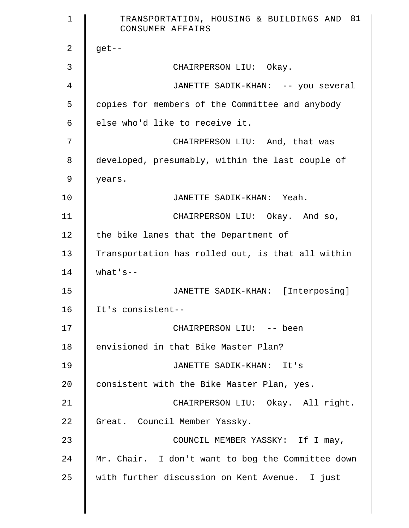| $\mathbf{1}$   | TRANSPORTATION, HOUSING & BUILDINGS AND 81<br>CONSUMER AFFAIRS |
|----------------|----------------------------------------------------------------|
| 2              | $get--$                                                        |
| 3              | CHAIRPERSON LIU: Okay.                                         |
| $\overline{4}$ | JANETTE SADIK-KHAN: -- you several                             |
| 5              | copies for members of the Committee and anybody                |
| 6              | else who'd like to receive it.                                 |
| 7              | CHAIRPERSON LIU: And, that was                                 |
| 8              | developed, presumably, within the last couple of               |
| 9              | years.                                                         |
| 10             | JANETTE SADIK-KHAN: Yeah.                                      |
| 11             | CHAIRPERSON LIU: Okay. And so,                                 |
| 12             | the bike lanes that the Department of                          |
| 13             | Transportation has rolled out, is that all within              |
| 14             | $what's --$                                                    |
| 15             | JANETTE SADIK-KHAN: [Interposing]                              |
| 16             | It's consistent--                                              |
| 17             | CHAIRPERSON LIU: -- been                                       |
| 18             | envisioned in that Bike Master Plan?                           |
| 19             | JANETTE SADIK-KHAN: It's                                       |
| 20             | consistent with the Bike Master Plan, yes.                     |
| 21             | CHAIRPERSON LIU: Okay. All right.                              |
| 22             | Great. Council Member Yassky.                                  |
| 23             | COUNCIL MEMBER YASSKY: If I may,                               |
| 24             | Mr. Chair. I don't want to bog the Committee down              |
| 25             | with further discussion on Kent Avenue. I just                 |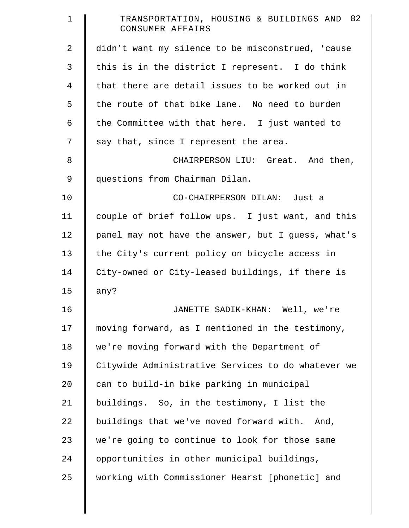| 1  | TRANSPORTATION, HOUSING & BUILDINGS AND 82<br>CONSUMER AFFAIRS |
|----|----------------------------------------------------------------|
| 2  | didn't want my silence to be misconstrued, 'cause              |
| 3  | this is in the district I represent. I do think                |
| 4  | that there are detail issues to be worked out in               |
| 5  | the route of that bike lane. No need to burden                 |
| 6  | the Committee with that here. I just wanted to                 |
| 7  | say that, since I represent the area.                          |
| 8  | CHAIRPERSON LIU: Great. And then,                              |
| 9  | questions from Chairman Dilan.                                 |
| 10 | CO-CHAIRPERSON DILAN: Just a                                   |
| 11 | couple of brief follow ups. I just want, and this              |
| 12 | panel may not have the answer, but I guess, what's             |
| 13 | the City's current policy on bicycle access in                 |
| 14 | City-owned or City-leased buildings, if there is               |
| 15 | any?                                                           |
| 16 | JANETTE SADIK-KHAN: Well, we're                                |
| 17 | moving forward, as I mentioned in the testimony,               |
| 18 | we're moving forward with the Department of                    |
| 19 | Citywide Administrative Services to do whatever we             |
| 20 | can to build-in bike parking in municipal                      |
| 21 | buildings. So, in the testimony, I list the                    |
| 22 | buildings that we've moved forward with.<br>And,               |
| 23 | we're going to continue to look for those same                 |
| 24 | opportunities in other municipal buildings,                    |
| 25 | working with Commissioner Hearst [phonetic] and                |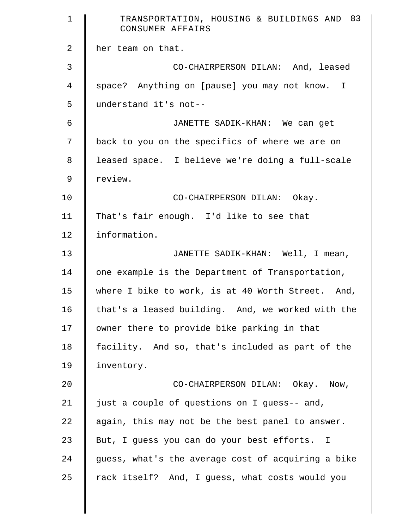| $\mathbf 1$    | TRANSPORTATION, HOUSING & BUILDINGS AND 83<br>CONSUMER AFFAIRS |
|----------------|----------------------------------------------------------------|
| $\mathbf{2}$   | her team on that.                                              |
| 3              | CO-CHAIRPERSON DILAN: And, leased                              |
| $\overline{4}$ | space? Anything on [pause] you may not know. I                 |
| 5              | understand it's not--                                          |
| 6              | JANETTE SADIK-KHAN: We can get                                 |
| 7              | back to you on the specifics of where we are on                |
| 8              | leased space. I believe we're doing a full-scale               |
| 9              | review.                                                        |
| 10             | CO-CHAIRPERSON DILAN: Okay.                                    |
| 11             | That's fair enough. I'd like to see that                       |
| 12             | information.                                                   |
| 13             | JANETTE SADIK-KHAN: Well, I mean,                              |
| 14             | one example is the Department of Transportation,               |
| 15             | where I bike to work, is at 40 Worth Street. And,              |
| 16             | that's a leased building. And, we worked with the              |
| 17             | owner there to provide bike parking in that                    |
| 18             | facility. And so, that's included as part of the               |
| 19             | inventory.                                                     |
| 20             | CO-CHAIRPERSON DILAN: Okay. Now,                               |
| 21             | just a couple of questions on I guess-- and,                   |
| 22             | again, this may not be the best panel to answer.               |
| 23             | But, I guess you can do your best efforts. I                   |
| 24             | guess, what's the average cost of acquiring a bike             |
| 25             | rack itself? And, I guess, what costs would you                |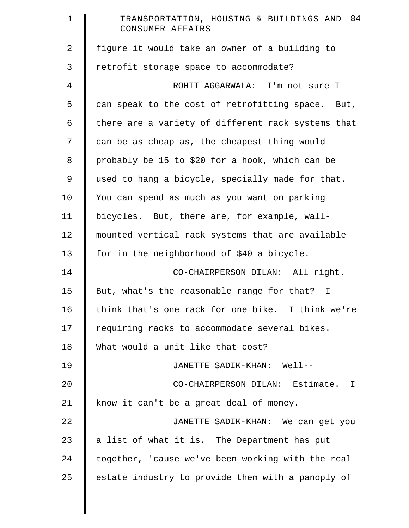| $\mathbf 1$    | TRANSPORTATION, HOUSING & BUILDINGS AND 84<br>CONSUMER AFFAIRS |
|----------------|----------------------------------------------------------------|
| $\overline{2}$ | figure it would take an owner of a building to                 |
| 3              | retrofit storage space to accommodate?                         |
| $\overline{4}$ | ROHIT AGGARWALA: I'm not sure I                                |
| 5              | can speak to the cost of retrofitting space. But,              |
| 6              | there are a variety of different rack systems that             |
| 7              | can be as cheap as, the cheapest thing would                   |
| 8              | probably be 15 to \$20 for a hook, which can be                |
| 9              | used to hang a bicycle, specially made for that.               |
| 10             | You can spend as much as you want on parking                   |
| 11             | bicycles. But, there are, for example, wall-                   |
| 12             | mounted vertical rack systems that are available               |
| 13             | for in the neighborhood of \$40 a bicycle.                     |
| 14             | CO-CHAIRPERSON DILAN: All right.                               |
| 15             | But, what's the reasonable range for that? I                   |
| 16             | think that's one rack for one bike. I think we're              |
| 17             | requiring racks to accommodate several bikes.                  |
| 18             | What would a unit like that cost?                              |
| 19             | JANETTE SADIK-KHAN: Well--                                     |
| 20             | CO-CHAIRPERSON DILAN: Estimate. I                              |
| 21             | know it can't be a great deal of money.                        |
| 22             | JANETTE SADIK-KHAN: We can get you                             |
| 23             | a list of what it is. The Department has put                   |
| 24             | together, 'cause we've been working with the real              |
| 25             | estate industry to provide them with a panoply of              |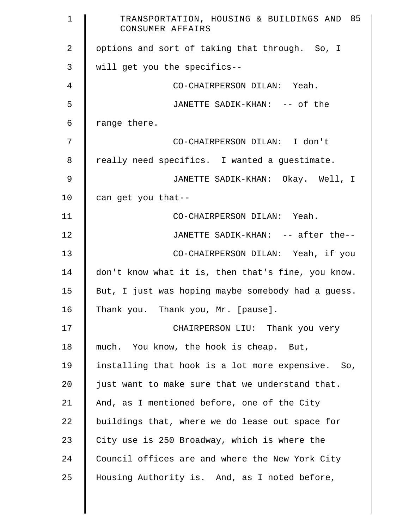| $\mathbf 1$ | TRANSPORTATION, HOUSING & BUILDINGS AND 85<br>CONSUMER AFFAIRS |
|-------------|----------------------------------------------------------------|
| 2           | options and sort of taking that through. So, I                 |
| 3           | will get you the specifics--                                   |
| 4           | CO-CHAIRPERSON DILAN: Yeah.                                    |
| 5           | JANETTE SADIK-KHAN: -- of the                                  |
| 6           | range there.                                                   |
| 7           | CO-CHAIRPERSON DILAN: I don't                                  |
| 8           | really need specifics. I wanted a guestimate.                  |
| $\mathsf 9$ | JANETTE SADIK-KHAN: Okay. Well, I                              |
| 10          | can get you that--                                             |
| 11          | CO-CHAIRPERSON DILAN: Yeah.                                    |
| 12          | JANETTE SADIK-KHAN: -- after the--                             |
| 13          | CO-CHAIRPERSON DILAN: Yeah, if you                             |
| 14          | don't know what it is, then that's fine, you know.             |
| 15          | But, I just was hoping maybe somebody had a guess.             |
| 16          | Thank you. Thank you, Mr. [pause].                             |
| 17          | CHAIRPERSON LIU: Thank you very                                |
| 18          | much. You know, the hook is cheap. But,                        |
| 19          | installing that hook is a lot more expensive. So,              |
| 20          | just want to make sure that we understand that.                |
| 21          | And, as I mentioned before, one of the City                    |
| 22          | buildings that, where we do lease out space for                |
| 23          | City use is 250 Broadway, which is where the                   |
| 24          | Council offices are and where the New York City                |
| 25          | Housing Authority is. And, as I noted before,                  |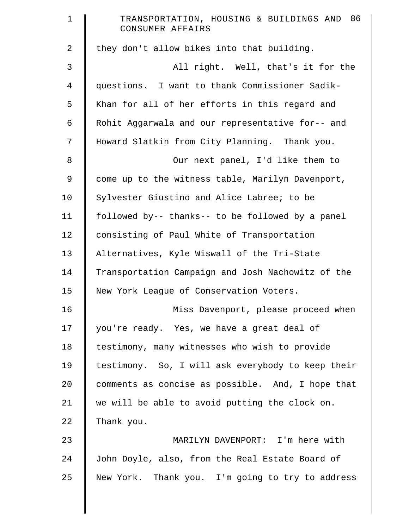| $\mathbf 1$ | TRANSPORTATION, HOUSING & BUILDINGS AND 86<br>CONSUMER AFFAIRS |
|-------------|----------------------------------------------------------------|
| 2           | they don't allow bikes into that building.                     |
| 3           | All right. Well, that's it for the                             |
| 4           | questions. I want to thank Commissioner Sadik-                 |
| 5           | Khan for all of her efforts in this regard and                 |
| 6           | Rohit Aggarwala and our representative for-- and               |
| 7           | Howard Slatkin from City Planning. Thank you.                  |
| $\,8\,$     | Our next panel, I'd like them to                               |
| 9           | come up to the witness table, Marilyn Davenport,               |
| 10          | Sylvester Giustino and Alice Labree; to be                     |
| 11          | followed by-- thanks-- to be followed by a panel               |
| 12          | consisting of Paul White of Transportation                     |
| 13          | Alternatives, Kyle Wiswall of the Tri-State                    |
| 14          | Transportation Campaign and Josh Nachowitz of the              |
| 15          | New York League of Conservation Voters.                        |
| 16          | Miss Davenport, please proceed when                            |
| 17          | you're ready. Yes, we have a great deal of                     |
| 18          | testimony, many witnesses who wish to provide                  |
| 19          | testimony. So, I will ask everybody to keep their              |
| 20          | comments as concise as possible. And, I hope that              |
| 21          | we will be able to avoid putting the clock on.                 |
| 22          | Thank you.                                                     |
| 23          | MARILYN DAVENPORT: I'm here with                               |
| 24          | John Doyle, also, from the Real Estate Board of                |
| 25          | New York. Thank you. I'm going to try to address               |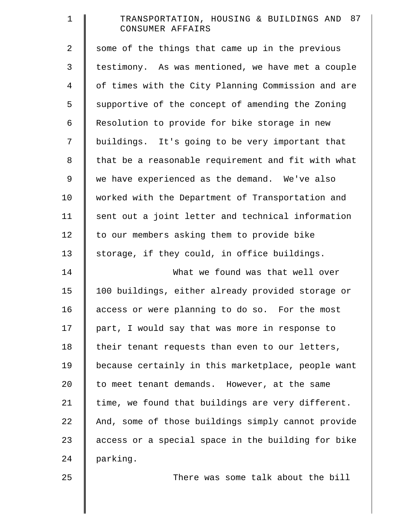| $\mathbf 1$ | TRANSPORTATION, HOUSING & BUILDINGS AND 87<br>CONSUMER AFFAIRS |
|-------------|----------------------------------------------------------------|
| 2           | some of the things that came up in the previous                |
| 3           | testimony. As was mentioned, we have met a couple              |
| 4           | of times with the City Planning Commission and are             |
| 5           | supportive of the concept of amending the Zoning               |
| 6           | Resolution to provide for bike storage in new                  |
| 7           | buildings. It's going to be very important that                |
| 8           | that be a reasonable requirement and fit with what             |
| 9           | we have experienced as the demand. We've also                  |
| 10          | worked with the Department of Transportation and               |
| 11          | sent out a joint letter and technical information              |
| 12          | to our members asking them to provide bike                     |
| 13          | storage, if they could, in office buildings.                   |
| 14          | What we found was that well over                               |
| 15          | 100 buildings, either already provided storage or              |
| 16          | access or were planning to do so. For the most                 |
| 17          | part, I would say that was more in response to                 |
| 18          | their tenant requests than even to our letters,                |
| 19          | because certainly in this marketplace, people want             |
| 20          | to meet tenant demands. However, at the same                   |
| 21          | time, we found that buildings are very different.              |
| 22          | And, some of those buildings simply cannot provide             |
| 23          | access or a special space in the building for bike             |
| 24          | parking.                                                       |
| 25          | There was some talk about the bill                             |

║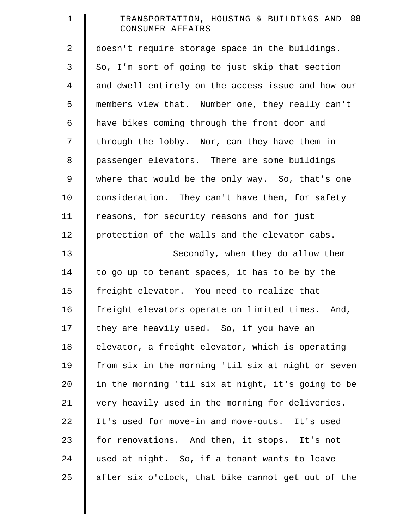| $\mathbf 1$    | TRANSPORTATION, HOUSING & BUILDINGS AND 88<br>CONSUMER AFFAIRS |
|----------------|----------------------------------------------------------------|
| $\overline{2}$ | doesn't require storage space in the buildings.                |
| 3              | So, I'm sort of going to just skip that section                |
| $\overline{4}$ | and dwell entirely on the access issue and how our             |
| 5              | members view that. Number one, they really can't               |
| 6              | have bikes coming through the front door and                   |
| 7              | through the lobby. Nor, can they have them in                  |
| 8              | passenger elevators. There are some buildings                  |
| 9              | where that would be the only way. So, that's one               |
| 10             | consideration. They can't have them, for safety                |
| 11             | reasons, for security reasons and for just                     |
| 12             | protection of the walls and the elevator cabs.                 |
| 13             | Secondly, when they do allow them                              |
| 14             | to go up to tenant spaces, it has to be by the                 |
| 15             | freight elevator. You need to realize that                     |
| 16             | freight elevators operate on limited times. And,               |
| 17             | they are heavily used. So, if you have an                      |
| 18             | elevator, a freight elevator, which is operating               |
| 19             | from six in the morning 'til six at night or seven             |
| 20             | in the morning 'til six at night, it's going to be             |
| 21             | very heavily used in the morning for deliveries.               |
| 22             | It's used for move-in and move-outs. It's used                 |
| 23             | for renovations. And then, it stops. It's not                  |
| 24             | used at night. So, if a tenant wants to leave                  |
| 25             | after six o'clock, that bike cannot get out of the             |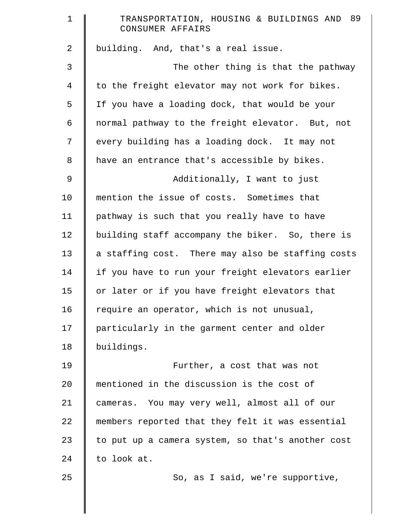| $\mathbf 1$    | TRANSPORTATION, HOUSING & BUILDINGS AND 89<br>CONSUMER AFFAIRS |
|----------------|----------------------------------------------------------------|
| $\overline{2}$ | building. And, that's a real issue.                            |
| 3              | The other thing is that the pathway                            |
| $\overline{4}$ | to the freight elevator may not work for bikes.                |
| 5              | If you have a loading dock, that would be your                 |
| 6              | normal pathway to the freight elevator. But, not               |
| 7              | every building has a loading dock. It may not                  |
| 8              | have an entrance that's accessible by bikes.                   |
| 9              | Additionally, I want to just                                   |
| 10             | mention the issue of costs. Sometimes that                     |
| 11             | pathway is such that you really have to have                   |
| 12             | building staff accompany the biker. So, there is               |
| 13             | a staffing cost. There may also be staffing costs              |
| 14             | if you have to run your freight elevators earlier              |
| 15             | or later or if you have freight elevators that                 |
| 16             | require an operator, which is not unusual,                     |
| 17             | particularly in the garment center and older                   |
| 18             | buildings.                                                     |
| 19             | Further, a cost that was not                                   |
| 20             | mentioned in the discussion is the cost of                     |
| 21             | cameras. You may very well, almost all of our                  |
| 22             | members reported that they felt it was essential               |
| 23             | to put up a camera system, so that's another cost              |
| 24             | to look at.                                                    |
| 25             | So, as I said, we're supportive,                               |
|                |                                                                |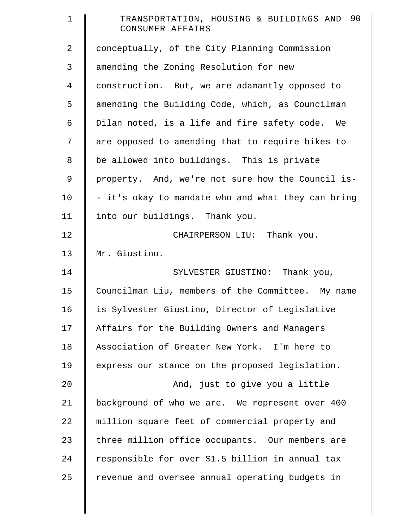| $\mathbf 1$ | TRANSPORTATION, HOUSING & BUILDINGS AND 90<br>CONSUMER AFFAIRS |
|-------------|----------------------------------------------------------------|
| 2           | conceptually, of the City Planning Commission                  |
| 3           | amending the Zoning Resolution for new                         |
| 4           | construction. But, we are adamantly opposed to                 |
| 5           | amending the Building Code, which, as Councilman               |
| 6           | Dilan noted, is a life and fire safety code. We                |
| 7           | are opposed to amending that to require bikes to               |
| 8           | be allowed into buildings. This is private                     |
| 9           | property. And, we're not sure how the Council is-              |
| 10          | - it's okay to mandate who and what they can bring             |
| 11          | into our buildings. Thank you.                                 |
| 12          | CHAIRPERSON LIU: Thank you.                                    |
| 13          | Mr. Giustino.                                                  |
| 14          | SYLVESTER GIUSTINO: Thank you,                                 |
| 15          | Councilman Liu, members of the Committee. My name              |
| 16          | is Sylvester Giustino, Director of Legislative                 |
| 17          | Affairs for the Building Owners and Managers                   |
| 18          | Association of Greater New York. I'm here to                   |
| 19          | express our stance on the proposed legislation.                |
| 20          | And, just to give you a little                                 |
| 21          | background of who we are. We represent over 400                |
| 22          | million square feet of commercial property and                 |
| 23          | three million office occupants. Our members are                |
| 24          | responsible for over \$1.5 billion in annual tax               |
| 25          | revenue and oversee annual operating budgets in                |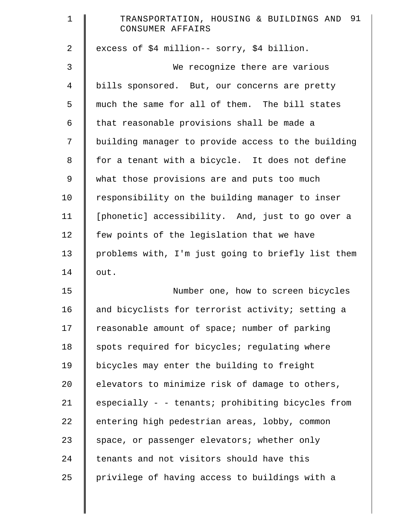| $\mathbf 1$ | TRANSPORTATION, HOUSING & BUILDINGS AND 91<br>CONSUMER AFFAIRS |
|-------------|----------------------------------------------------------------|
| 2           | excess of \$4 million-- sorry, \$4 billion.                    |
| 3           | We recognize there are various                                 |
| 4           | bills sponsored. But, our concerns are pretty                  |
| 5           | much the same for all of them. The bill states                 |
| 6           | that reasonable provisions shall be made a                     |
| 7           | building manager to provide access to the building             |
| 8           | for a tenant with a bicycle. It does not define                |
| 9           | what those provisions are and puts too much                    |
| 10          | responsibility on the building manager to inser                |
| 11          | [phonetic] accessibility. And, just to go over a               |
| 12          | few points of the legislation that we have                     |
| 13          | problems with, I'm just going to briefly list them             |
| 14          | out.                                                           |
| 15          | Number one, how to screen bicycles                             |
| 16          | and bicyclists for terrorist activity; setting a               |
| 17          | reasonable amount of space; number of parking                  |
| 18          | spots required for bicycles; regulating where                  |
| 19          | bicycles may enter the building to freight                     |
| $20 \,$     | elevators to minimize risk of damage to others,                |
| 21          | especially - - tenants; prohibiting bicycles from              |
| 22          | entering high pedestrian areas, lobby, common                  |
| 23          | space, or passenger elevators; whether only                    |
| 24          | tenants and not visitors should have this                      |
| 25          | privilege of having access to buildings with a                 |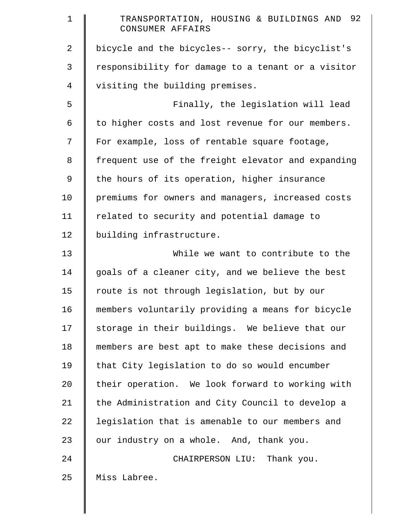| $\mathbf 1$ | TRANSPORTATION, HOUSING & BUILDINGS AND 92<br>CONSUMER AFFAIRS |
|-------------|----------------------------------------------------------------|
| 2           | bicycle and the bicycles-- sorry, the bicyclist's              |
| 3           | responsibility for damage to a tenant or a visitor             |
| 4           | visiting the building premises.                                |
| 5           | Finally, the legislation will lead                             |
| 6           | to higher costs and lost revenue for our members.              |
| 7           | For example, loss of rentable square footage,                  |
| 8           | frequent use of the freight elevator and expanding             |
| 9           | the hours of its operation, higher insurance                   |
| 10          | premiums for owners and managers, increased costs              |
| 11          | related to security and potential damage to                    |
| 12          | building infrastructure.                                       |
| 13          | While we want to contribute to the                             |
| 14          | goals of a cleaner city, and we believe the best               |
| 15          | route is not through legislation, but by our                   |
| 16          | members voluntarily providing a means for bicycle              |
| 17          | storage in their buildings. We believe that our                |
| 18          | members are best apt to make these decisions and               |
| 19          | that City legislation to do so would encumber                  |
| 20          | their operation. We look forward to working with               |
| 21          | the Administration and City Council to develop a               |
| 22          | legislation that is amenable to our members and                |
| 23          | our industry on a whole. And, thank you.                       |
| 24          | CHAIRPERSON LIU: Thank you.                                    |
| 25          | Miss Labree.                                                   |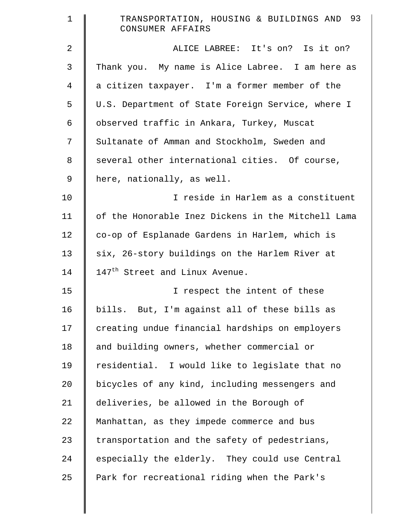| $\mathbf 1$ | TRANSPORTATION, HOUSING & BUILDINGS AND 93<br>CONSUMER AFFAIRS |
|-------------|----------------------------------------------------------------|
| 2           | ALICE LABREE: It's on? Is it on?                               |
| 3           | Thank you. My name is Alice Labree. I am here as               |
| 4           | a citizen taxpayer. I'm a former member of the                 |
| 5           | U.S. Department of State Foreign Service, where I              |
| 6           | observed traffic in Ankara, Turkey, Muscat                     |
| 7           | Sultanate of Amman and Stockholm, Sweden and                   |
| 8           | several other international cities. Of course,                 |
| 9           | here, nationally, as well.                                     |
| 10          | I reside in Harlem as a constituent                            |
| 11          | of the Honorable Inez Dickens in the Mitchell Lama             |
| 12          | co-op of Esplanade Gardens in Harlem, which is                 |
| 13          | six, 26-story buildings on the Harlem River at                 |
| 14          | 147 <sup>th</sup> Street and Linux Avenue.                     |
| 15          | I respect the intent of these                                  |
| 16          | bills. But, I'm against all of these bills as                  |
| 17          | creating undue financial hardships on employers                |
| 18          | and building owners, whether commercial or                     |
| 19          | residential. I would like to legislate that no                 |
| 20          | bicycles of any kind, including messengers and                 |
| 21          | deliveries, be allowed in the Borough of                       |
| 22          | Manhattan, as they impede commerce and bus                     |
| 23          | transportation and the safety of pedestrians,                  |
| 24          | especially the elderly. They could use Central                 |
| 25          | Park for recreational riding when the Park's                   |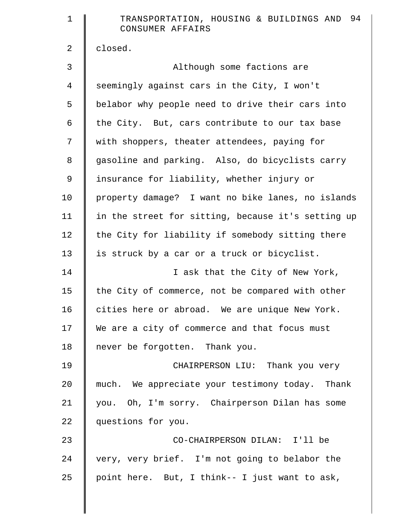| $\mathbf 1$    | 94<br>TRANSPORTATION, HOUSING & BUILDINGS AND<br>CONSUMER AFFAIRS |
|----------------|-------------------------------------------------------------------|
| $\overline{2}$ | closed.                                                           |
| 3              | Although some factions are                                        |
| 4              | seemingly against cars in the City, I won't                       |
| 5              | belabor why people need to drive their cars into                  |
| 6              | the City. But, cars contribute to our tax base                    |
| 7              | with shoppers, theater attendees, paying for                      |
| $\,8\,$        | gasoline and parking. Also, do bicyclists carry                   |
| 9              | insurance for liability, whether injury or                        |
| 10             | property damage? I want no bike lanes, no islands                 |
| 11             | in the street for sitting, because it's setting up                |
| 12             | the City for liability if somebody sitting there                  |
| 13             | is struck by a car or a truck or bicyclist.                       |
| 14             | I ask that the City of New York,                                  |
| 15             | the City of commerce, not be compared with other                  |
| 16             | cities here or abroad. We are unique New York.                    |
| 17             | We are a city of commerce and that focus must                     |
| 18             | never be forgotten. Thank you.                                    |
| 19             | CHAIRPERSON LIU: Thank you very                                   |
| 20             | much. We appreciate your testimony today. Thank                   |
| 21             | you. Oh, I'm sorry. Chairperson Dilan has some                    |
| 22             | questions for you.                                                |
| 23             | CO-CHAIRPERSON DILAN: I'll be                                     |
| 24             | very, very brief. I'm not going to belabor the                    |
| 25             | point here. But, I think-- I just want to ask,                    |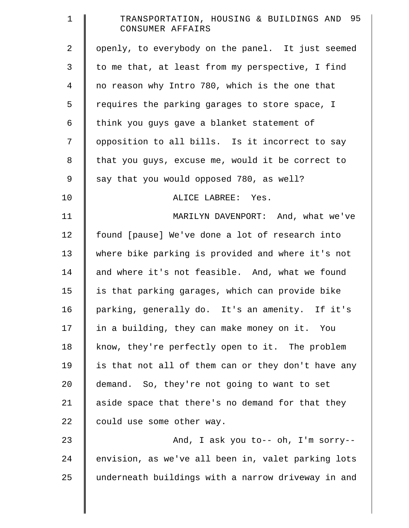| TRANSPORTATION, HOUSING & BUILDINGS AND 95<br>CONSUMER AFFAIRS |
|----------------------------------------------------------------|
| openly, to everybody on the panel. It just seemed              |
| to me that, at least from my perspective, I find               |
| no reason why Intro 780, which is the one that                 |
| requires the parking garages to store space, I                 |
| think you guys gave a blanket statement of                     |
| opposition to all bills. Is it incorrect to say                |
| that you guys, excuse me, would it be correct to               |
| say that you would opposed 780, as well?                       |
| ALICE LABREE: Yes.                                             |
| MARILYN DAVENPORT: And, what we've                             |
| found [pause] We've done a lot of research into                |
| where bike parking is provided and where it's not              |
| and where it's not feasible. And, what we found                |
| is that parking garages, which can provide bike                |
| parking, generally do. It's an amenity. If it's                |
| in a building, they can make money on it. You                  |
| know, they're perfectly open to it. The problem                |
| is that not all of them can or they don't have any             |
| demand. So, they're not going to want to set                   |
| aside space that there's no demand for that they               |
| could use some other way.                                      |
| And, I ask you to-- oh, I'm sorry--                            |
| envision, as we've all been in, valet parking lots             |
| underneath buildings with a narrow driveway in and             |
|                                                                |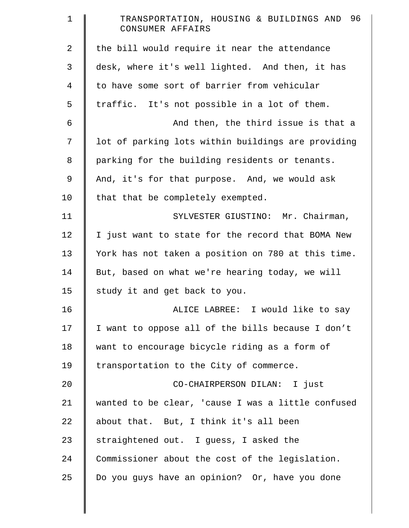| $\mathbf 1$    | 96<br>TRANSPORTATION, HOUSING & BUILDINGS AND<br>CONSUMER AFFAIRS |
|----------------|-------------------------------------------------------------------|
| 2              | the bill would require it near the attendance                     |
| 3              | desk, where it's well lighted. And then, it has                   |
| $\overline{4}$ | to have some sort of barrier from vehicular                       |
| 5              | traffic. It's not possible in a lot of them.                      |
| 6              | And then, the third issue is that a                               |
| 7              | lot of parking lots within buildings are providing                |
| 8              | parking for the building residents or tenants.                    |
| $\mathsf 9$    | And, it's for that purpose. And, we would ask                     |
| 10             | that that be completely exempted.                                 |
| 11             | SYLVESTER GIUSTINO: Mr. Chairman,                                 |
| 12             | I just want to state for the record that BOMA New                 |
| 13             | York has not taken a position on 780 at this time.                |
| 14             | But, based on what we're hearing today, we will                   |
| 15             | study it and get back to you.                                     |
| 16             | ALICE LABREE: I would like to say                                 |
| 17             | I want to oppose all of the bills because I don't                 |
| 18             | want to encourage bicycle riding as a form of                     |
| 19             | transportation to the City of commerce.                           |
| 20             | CO-CHAIRPERSON DILAN: I just                                      |
| 21             | wanted to be clear, 'cause I was a little confused                |
| 22             | about that. But, I think it's all been                            |
| 23             | straightened out. I guess, I asked the                            |
| 24             | Commissioner about the cost of the legislation.                   |
| 25             | Do you guys have an opinion? Or, have you done                    |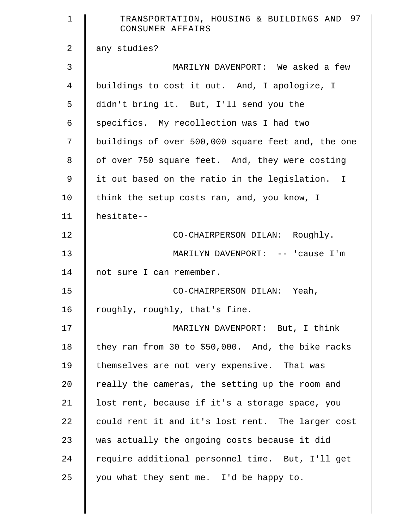| $\mathbf 1$    | TRANSPORTATION, HOUSING & BUILDINGS AND 97<br>CONSUMER AFFAIRS |
|----------------|----------------------------------------------------------------|
| $\overline{2}$ | any studies?                                                   |
| 3              | MARILYN DAVENPORT: We asked a few                              |
| $\overline{4}$ | buildings to cost it out. And, I apologize, I                  |
| 5              | didn't bring it. But, I'll send you the                        |
| $\epsilon$     | specifics. My recollection was I had two                       |
| 7              | buildings of over 500,000 square feet and, the one             |
| 8              | of over 750 square feet. And, they were costing                |
| 9              | it out based on the ratio in the legislation. I                |
| 10             | think the setup costs ran, and, you know, I                    |
| 11             | hesitate--                                                     |
| 12             | CO-CHAIRPERSON DILAN: Roughly.                                 |
| 13             | MARILYN DAVENPORT: -- 'cause I'm                               |
| 14             | not sure I can remember.                                       |
| 15             | CO-CHAIRPERSON DILAN: Yeah,                                    |
| 16             | roughly, roughly, that's fine.                                 |
| 17             | MARILYN DAVENPORT: But, I think                                |
| 18             | they ran from 30 to \$50,000. And, the bike racks              |
| 19             | themselves are not very expensive. That was                    |
| 20             | really the cameras, the setting up the room and                |
| 21             | lost rent, because if it's a storage space, you                |
| 22             | could rent it and it's lost rent. The larger cost              |
| 23             | was actually the ongoing costs because it did                  |
| 24             | require additional personnel time. But, I'll get               |
| 25             | you what they sent me. I'd be happy to.                        |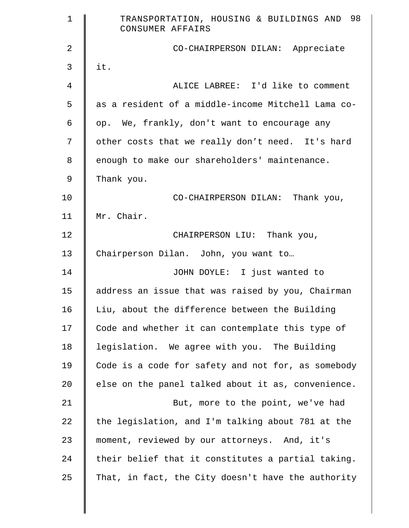| $\mathbf 1$ | TRANSPORTATION, HOUSING & BUILDINGS AND 98<br>CONSUMER AFFAIRS |
|-------------|----------------------------------------------------------------|
| 2           | CO-CHAIRPERSON DILAN: Appreciate                               |
| 3           | it.                                                            |
| 4           | ALICE LABREE: I'd like to comment                              |
| 5           | as a resident of a middle-income Mitchell Lama co-             |
| 6           | op. We, frankly, don't want to encourage any                   |
| 7           | other costs that we really don't need. It's hard               |
| 8           | enough to make our shareholders' maintenance.                  |
| 9           | Thank you.                                                     |
| 10          | CO-CHAIRPERSON DILAN: Thank you,                               |
| 11          | Mr. Chair.                                                     |
| 12          | CHAIRPERSON LIU: Thank you,                                    |
| 13          | Chairperson Dilan. John, you want to                           |
| 14          | JOHN DOYLE: I just wanted to                                   |
| 15          | address an issue that was raised by you, Chairman              |
| 16          | Liu, about the difference between the Building                 |
| 17          | Code and whether it can contemplate this type of               |
| 18          | legislation. We agree with you. The Building                   |
| 19          | Code is a code for safety and not for, as somebody             |
| 20          | else on the panel talked about it as, convenience.             |
| 21          | But, more to the point, we've had                              |
| 22          | the legislation, and I'm talking about 781 at the              |
| 23          | moment, reviewed by our attorneys. And, it's                   |
| 24          | their belief that it constitutes a partial taking.             |
| 25          | That, in fact, the City doesn't have the authority             |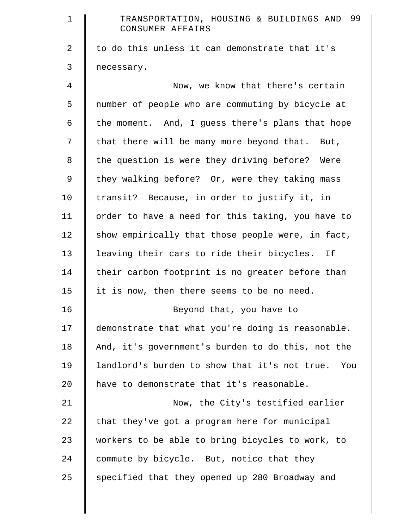| $\mathbf 1$ | TRANSPORTATION, HOUSING & BUILDINGS AND 99<br>CONSUMER AFFAIRS |
|-------------|----------------------------------------------------------------|
| 2           | to do this unless it can demonstrate that it's                 |
| 3           | necessary.                                                     |
| 4           | Now, we know that there's certain                              |
| 5           | number of people who are commuting by bicycle at               |
| 6           | the moment. And, I guess there's plans that hope               |
| 7           | that there will be many more beyond that. But,                 |
| 8           | the question is were they driving before? Were                 |
| 9           | they walking before? Or, were they taking mass                 |
| 10          | transit? Because, in order to justify it, in                   |
| 11          | order to have a need for this taking, you have to              |
| 12          | show empirically that those people were, in fact,              |
| 13          | leaving their cars to ride their bicycles. If                  |
| 14          | their carbon footprint is no greater before than               |
| 15          | it is now, then there seems to be no need.                     |
| 16          | Beyond that, you have to                                       |
| 17          | demonstrate that what you're doing is reasonable.              |
| 18          | And, it's government's burden to do this, not the              |
| 19          | landlord's burden to show that it's not true.<br>You           |
| 20          | have to demonstrate that it's reasonable.                      |
| 21          | Now, the City's testified earlier                              |
| 22          | that they've got a program here for municipal                  |
| 23          | workers to be able to bring bicycles to work, to               |
| 24          | commute by bicycle. But, notice that they                      |
| 25          | specified that they opened up 280 Broadway and                 |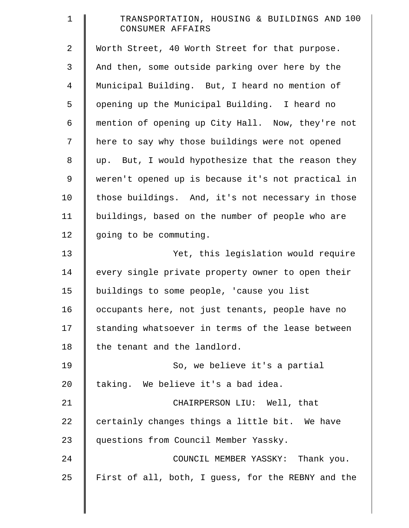| $\mathbf 1$    | TRANSPORTATION, HOUSING & BUILDINGS AND 100<br>CONSUMER AFFAIRS |
|----------------|-----------------------------------------------------------------|
| $\overline{a}$ | Worth Street, 40 Worth Street for that purpose.                 |
| 3              | And then, some outside parking over here by the                 |
| $\overline{4}$ | Municipal Building. But, I heard no mention of                  |
| 5              | opening up the Municipal Building. I heard no                   |
| 6              | mention of opening up City Hall. Now, they're not               |
| 7              | here to say why those buildings were not opened                 |
| $\,8\,$        | up. But, I would hypothesize that the reason they               |
| $\mathsf 9$    | weren't opened up is because it's not practical in              |
| 10             | those buildings. And, it's not necessary in those               |
| 11             | buildings, based on the number of people who are                |
| 12             | going to be commuting.                                          |
| 13             | Yet, this legislation would require                             |
| 14             | every single private property owner to open their               |
| 15             | buildings to some people, 'cause you list                       |
| 16             | occupants here, not just tenants, people have no                |
| 17             | standing whatsoever in terms of the lease between               |
| 18             | the tenant and the landlord.                                    |
| 19             | So, we believe it's a partial                                   |
| 20             | taking. We believe it's a bad idea.                             |
| 21             | CHAIRPERSON LIU: Well, that                                     |
| 22             | certainly changes things a little bit. We have                  |
| 23             | questions from Council Member Yassky.                           |
| 24             | COUNCIL MEMBER YASSKY: Thank you.                               |
| 25             | First of all, both, I guess, for the REBNY and the              |

║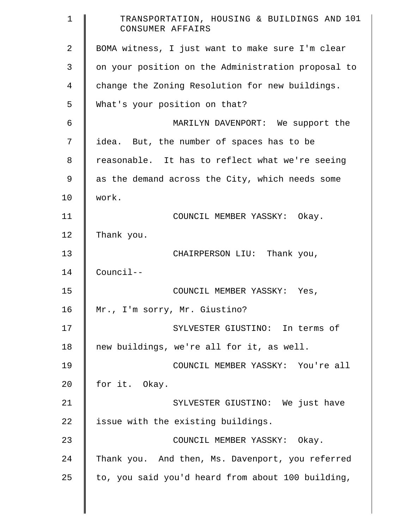| $\mathbf 1$ | TRANSPORTATION, HOUSING & BUILDINGS AND 101<br>CONSUMER AFFAIRS |
|-------------|-----------------------------------------------------------------|
| 2           | BOMA witness, I just want to make sure I'm clear                |
| 3           | on your position on the Administration proposal to              |
| 4           | change the Zoning Resolution for new buildings.                 |
| 5           | What's your position on that?                                   |
| 6           | MARILYN DAVENPORT: We support the                               |
| 7           | idea. But, the number of spaces has to be                       |
| 8           | reasonable. It has to reflect what we're seeing                 |
| 9           | as the demand across the City, which needs some                 |
| 10          | work.                                                           |
| 11          | COUNCIL MEMBER YASSKY: Okay.                                    |
| 12          | Thank you.                                                      |
| 13          | CHAIRPERSON LIU: Thank you,                                     |
| 14          | $Countcl--$                                                     |
| 15          | COUNCIL MEMBER YASSKY:<br>Yes,                                  |
| 16          | Mr., I'm sorry, Mr. Giustino?                                   |
| 17          | SYLVESTER GIUSTINO: In terms of                                 |
| 18          | new buildings, we're all for it, as well.                       |
| 19          | COUNCIL MEMBER YASSKY: You're all                               |
| 20          | for it. Okay.                                                   |
| 21          | SYLVESTER GIUSTINO: We just have                                |
| 22          | issue with the existing buildings.                              |
| 23          | COUNCIL MEMBER YASSKY: Okay.                                    |
| 24          | Thank you. And then, Ms. Davenport, you referred                |
| 25          | to, you said you'd heard from about 100 building,               |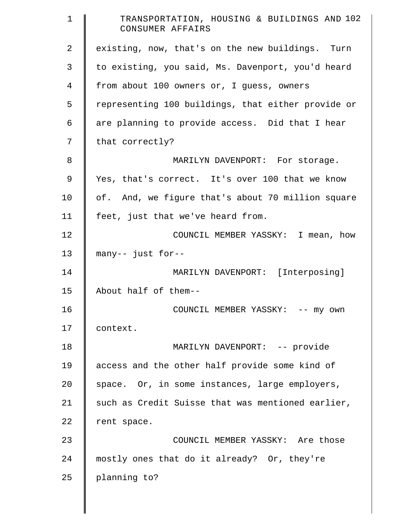| $\mathbf 1$ | TRANSPORTATION, HOUSING & BUILDINGS AND 102<br>CONSUMER AFFAIRS |
|-------------|-----------------------------------------------------------------|
| 2           | existing, now, that's on the new buildings. Turn                |
| 3           | to existing, you said, Ms. Davenport, you'd heard               |
| 4           | from about 100 owners or, I guess, owners                       |
| 5           | representing 100 buildings, that either provide or              |
| 6           | are planning to provide access. Did that I hear                 |
| 7           | that correctly?                                                 |
| 8           | MARILYN DAVENPORT: For storage.                                 |
| 9           | Yes, that's correct. It's over 100 that we know                 |
| 10          | of. And, we figure that's about 70 million square               |
| 11          | feet, just that we've heard from.                               |
| 12          | COUNCIL MEMBER YASSKY: I mean, how                              |
| 13          | many-- just for--                                               |
| 14          | MARILYN DAVENPORT: [Interposing]                                |
| 15          | About half of them--                                            |
| 16          | COUNCIL MEMBER YASSKY: -- my own                                |
| 17          | context.                                                        |
| 18          | MARILYN DAVENPORT: -- provide                                   |
| 19          | access and the other half provide some kind of                  |
| 20          | space. Or, in some instances, large employers,                  |
| 21          | such as Credit Suisse that was mentioned earlier,               |
| 22          | rent space.                                                     |
| 23          | COUNCIL MEMBER YASSKY: Are those                                |
| 24          | mostly ones that do it already? Or, they're                     |
| 25          | planning to?                                                    |

║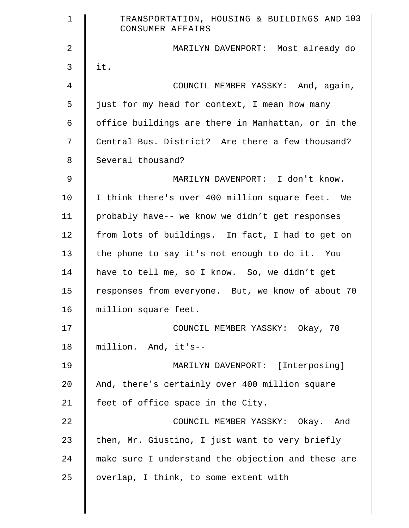| $\mathbf 1$    | TRANSPORTATION, HOUSING & BUILDINGS AND 103<br>CONSUMER AFFAIRS |
|----------------|-----------------------------------------------------------------|
| $\overline{a}$ | MARILYN DAVENPORT: Most already do                              |
| 3              | it.                                                             |
| 4              | COUNCIL MEMBER YASSKY: And, again,                              |
| 5              | just for my head for context, I mean how many                   |
| 6              | office buildings are there in Manhattan, or in the              |
| 7              | Central Bus. District? Are there a few thousand?                |
| 8              | Several thousand?                                               |
| 9              | MARILYN DAVENPORT: I don't know.                                |
| 10             | I think there's over 400 million square feet. We                |
| 11             | probably have-- we know we didn't get responses                 |
| 12             | from lots of buildings. In fact, I had to get on                |
| 13             | the phone to say it's not enough to do it. You                  |
| 14             | have to tell me, so I know. So, we didn't get                   |
| 15             | responses from everyone. But, we know of about 70               |
| 16             | million square feet.                                            |
| 17             | COUNCIL MEMBER YASSKY: Okay, 70                                 |
| 18             | million. And, it's--                                            |
| 19             | MARILYN DAVENPORT: [Interposing]                                |
| 20             | And, there's certainly over 400 million square                  |
| 21             | feet of office space in the City.                               |
| 22             | COUNCIL MEMBER YASSKY: Okay. And                                |
| 23             | then, Mr. Giustino, I just want to very briefly                 |
| 24             | make sure I understand the objection and these are              |
| 25             | overlap, I think, to some extent with                           |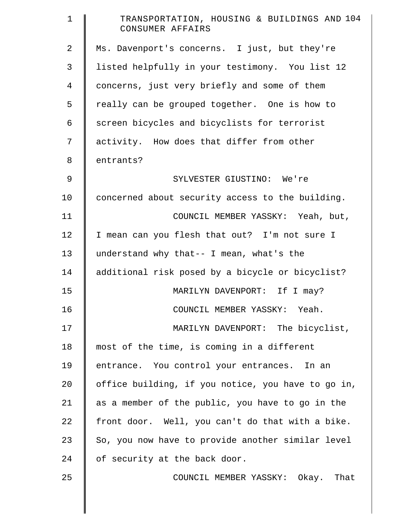| $\mathbf 1$    | TRANSPORTATION, HOUSING & BUILDINGS AND 104<br>CONSUMER AFFAIRS |
|----------------|-----------------------------------------------------------------|
| $\overline{2}$ | Ms. Davenport's concerns. I just, but they're                   |
| 3              | listed helpfully in your testimony. You list 12                 |
| 4              | concerns, just very briefly and some of them                    |
| 5              | really can be grouped together. One is how to                   |
| 6              | screen bicycles and bicyclists for terrorist                    |
| 7              | activity. How does that differ from other                       |
| 8              | entrants?                                                       |
| $\mathsf 9$    | SYLVESTER GIUSTINO: We're                                       |
| 10             | concerned about security access to the building.                |
| 11             | COUNCIL MEMBER YASSKY: Yeah, but,                               |
| 12             | I mean can you flesh that out? I'm not sure I                   |
| 13             | understand why that-- I mean, what's the                        |
| 14             | additional risk posed by a bicycle or bicyclist?                |
| 15             | MARILYN DAVENPORT: If I may?                                    |
| 16             | COUNCIL MEMBER YASSKY: Yeah.                                    |
| 17             | MARILYN DAVENPORT: The bicyclist,                               |
| 18             | most of the time, is coming in a different                      |
| 19             | entrance. You control your entrances.<br>In an                  |
| 20             | office building, if you notice, you have to go in,              |
| 21             | as a member of the public, you have to go in the                |
| 22             | front door. Well, you can't do that with a bike.                |
| 23             | So, you now have to provide another similar level               |
| 24             | of security at the back door.                                   |
| 25             | COUNCIL MEMBER YASSKY: Okay. That                               |
|                |                                                                 |
|                |                                                                 |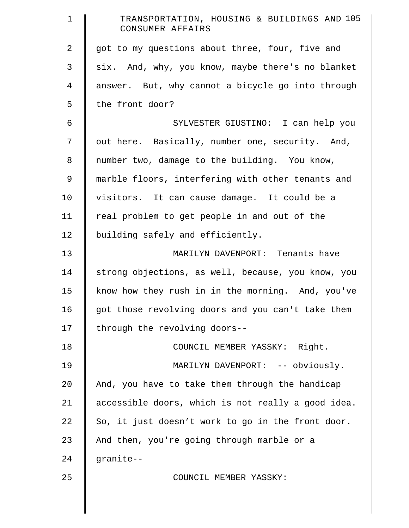| $\mathbf 1$    | TRANSPORTATION, HOUSING & BUILDINGS AND 105<br>CONSUMER AFFAIRS |
|----------------|-----------------------------------------------------------------|
| $\overline{a}$ | got to my questions about three, four, five and                 |
| 3              | six. And, why, you know, maybe there's no blanket               |
| 4              | answer. But, why cannot a bicycle go into through               |
| 5              | the front door?                                                 |
| 6              | SYLVESTER GIUSTINO: I can help you                              |
| 7              | out here. Basically, number one, security. And,                 |
| 8              | number two, damage to the building. You know,                   |
| $\mathsf 9$    | marble floors, interfering with other tenants and               |
| 10             | visitors. It can cause damage. It could be a                    |
| 11             | real problem to get people in and out of the                    |
| 12             | building safely and efficiently.                                |
| 13             | MARILYN DAVENPORT: Tenants have                                 |
| 14             | strong objections, as well, because, you know, you              |
| 15             | know how they rush in in the morning. And, you've               |
| 16             | got those revolving doors and you can't take them               |
| 17             | through the revolving doors--                                   |
| 18             | COUNCIL MEMBER YASSKY: Right.                                   |
| 19             | MARILYN DAVENPORT: -- obviously.                                |
| 20             | And, you have to take them through the handicap                 |
| 21             | accessible doors, which is not really a good idea.              |
| 22             | So, it just doesn't work to go in the front door.               |
| 23             | And then, you're going through marble or a                      |
| 24             | granite--                                                       |
| 25             | COUNCIL MEMBER YASSKY:                                          |
|                |                                                                 |
|                |                                                                 |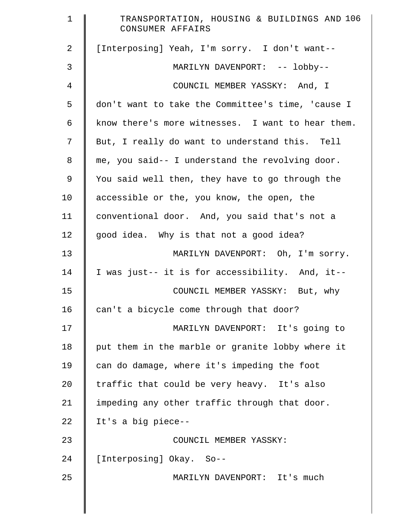| $\mathbf 1$    | TRANSPORTATION, HOUSING & BUILDINGS AND 106<br>CONSUMER AFFAIRS |
|----------------|-----------------------------------------------------------------|
| $\overline{a}$ | [Interposing] Yeah, I'm sorry. I don't want--                   |
| $\mathsf{3}$   | MARILYN DAVENPORT: -- lobby--                                   |
| 4              | COUNCIL MEMBER YASSKY: And, I                                   |
| 5              | don't want to take the Committee's time, 'cause I               |
| 6              | know there's more witnesses. I want to hear them.               |
| 7              | But, I really do want to understand this. Tell                  |
| 8              | me, you said-- I understand the revolving door.                 |
| 9              | You said well then, they have to go through the                 |
| 10             | accessible or the, you know, the open, the                      |
| 11             | conventional door. And, you said that's not a                   |
| 12             | good idea. Why is that not a good idea?                         |
| 13             | MARILYN DAVENPORT: Oh, I'm sorry.                               |
| 14             | I was just-- it is for accessibility. And, it--                 |
| 15             | COUNCIL MEMBER YASSKY: But, why                                 |
| 16             | can't a bicycle come through that door?                         |
| 17             | MARILYN DAVENPORT: It's going to                                |
| 18             | put them in the marble or granite lobby where it                |
| 19             | can do damage, where it's impeding the foot                     |
| 20             | traffic that could be very heavy. It's also                     |
| 21             | impeding any other traffic through that door.                   |
| 22             | It's a big piece--                                              |
| 23             | COUNCIL MEMBER YASSKY:                                          |
| 24             | [Interposing] Okay. So--                                        |
| 25             | MARILYN DAVENPORT: It's much                                    |
|                |                                                                 |
|                |                                                                 |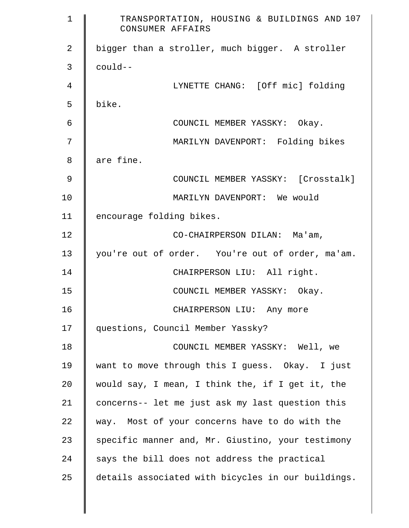| $\mathbf{1}$   | TRANSPORTATION, HOUSING & BUILDINGS AND 107<br>CONSUMER AFFAIRS |
|----------------|-----------------------------------------------------------------|
| $\overline{2}$ | bigger than a stroller, much bigger. A stroller                 |
| 3              | $coul$ d--                                                      |
| 4              | LYNETTE CHANG: [Off mic] folding                                |
| 5              | bike.                                                           |
| 6              | COUNCIL MEMBER YASSKY: Okay.                                    |
| 7              | MARILYN DAVENPORT: Folding bikes                                |
| 8              | are fine.                                                       |
| 9              | COUNCIL MEMBER YASSKY: [Crosstalk]                              |
| 10             | MARILYN DAVENPORT: We would                                     |
| 11             | encourage folding bikes.                                        |
| 12             | CO-CHAIRPERSON DILAN: Ma'am,                                    |
| 13             | you're out of order. You're out of order, ma'am.                |
| 14             | CHAIRPERSON LIU: All right.                                     |
| 15             | COUNCIL MEMBER YASSKY: Okay.                                    |
| 16             | CHAIRPERSON LIU: Any more                                       |
| 17             | questions, Council Member Yassky?                               |
| 18             | COUNCIL MEMBER YASSKY: Well, we                                 |
| 19             | want to move through this I guess. Okay. I just                 |
| 20             | would say, I mean, I think the, if I get it, the                |
| 21             | concerns-- let me just ask my last question this                |
| 22             | way. Most of your concerns have to do with the                  |
| 23             | specific manner and, Mr. Giustino, your testimony               |
| 24             | says the bill does not address the practical                    |
| 25             | details associated with bicycles in our buildings.              |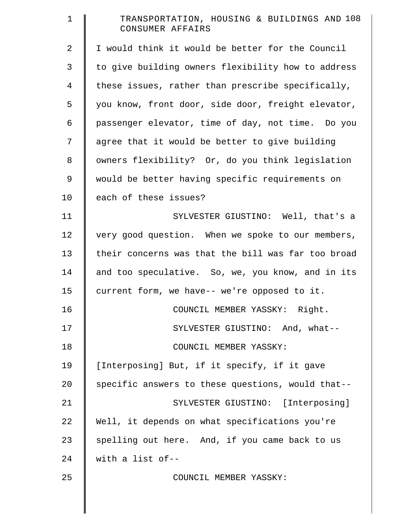| $\mathbf 1$    | TRANSPORTATION, HOUSING & BUILDINGS AND 108<br>CONSUMER AFFAIRS |
|----------------|-----------------------------------------------------------------|
| $\overline{2}$ | I would think it would be better for the Council                |
| 3              | to give building owners flexibility how to address              |
| $\overline{4}$ | these issues, rather than prescribe specifically,               |
| 5              | you know, front door, side door, freight elevator,              |
| 6              | passenger elevator, time of day, not time. Do you               |
| 7              | agree that it would be better to give building                  |
| 8              | owners flexibility? Or, do you think legislation                |
| $\overline{9}$ | would be better having specific requirements on                 |
| 10             | each of these issues?                                           |
| 11             | SYLVESTER GIUSTINO: Well, that's a                              |
| 12             | very good question. When we spoke to our members,               |
| 13             | their concerns was that the bill was far too broad              |
| 14             | and too speculative. So, we, you know, and in its               |
| 15             | current form, we have-- we're opposed to it.                    |
| 16             | COUNCIL MEMBER YASSKY: Right.                                   |
| 17             | SYLVESTER GIUSTINO: And, what--                                 |
| 18             | COUNCIL MEMBER YASSKY:                                          |
| 19             | [Interposing] But, if it specify, if it gave                    |
| 20             | specific answers to these questions, would that--               |
| 21             | SYLVESTER GIUSTINO: [Interposing]                               |
| 22             | Well, it depends on what specifications you're                  |
| 23             | spelling out here. And, if you came back to us                  |
| 24             | with a list of--                                                |
| 25             | COUNCIL MEMBER YASSKY:                                          |
|                |                                                                 |
|                |                                                                 |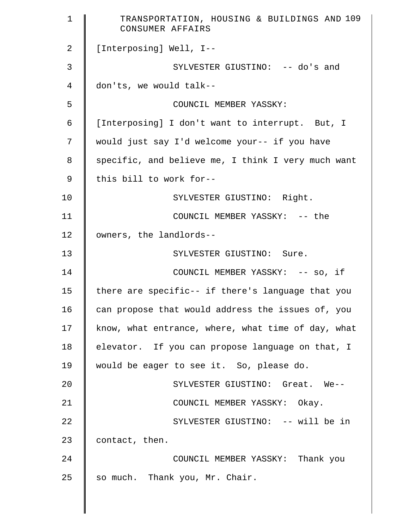| $\mathbf 1$ | TRANSPORTATION, HOUSING & BUILDINGS AND 109<br>CONSUMER AFFAIRS |
|-------------|-----------------------------------------------------------------|
| 2           | [Interposing] Well, I--                                         |
| 3           | SYLVESTER GIUSTINO: -- do's and                                 |
| 4           | don'ts, we would talk--                                         |
| 5           | COUNCIL MEMBER YASSKY:                                          |
| 6           | [Interposing] I don't want to interrupt. But, I                 |
| 7           | would just say I'd welcome your-- if you have                   |
| 8           | specific, and believe me, I think I very much want              |
| $\mathsf 9$ | this bill to work for--                                         |
| 10          | SYLVESTER GIUSTINO: Right.                                      |
| 11          | COUNCIL MEMBER YASSKY: -- the                                   |
| 12          | owners, the landlords--                                         |
| 13          | SYLVESTER GIUSTINO: Sure.                                       |
| 14          | COUNCIL MEMBER YASSKY: -- so, if                                |
| 15          | there are specific-- if there's language that you               |
| 16          | can propose that would address the issues of, you               |
| 17          | know, what entrance, where, what time of day, what              |
| 18          | elevator. If you can propose language on that, I                |
| 19          | would be eager to see it. So, please do.                        |
| 20          | SYLVESTER GIUSTINO: Great. We--                                 |
| 21          | COUNCIL MEMBER YASSKY: Okay.                                    |
| 22          | SYLVESTER GIUSTINO: -- will be in                               |
| 23          | contact, then.                                                  |
| 24          | COUNCIL MEMBER YASSKY: Thank you                                |
| 25          | so much. Thank you, Mr. Chair.                                  |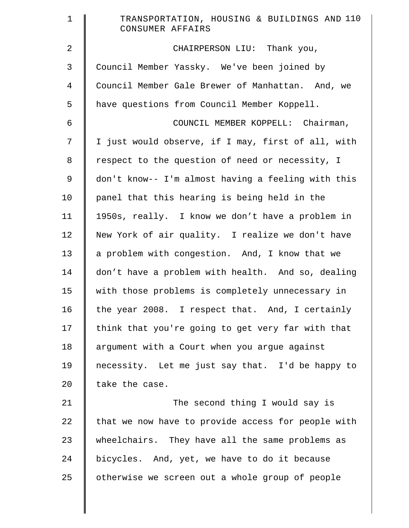| $\mathbf 1$    | TRANSPORTATION, HOUSING & BUILDINGS AND 110<br>CONSUMER AFFAIRS |
|----------------|-----------------------------------------------------------------|
| $\overline{a}$ | CHAIRPERSON LIU: Thank you,                                     |
| 3              | Council Member Yassky. We've been joined by                     |
| 4              | Council Member Gale Brewer of Manhattan. And, we                |
| 5              | have questions from Council Member Koppell.                     |
| 6              | COUNCIL MEMBER KOPPELL: Chairman,                               |
| 7              | I just would observe, if I may, first of all, with              |
| 8              | respect to the question of need or necessity, I                 |
| $\mathsf 9$    | don't know-- I'm almost having a feeling with this              |
| 10             | panel that this hearing is being held in the                    |
| 11             | 1950s, really. I know we don't have a problem in                |
| 12             | New York of air quality. I realize we don't have                |
| 13             | a problem with congestion. And, I know that we                  |
| 14             | don't have a problem with health. And so, dealing               |
| 15             | with those problems is completely unnecessary in                |
| 16             | the year 2008. I respect that. And, I certainly                 |
| 17             | think that you're going to get very far with that               |
| 18             | argument with a Court when you argue against                    |
| 19             | necessity. Let me just say that. I'd be happy to                |
| 20             | take the case.                                                  |
| 21             | The second thing I would say is                                 |
| 22             | that we now have to provide access for people with              |
| 23             | wheelchairs. They have all the same problems as                 |
| 24             | bicycles. And, yet, we have to do it because                    |
| 25             | otherwise we screen out a whole group of people                 |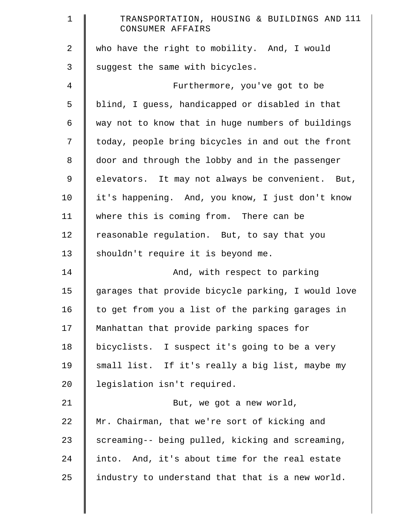| $\mathbf 1$ | TRANSPORTATION, HOUSING & BUILDINGS AND 111<br>CONSUMER AFFAIRS |
|-------------|-----------------------------------------------------------------|
| 2           | who have the right to mobility. And, I would                    |
| 3           | suggest the same with bicycles.                                 |
| 4           | Furthermore, you've got to be                                   |
| 5           | blind, I guess, handicapped or disabled in that                 |
| 6           | way not to know that in huge numbers of buildings               |
| 7           | today, people bring bicycles in and out the front               |
| 8           | door and through the lobby and in the passenger                 |
| 9           | elevators. It may not always be convenient. But,                |
| 10          | it's happening. And, you know, I just don't know                |
| 11          | where this is coming from. There can be                         |
| 12          | reasonable regulation. But, to say that you                     |
| 13          | shouldn't require it is beyond me.                              |
| 14          | And, with respect to parking                                    |
| 15          | garages that provide bicycle parking, I would love              |
| 16          | to get from you a list of the parking garages in                |
| 17          | Manhattan that provide parking spaces for                       |
| 18          | bicyclists. I suspect it's going to be a very                   |
| 19          | small list. If it's really a big list, maybe my                 |
| 20          | legislation isn't required.                                     |
| 21          | But, we got a new world,                                        |
| 22          | Mr. Chairman, that we're sort of kicking and                    |
| 23          | screaming-- being pulled, kicking and screaming,                |
| 24          | into. And, it's about time for the real estate                  |
| 25          | industry to understand that that is a new world.                |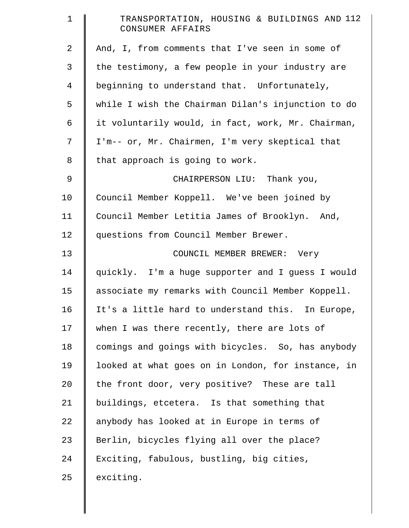| $\mathbf 1$    | TRANSPORTATION, HOUSING & BUILDINGS AND 112<br>CONSUMER AFFAIRS |
|----------------|-----------------------------------------------------------------|
| $\overline{2}$ | And, I, from comments that I've seen in some of                 |
| 3              | the testimony, a few people in your industry are                |
| 4              | beginning to understand that. Unfortunately,                    |
| 5              | while I wish the Chairman Dilan's injunction to do              |
| 6              | it voluntarily would, in fact, work, Mr. Chairman,              |
| 7              | I'm-- or, Mr. Chairmen, I'm very skeptical that                 |
| 8              | that approach is going to work.                                 |
| 9              | CHAIRPERSON LIU: Thank you,                                     |
| 10             | Council Member Koppell. We've been joined by                    |
| 11             | Council Member Letitia James of Brooklyn. And,                  |
| 12             | questions from Council Member Brewer.                           |
| 13             | COUNCIL MEMBER BREWER: Very                                     |
| 14             | quickly. I'm a huge supporter and I guess I would               |
| 15             | associate my remarks with Council Member Koppell.               |
| 16             | It's a little hard to understand this. In Europe,               |
| 17             | when I was there recently, there are lots of                    |
| 18             | comings and goings with bicycles. So, has anybody               |
| 19             | looked at what goes on in London, for instance, in              |
| 20             | the front door, very positive? These are tall                   |
| 21             | buildings, etcetera. Is that something that                     |
| 22             | anybody has looked at in Europe in terms of                     |
| 23             | Berlin, bicycles flying all over the place?                     |
| 24             | Exciting, fabulous, bustling, big cities,                       |
| 25             | exciting.                                                       |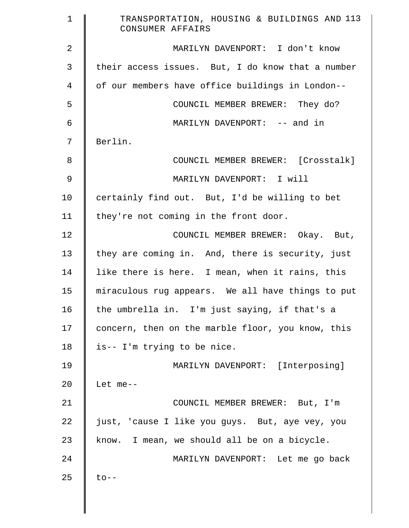| $\mathbf 1$    | TRANSPORTATION, HOUSING & BUILDINGS AND 113<br>CONSUMER AFFAIRS |
|----------------|-----------------------------------------------------------------|
| 2              | MARILYN DAVENPORT: I don't know                                 |
| 3              | their access issues. But, I do know that a number               |
| 4              | of our members have office buildings in London--                |
| 5              | COUNCIL MEMBER BREWER: They do?                                 |
| $\epsilon$     | MARILYN DAVENPORT: -- and in                                    |
| 7              | Berlin.                                                         |
| 8              | COUNCIL MEMBER BREWER: [Crosstalk]                              |
| $\mathfrak{g}$ | MARILYN DAVENPORT: I will                                       |
| 10             | certainly find out. But, I'd be willing to bet                  |
| 11             | they're not coming in the front door.                           |
| 12             | COUNCIL MEMBER BREWER: Okay. But,                               |
| 13             | they are coming in. And, there is security, just                |
| 14             | like there is here. I mean, when it rains, this                 |
| 15             | miraculous rug appears. We all have things to put               |
| 16             | the umbrella in. I'm just saying, if that's a                   |
| 17             | concern, then on the marble floor, you know, this               |
| 18             | is-- I'm trying to be nice.                                     |
| 19             | MARILYN DAVENPORT: [Interposing]                                |
| 20             | Let me--                                                        |
| 21             | COUNCIL MEMBER BREWER: But, I'm                                 |
| 22             | just, 'cause I like you guys. But, aye vey, you                 |
| 23             | know. I mean, we should all be on a bicycle.                    |
| 24             | MARILYN DAVENPORT: Let me go back                               |
| 25             | $\text{to}$ --                                                  |
|                |                                                                 |
|                |                                                                 |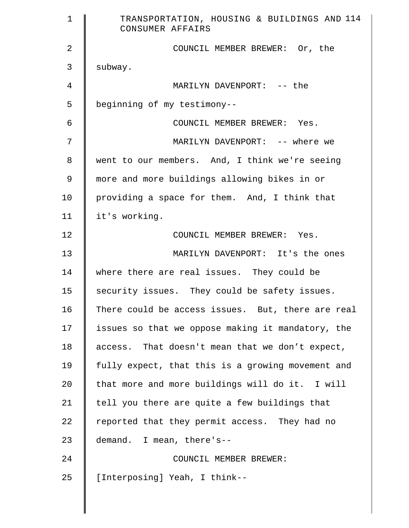| $\mathbf 1$ | TRANSPORTATION, HOUSING & BUILDINGS AND 114<br>CONSUMER AFFAIRS |
|-------------|-----------------------------------------------------------------|
| 2           | COUNCIL MEMBER BREWER: Or, the                                  |
| 3           | subway.                                                         |
| 4           | MARILYN DAVENPORT: -- the                                       |
| 5           | beginning of my testimony--                                     |
| 6           | COUNCIL MEMBER BREWER: Yes.                                     |
| 7           | MARILYN DAVENPORT: -- where we                                  |
| 8           | went to our members. And, I think we're seeing                  |
| 9           | more and more buildings allowing bikes in or                    |
| 10          | providing a space for them. And, I think that                   |
| 11          | it's working.                                                   |
| 12          | COUNCIL MEMBER BREWER: Yes.                                     |
| 13          | MARILYN DAVENPORT: It's the ones                                |
| 14          | where there are real issues. They could be                      |
| 15          | security issues. They could be safety issues.                   |
| 16          | There could be access issues. But, there are real               |
| 17          | issues so that we oppose making it mandatory, the               |
| 18          | access. That doesn't mean that we don't expect,                 |
| 19          | fully expect, that this is a growing movement and               |
| 20          | that more and more buildings will do it. I will                 |
| 21          | tell you there are quite a few buildings that                   |
| 22          | reported that they permit access. They had no                   |
| 23          | demand. I mean, there's--                                       |
| 24          | COUNCIL MEMBER BREWER:                                          |
| 25          | [Interposing] Yeah, I think--                                   |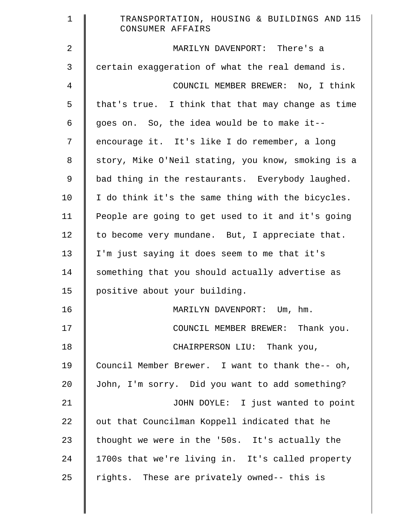| $\mathbf 1$ | TRANSPORTATION, HOUSING & BUILDINGS AND 115<br>CONSUMER AFFAIRS |
|-------------|-----------------------------------------------------------------|
| 2           | MARILYN DAVENPORT: There's a                                    |
| 3           | certain exaggeration of what the real demand is.                |
| 4           | COUNCIL MEMBER BREWER: No, I think                              |
| 5           | that's true. I think that that may change as time               |
| 6           | goes on. So, the idea would be to make it--                     |
| 7           | encourage it. It's like I do remember, a long                   |
| 8           | story, Mike O'Neil stating, you know, smoking is a              |
| 9           | bad thing in the restaurants. Everybody laughed.                |
| 10          | I do think it's the same thing with the bicycles.               |
| 11          | People are going to get used to it and it's going               |
| 12          | to become very mundane. But, I appreciate that.                 |
| 13          | I'm just saying it does seem to me that it's                    |
| 14          | something that you should actually advertise as                 |
| 15          | positive about your building.                                   |
| 16          | MARILYN DAVENPORT: Um, hm.                                      |
| 17          | COUNCIL MEMBER BREWER: Thank you.                               |
| 18          | CHAIRPERSON LIU: Thank you,                                     |
| 19          | Council Member Brewer. I want to thank the-- oh,                |
| 20          | John, I'm sorry. Did you want to add something?                 |
| 21          | JOHN DOYLE: I just wanted to point                              |
| 22          | out that Councilman Koppell indicated that he                   |
| 23          | thought we were in the '50s. It's actually the                  |
| 24          | 1700s that we're living in. It's called property                |
| 25          | rights. These are privately owned-- this is                     |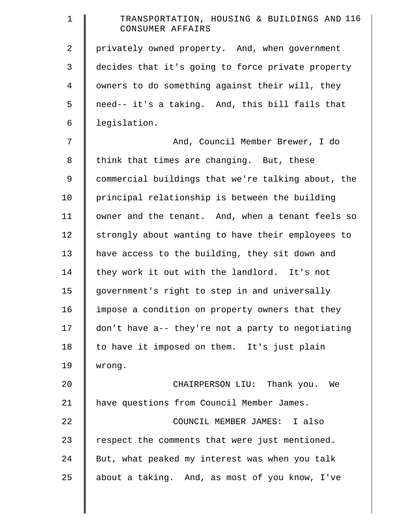| $\mathbf 1$ | TRANSPORTATION, HOUSING & BUILDINGS AND 116<br>CONSUMER AFFAIRS |
|-------------|-----------------------------------------------------------------|
| 2           | privately owned property. And, when government                  |
| 3           | decides that it's going to force private property               |
| 4           | owners to do something against their will, they                 |
| 5           | need-- it's a taking. And, this bill fails that                 |
| 6           | legislation.                                                    |
| 7           | And, Council Member Brewer, I do                                |
| $\,8\,$     | think that times are changing. But, these                       |
| 9           | commercial buildings that we're talking about, the              |
| 10          | principal relationship is between the building                  |
| 11          | owner and the tenant. And, when a tenant feels so               |
| 12          | strongly about wanting to have their employees to               |
| 13          | have access to the building, they sit down and                  |
| 14          | they work it out with the landlord. It's not                    |
| 15          | government's right to step in and universally                   |
| 16          | impose a condition on property owners that they                 |
| 17          | don't have a-- they're not a party to negotiating               |
| 18          | to have it imposed on them. It's just plain                     |
| 19          | wrong.                                                          |
| 20          | CHAIRPERSON LIU: Thank you. We                                  |
| 21          | have questions from Council Member James.                       |
| 22          | COUNCIL MEMBER JAMES: I also                                    |
| 23          | respect the comments that were just mentioned.                  |
| 24          | But, what peaked my interest was when you talk                  |
| 25          | about a taking. And, as most of you know, I've                  |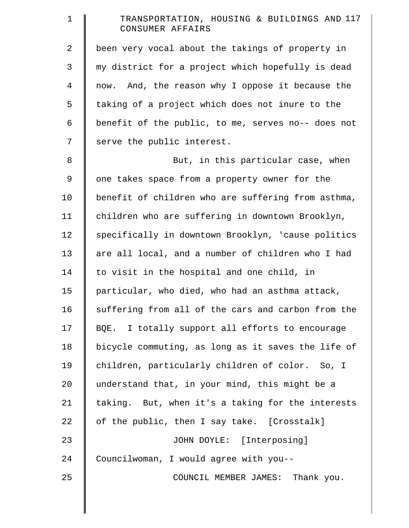| 1  | TRANSPORTATION, HOUSING & BUILDINGS AND 117<br>CONSUMER AFFAIRS |
|----|-----------------------------------------------------------------|
| 2  | been very vocal about the takings of property in                |
| 3  | my district for a project which hopefully is dead               |
| 4  | now. And, the reason why I oppose it because the                |
| 5  | taking of a project which does not inure to the                 |
| 6  | benefit of the public, to me, serves no-- does not              |
| 7  | serve the public interest.                                      |
| 8  | But, in this particular case, when                              |
| 9  | one takes space from a property owner for the                   |
| 10 | benefit of children who are suffering from asthma,              |
| 11 | children who are suffering in downtown Brooklyn,                |
| 12 | specifically in downtown Brooklyn, 'cause politics              |
| 13 | are all local, and a number of children who I had               |
| 14 | to visit in the hospital and one child, in                      |
| 15 | particular, who died, who had an asthma attack,                 |
| 16 | suffering from all of the cars and carbon from the              |
| 17 | BQE. I totally support all efforts to encourage                 |
| 18 | bicycle commuting, as long as it saves the life of              |
| 19 | children, particularly children of color. So, I                 |
| 20 | understand that, in your mind, this might be a                  |
| 21 | taking. But, when it's a taking for the interests               |
| 22 | of the public, then I say take. [Crosstalk]                     |
| 23 | JOHN DOYLE: [Interposing]                                       |
| 24 | Councilwoman, I would agree with you--                          |
| 25 | COUNCIL MEMBER JAMES: Thank you.                                |
|    |                                                                 |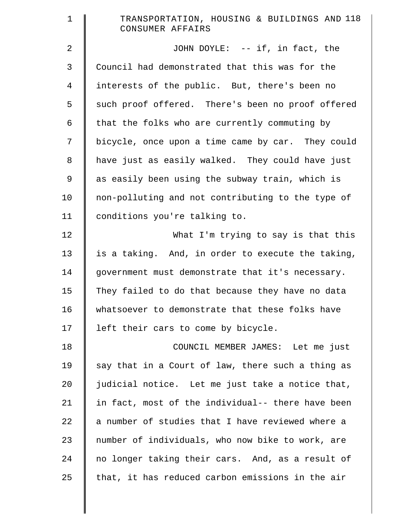| $\mathbf 1$    | TRANSPORTATION, HOUSING & BUILDINGS AND 118<br>CONSUMER AFFAIRS |
|----------------|-----------------------------------------------------------------|
| $\overline{a}$ | JOHN DOYLE: -- if, in fact, the                                 |
| 3              | Council had demonstrated that this was for the                  |
| 4              | interests of the public. But, there's been no                   |
| 5              | such proof offered. There's been no proof offered               |
| 6              | that the folks who are currently commuting by                   |
| 7              | bicycle, once upon a time came by car. They could               |
| 8              | have just as easily walked. They could have just                |
| 9              | as easily been using the subway train, which is                 |
| 10             | non-polluting and not contributing to the type of               |
| 11             | conditions you're talking to.                                   |
| 12             | What I'm trying to say is that this                             |
| 13             | is a taking. And, in order to execute the taking,               |
| 14             | government must demonstrate that it's necessary.                |
| 15             | They failed to do that because they have no data                |
| 16             | whatsoever to demonstrate that these folks have                 |
| 17             | left their cars to come by bicycle.                             |
| 18             | COUNCIL MEMBER JAMES: Let me just                               |
| 19             | say that in a Court of law, there such a thing as               |
| 20             | judicial notice. Let me just take a notice that,                |
| 21             | in fact, most of the individual-- there have been               |
| 22             | a number of studies that I have reviewed where a                |
| 23             | number of individuals, who now bike to work, are                |
| 24             | no longer taking their cars. And, as a result of                |
| 25             | that, it has reduced carbon emissions in the air                |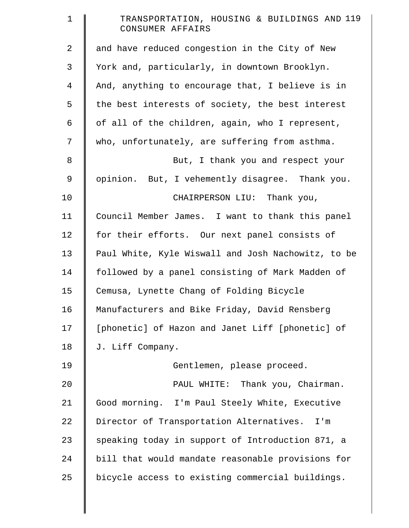| $\mathbf 1$    | TRANSPORTATION, HOUSING & BUILDINGS AND 119<br>CONSUMER AFFAIRS |
|----------------|-----------------------------------------------------------------|
| 2              | and have reduced congestion in the City of New                  |
| 3              | York and, particularly, in downtown Brooklyn.                   |
| $\overline{4}$ | And, anything to encourage that, I believe is in                |
| 5              | the best interests of society, the best interest                |
| 6              | of all of the children, again, who I represent,                 |
| 7              | who, unfortunately, are suffering from asthma.                  |
| 8              | But, I thank you and respect your                               |
| 9              | opinion. But, I vehemently disagree. Thank you.                 |
| 10             | CHAIRPERSON LIU: Thank you,                                     |
| 11             | Council Member James. I want to thank this panel                |
| 12             | for their efforts. Our next panel consists of                   |
| 13             | Paul White, Kyle Wiswall and Josh Nachowitz, to be              |
| 14             | followed by a panel consisting of Mark Madden of                |
| 15             | Cemusa, Lynette Chang of Folding Bicycle                        |
| 16             | Manufacturers and Bike Friday, David Rensberg                   |
| 17             | [phonetic] of Hazon and Janet Liff [phonetic] of                |
| 18             | J. Liff Company.                                                |
| 19             | Gentlemen, please proceed.                                      |
| 20             | PAUL WHITE: Thank you, Chairman.                                |
| 21             | Good morning. I'm Paul Steely White, Executive                  |
| 22             | Director of Transportation Alternatives.<br>I'm                 |
| 23             | speaking today in support of Introduction 871, a                |
| 24             | bill that would mandate reasonable provisions for               |
| 25             | bicycle access to existing commercial buildings.                |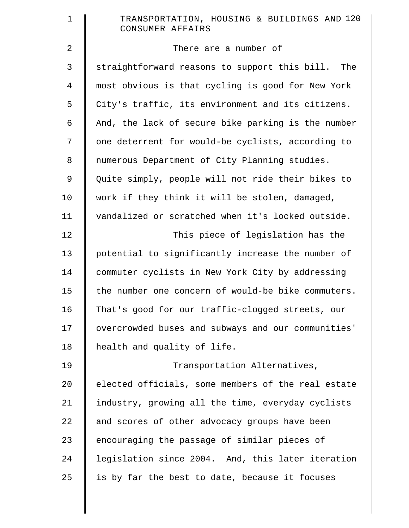| $\mathbf 1$    | TRANSPORTATION, HOUSING & BUILDINGS AND 120<br>CONSUMER AFFAIRS |
|----------------|-----------------------------------------------------------------|
| 2              | There are a number of                                           |
| 3              | straightforward reasons to support this bill.<br>The            |
| $\overline{4}$ | most obvious is that cycling is good for New York               |
| 5              | City's traffic, its environment and its citizens.               |
| 6              | And, the lack of secure bike parking is the number              |
| 7              | one deterrent for would-be cyclists, according to               |
| 8              | numerous Department of City Planning studies.                   |
| $\mathsf 9$    | Quite simply, people will not ride their bikes to               |
| 10             | work if they think it will be stolen, damaged,                  |
| 11             | vandalized or scratched when it's locked outside.               |
| 12             | This piece of legislation has the                               |
| 13             | potential to significantly increase the number of               |
| 14             | commuter cyclists in New York City by addressing                |
| 15             | the number one concern of would-be bike commuters.              |
| 16             | That's good for our traffic-clogged streets, our                |
| 17             | overcrowded buses and subways and our communities'              |
| 18             | health and quality of life.                                     |
| 19             | Transportation Alternatives,                                    |
| 20             | elected officials, some members of the real estate              |
| 21             | industry, growing all the time, everyday cyclists               |
| 22             | and scores of other advocacy groups have been                   |
| 23             | encouraging the passage of similar pieces of                    |
| 24             | legislation since 2004. And, this later iteration               |
| 25             | is by far the best to date, because it focuses                  |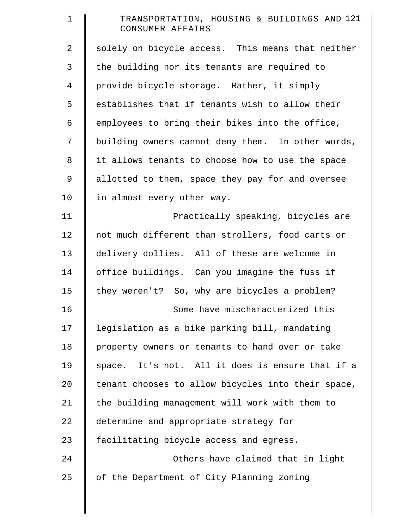| $\mathbf 1$    | TRANSPORTATION, HOUSING & BUILDINGS AND 121<br>CONSUMER AFFAIRS |
|----------------|-----------------------------------------------------------------|
| $\overline{a}$ | solely on bicycle access. This means that neither               |
| 3              | the building nor its tenants are required to                    |
| $\overline{4}$ | provide bicycle storage. Rather, it simply                      |
| 5              | establishes that if tenants wish to allow their                 |
| 6              | employees to bring their bikes into the office,                 |
| 7              | building owners cannot deny them. In other words,               |
| 8              | it allows tenants to choose how to use the space                |
| 9              | allotted to them, space they pay for and oversee                |
| 10             | in almost every other way.                                      |
| 11             | Practically speaking, bicycles are                              |
| 12             | not much different than strollers, food carts or                |
| 13             | delivery dollies. All of these are welcome in                   |
| 14             | office buildings. Can you imagine the fuss if                   |
| 15             | they weren't? So, why are bicycles a problem?                   |
| 16             | Some have mischaracterized this                                 |
| 17             | legislation as a bike parking bill, mandating                   |
| 18             | property owners or tenants to hand over or take                 |
| 19             | space. It's not. All it does is ensure that if a                |
| 20             | tenant chooses to allow bicycles into their space,              |
| 21             | the building management will work with them to                  |
| 22             | determine and appropriate strategy for                          |
| 23             | facilitating bicycle access and egress.                         |
| 24             | Others have claimed that in light                               |
| 25             | of the Department of City Planning zoning                       |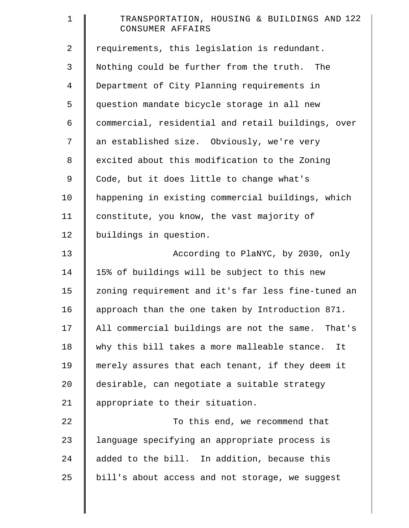| $\mathbf 1$    | TRANSPORTATION, HOUSING & BUILDINGS AND 122<br>CONSUMER AFFAIRS |
|----------------|-----------------------------------------------------------------|
| 2              | requirements, this legislation is redundant.                    |
| 3              | Nothing could be further from the truth.<br>The                 |
| $\overline{4}$ | Department of City Planning requirements in                     |
| 5              | question mandate bicycle storage in all new                     |
| 6              | commercial, residential and retail buildings, over              |
| 7              | an established size. Obviously, we're very                      |
| 8              | excited about this modification to the Zoning                   |
| 9              | Code, but it does little to change what's                       |
| 10             | happening in existing commercial buildings, which               |
| 11             | constitute, you know, the vast majority of                      |
| 12             | buildings in question.                                          |
| 13             | According to PlaNYC, by 2030, only                              |
| 14             | 15% of buildings will be subject to this new                    |
| 15             | zoning requirement and it's far less fine-tuned an              |
| 16             | approach than the one taken by Introduction 871.                |
| 17             | All commercial buildings are not the same. That's               |
| 18             | why this bill takes a more malleable stance.<br>It              |
| 19             | merely assures that each tenant, if they deem it                |
| $20 \,$        | desirable, can negotiate a suitable strategy                    |
| 21             | appropriate to their situation.                                 |
| 22             | To this end, we recommend that                                  |
| 23             | language specifying an appropriate process is                   |
| 24             | added to the bill. In addition, because this                    |
| 25             | bill's about access and not storage, we suggest                 |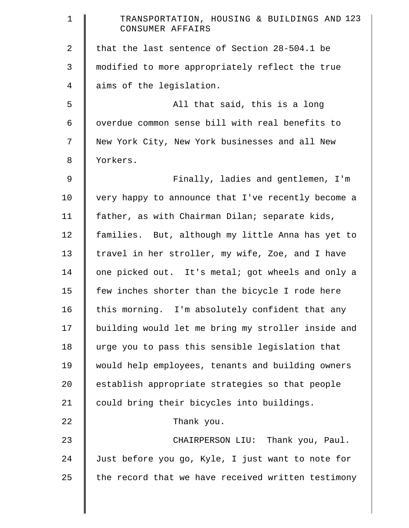| $\mathbf 1$ | TRANSPORTATION, HOUSING & BUILDINGS AND 123<br>CONSUMER AFFAIRS |
|-------------|-----------------------------------------------------------------|
| 2           | that the last sentence of Section 28-504.1 be                   |
| 3           | modified to more appropriately reflect the true                 |
| 4           | aims of the legislation.                                        |
| 5           | All that said, this is a long                                   |
| 6           | overdue common sense bill with real benefits to                 |
| 7           | New York City, New York businesses and all New                  |
| 8           | Yorkers.                                                        |
| $\mathsf 9$ | Finally, ladies and gentlemen, I'm                              |
| 10          | very happy to announce that I've recently become a              |
| 11          | father, as with Chairman Dilan; separate kids,                  |
| 12          | families. But, although my little Anna has yet to               |
| 13          | travel in her stroller, my wife, Zoe, and I have                |
| 14          | one picked out. It's metal; got wheels and only a               |
| 15          | few inches shorter than the bicycle I rode here                 |
| 16          | this morning. I'm absolutely confident that any                 |
| 17          | building would let me bring my stroller inside and              |
| 18          | urge you to pass this sensible legislation that                 |
| 19          | would help employees, tenants and building owners               |
| 20          | establish appropriate strategies so that people                 |
| 21          | could bring their bicycles into buildings.                      |
| 22          | Thank you.                                                      |
| 23          | CHAIRPERSON LIU: Thank you, Paul.                               |
| 24          | Just before you go, Kyle, I just want to note for               |
| 25          | the record that we have received written testimony              |
|             |                                                                 |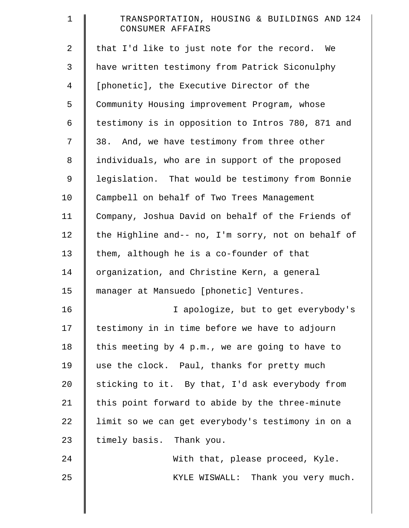| $\mathbf{1}$ | TRANSPORTATION, HOUSING & BUILDINGS AND 124<br>CONSUMER AFFAIRS |
|--------------|-----------------------------------------------------------------|
| 2            | that I'd like to just note for the record. We                   |
| 3            | have written testimony from Patrick Siconulphy                  |
| 4            | [phonetic], the Executive Director of the                       |
| 5            | Community Housing improvement Program, whose                    |
| 6            | testimony is in opposition to Intros 780, 871 and               |
| 7            | 38. And, we have testimony from three other                     |
| 8            | individuals, who are in support of the proposed                 |
| 9            | legislation. That would be testimony from Bonnie                |
| 10           | Campbell on behalf of Two Trees Management                      |
| 11           | Company, Joshua David on behalf of the Friends of               |
| 12           | the Highline and-- no, I'm sorry, not on behalf of              |
| 13           | them, although he is a co-founder of that                       |
| 14           | organization, and Christine Kern, a general                     |
| 15           | manager at Mansuedo [phonetic] Ventures.                        |
| 16           | I apologize, but to get everybody's                             |
| 17           | testimony in in time before we have to adjourn                  |
| 18           | this meeting by 4 p.m., we are going to have to                 |
| 19           | use the clock. Paul, thanks for pretty much                     |
| 20           | sticking to it. By that, I'd ask everybody from                 |
| 21           | this point forward to abide by the three-minute                 |
| 22           | limit so we can get everybody's testimony in on a               |
| 23           | timely basis. Thank you.                                        |
| 24           | With that, please proceed, Kyle.                                |
| 25           | KYLE WISWALL: Thank you very much.                              |
|              |                                                                 |
|              |                                                                 |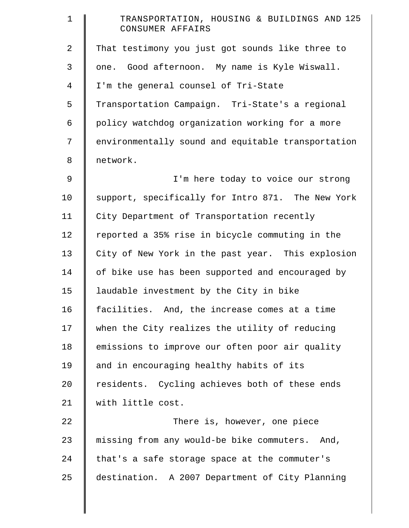| $\mathbf 1$ | TRANSPORTATION, HOUSING & BUILDINGS AND 125<br>CONSUMER AFFAIRS |
|-------------|-----------------------------------------------------------------|
| 2           | That testimony you just got sounds like three to                |
| 3           | one. Good afternoon. My name is Kyle Wiswall.                   |
| 4           | I'm the general counsel of Tri-State                            |
| 5           | Transportation Campaign. Tri-State's a regional                 |
| 6           | policy watchdog organization working for a more                 |
| 7           | environmentally sound and equitable transportation              |
| 8           | network.                                                        |
| 9           | I'm here today to voice our strong                              |
| 10          | support, specifically for Intro 871. The New York               |
| 11          | City Department of Transportation recently                      |
| 12          | reported a 35% rise in bicycle commuting in the                 |
| 13          | City of New York in the past year. This explosion               |
| 14          | of bike use has been supported and encouraged by                |
| 15          | laudable investment by the City in bike                         |
| 16          | facilities. And, the increase comes at a time                   |
| 17          | when the City realizes the utility of reducing                  |
| 18          | emissions to improve our often poor air quality                 |
| 19          | and in encouraging healthy habits of its                        |
| 20          | residents. Cycling achieves both of these ends                  |
| 21          | with little cost.                                               |
| 22          | There is, however, one piece                                    |
| 23          | missing from any would-be bike commuters. And,                  |
| 24          | that's a safe storage space at the commuter's                   |
| 25          | destination. A 2007 Department of City Planning                 |

║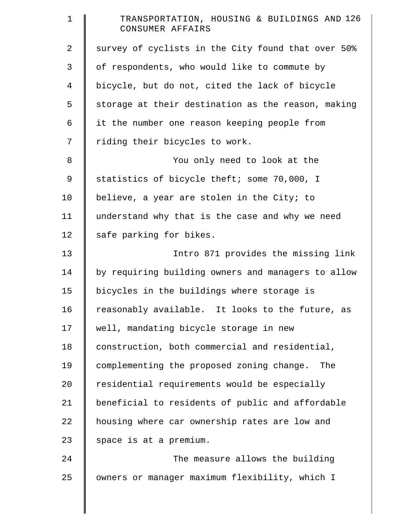| $\mathbf 1$ | TRANSPORTATION, HOUSING & BUILDINGS AND 126<br>CONSUMER AFFAIRS |
|-------------|-----------------------------------------------------------------|
| 2           | survey of cyclists in the City found that over 50%              |
| 3           | of respondents, who would like to commute by                    |
| 4           | bicycle, but do not, cited the lack of bicycle                  |
| 5           | storage at their destination as the reason, making              |
| 6           | it the number one reason keeping people from                    |
| 7           | riding their bicycles to work.                                  |
| 8           | You only need to look at the                                    |
| 9           | statistics of bicycle theft; some 70,000, I                     |
| 10          | believe, a year are stolen in the City; to                      |
| 11          | understand why that is the case and why we need                 |
| 12          | safe parking for bikes.                                         |
| 13          | Intro 871 provides the missing link                             |
| 14          | by requiring building owners and managers to allow              |
| 15          | bicycles in the buildings where storage is                      |
| 16          | reasonably available. It looks to the future, as                |
| 17          | well, mandating bicycle storage in new                          |
| 18          | construction, both commercial and residential,                  |
| 19          | complementing the proposed zoning change.<br>The                |
| 20          | residential requirements would be especially                    |
| 21          | beneficial to residents of public and affordable                |
| 22          | housing where car ownership rates are low and                   |
| 23          | space is at a premium.                                          |
| 24          | The measure allows the building                                 |
| 25          | owners or manager maximum flexibility, which I                  |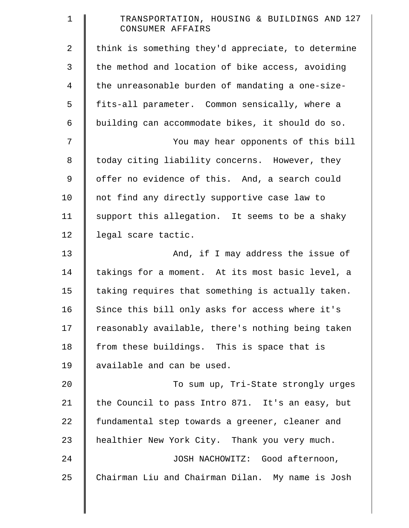| $\mathbf 1$ | TRANSPORTATION, HOUSING & BUILDINGS AND 127<br>CONSUMER AFFAIRS |
|-------------|-----------------------------------------------------------------|
| 2           | think is something they'd appreciate, to determine              |
| 3           | the method and location of bike access, avoiding                |
| 4           | the unreasonable burden of mandating a one-size-                |
| 5           | fits-all parameter. Common sensically, where a                  |
| 6           | building can accommodate bikes, it should do so.                |
| 7           | You may hear opponents of this bill                             |
| $\,8\,$     | today citing liability concerns. However, they                  |
| 9           | offer no evidence of this. And, a search could                  |
| 10          | not find any directly supportive case law to                    |
| 11          | support this allegation. It seems to be a shaky                 |
| 12          | legal scare tactic.                                             |
| 13          | And, if I may address the issue of                              |
| 14          | takings for a moment. At its most basic level, a                |
| 15          | taking requires that something is actually taken.               |
| 16          | Since this bill only asks for access where it's                 |
| 17          | reasonably available, there's nothing being taken               |
| 18          | from these buildings. This is space that is                     |
| 19          | available and can be used.                                      |
| 20          | To sum up, Tri-State strongly urges                             |
| 21          | the Council to pass Intro 871. It's an easy, but                |
| 22          | fundamental step towards a greener, cleaner and                 |
| 23          | healthier New York City. Thank you very much.                   |
| 24          | JOSH NACHOWITZ: Good afternoon,                                 |
| 25          | Chairman Liu and Chairman Dilan. My name is Josh                |

║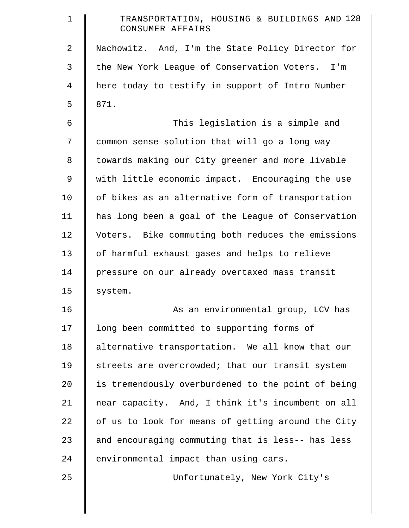| $\mathbf 1$    | TRANSPORTATION, HOUSING & BUILDINGS AND 128<br>CONSUMER AFFAIRS |
|----------------|-----------------------------------------------------------------|
| $\overline{2}$ | Nachowitz. And, I'm the State Policy Director for               |
| 3              | the New York League of Conservation Voters. I'm                 |
| $\overline{4}$ | here today to testify in support of Intro Number                |
| 5              | 871.                                                            |
| 6              | This legislation is a simple and                                |
| 7              | common sense solution that will go a long way                   |
| 8              | towards making our City greener and more livable                |
| 9              | with little economic impact. Encouraging the use                |
| 10             | of bikes as an alternative form of transportation               |
| 11             | has long been a goal of the League of Conservation              |
| 12             | Voters. Bike commuting both reduces the emissions               |
| 13             | of harmful exhaust gases and helps to relieve                   |
| 14             | pressure on our already overtaxed mass transit                  |
| 15             | system.                                                         |
| 16             | As an environmental group, LCV has                              |
| 17             | long been committed to supporting forms of                      |
| 18             | alternative transportation. We all know that our                |
| 19             | streets are overcrowded; that our transit system                |
| 20             | is tremendously overburdened to the point of being              |
| 21             | near capacity. And, I think it's incumbent on all               |
| 22             | of us to look for means of getting around the City              |
| 23             | and encouraging commuting that is less-- has less               |
| 24             | environmental impact than using cars.                           |
| 25             | Unfortunately, New York City's                                  |
|                |                                                                 |
|                |                                                                 |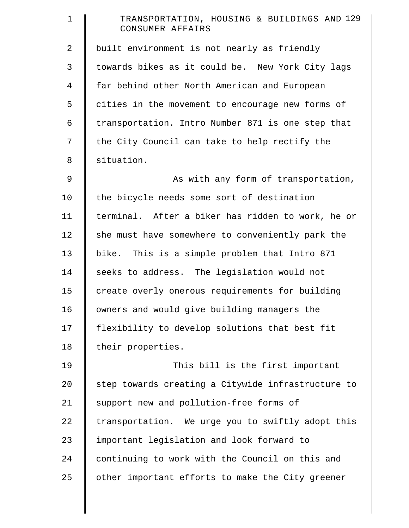| $\mathbf 1$    | TRANSPORTATION, HOUSING & BUILDINGS AND 129<br>CONSUMER AFFAIRS |
|----------------|-----------------------------------------------------------------|
| $\overline{2}$ | built environment is not nearly as friendly                     |
| 3              | towards bikes as it could be. New York City lags                |
| 4              | far behind other North American and European                    |
| 5              | cities in the movement to encourage new forms of                |
| 6              | transportation. Intro Number 871 is one step that               |
| 7              | the City Council can take to help rectify the                   |
| 8              | situation.                                                      |
| 9              | As with any form of transportation,                             |
| 10             | the bicycle needs some sort of destination                      |
| 11             | terminal. After a biker has ridden to work, he or               |
| 12             | she must have somewhere to conveniently park the                |
| 13             | bike. This is a simple problem that Intro 871                   |
| 14             | seeks to address. The legislation would not                     |
| 15             | create overly onerous requirements for building                 |
| 16             | owners and would give building managers the                     |
| 17             | flexibility to develop solutions that best fit                  |
| 18             | their properties.                                               |
| 19             | This bill is the first important                                |
| 20             | step towards creating a Citywide infrastructure to              |
| 21             | support new and pollution-free forms of                         |
| 22             | transportation. We urge you to swiftly adopt this               |
| 23             | important legislation and look forward to                       |
| 24             | continuing to work with the Council on this and                 |
| 25             | other important efforts to make the City greener                |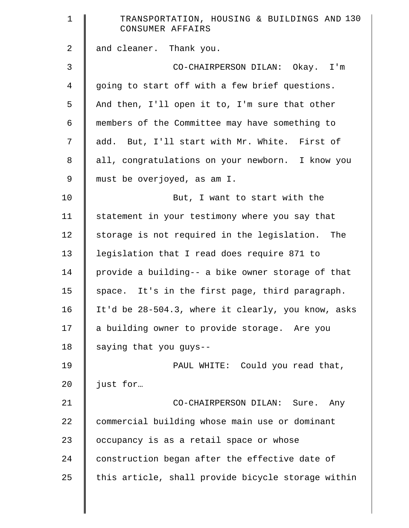| $\mathbf 1$    | TRANSPORTATION, HOUSING & BUILDINGS AND 130<br>CONSUMER AFFAIRS |
|----------------|-----------------------------------------------------------------|
| $\overline{a}$ | and cleaner. Thank you.                                         |
| 3              | CO-CHAIRPERSON DILAN: Okay. I'm                                 |
| $\overline{4}$ | going to start off with a few brief questions.                  |
| 5              | And then, I'll open it to, I'm sure that other                  |
| 6              | members of the Committee may have something to                  |
| 7              | add. But, I'll start with Mr. White. First of                   |
| 8              | all, congratulations on your newborn. I know you                |
| 9              | must be overjoyed, as am I.                                     |
| 10             | But, I want to start with the                                   |
| 11             | statement in your testimony where you say that                  |
| 12             | storage is not required in the legislation. The                 |
| 13             | legislation that I read does require 871 to                     |
| 14             | provide a building-- a bike owner storage of that               |
| 15             | space. It's in the first page, third paragraph.                 |
| 16             | It'd be 28-504.3, where it clearly, you know, asks              |
| 17             | a building owner to provide storage. Are you                    |
| 18             | saying that you guys--                                          |
| 19             | PAUL WHITE: Could you read that,                                |
| 20             | just for                                                        |
| 21             | CO-CHAIRPERSON DILAN: Sure. Any                                 |
| 22             | commercial building whose main use or dominant                  |
| 23             | occupancy is as a retail space or whose                         |
| 24             | construction began after the effective date of                  |
| 25             | this article, shall provide bicycle storage within              |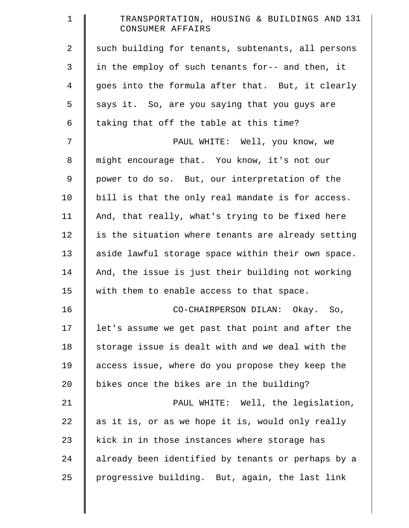| $\mathbf 1$    | TRANSPORTATION, HOUSING & BUILDINGS AND 131<br>CONSUMER AFFAIRS |
|----------------|-----------------------------------------------------------------|
| $\overline{2}$ | such building for tenants, subtenants, all persons              |
| 3              | in the employ of such tenants for-- and then, it                |
| $\overline{4}$ | goes into the formula after that. But, it clearly               |
| 5              | says it. So, are you saying that you guys are                   |
| 6              | taking that off the table at this time?                         |
| 7              | PAUL WHITE: Well, you know, we                                  |
| 8              | might encourage that. You know, it's not our                    |
| 9              | power to do so. But, our interpretation of the                  |
| 10             | bill is that the only real mandate is for access.               |
| 11             | And, that really, what's trying to be fixed here                |
| 12             | is the situation where tenants are already setting              |
| 13             | aside lawful storage space within their own space.              |
| 14             | And, the issue is just their building not working               |
| 15             | with them to enable access to that space.                       |
| 16             | CO-CHAIRPERSON DILAN: Okay. So,                                 |
| 17             | let's assume we get past that point and after the               |
| 18             | storage issue is dealt with and we deal with the                |
| 19             | access issue, where do you propose they keep the                |
| 20             | bikes once the bikes are in the building?                       |
| 21             | PAUL WHITE: Well, the legislation,                              |
| 22             | as it is, or as we hope it is, would only really                |
| 23             | kick in in those instances where storage has                    |
| 24             | already been identified by tenants or perhaps by a              |
| 25             | progressive building. But, again, the last link                 |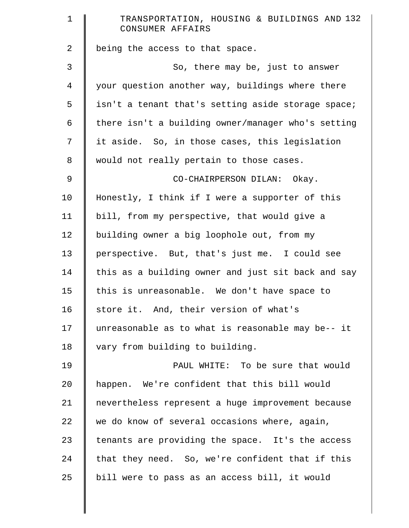| $\mathbf 1$    | TRANSPORTATION, HOUSING & BUILDINGS AND 132<br>CONSUMER AFFAIRS |
|----------------|-----------------------------------------------------------------|
| $\overline{a}$ | being the access to that space.                                 |
| 3              | So, there may be, just to answer                                |
| $\overline{4}$ | your question another way, buildings where there                |
| 5              | isn't a tenant that's setting aside storage space;              |
| $\epsilon$     | there isn't a building owner/manager who's setting              |
| 7              | it aside. So, in those cases, this legislation                  |
| $\,8\,$        | would not really pertain to those cases.                        |
| 9              | CO-CHAIRPERSON DILAN: Okay.                                     |
| 10             | Honestly, I think if I were a supporter of this                 |
| 11             | bill, from my perspective, that would give a                    |
| 12             | building owner a big loophole out, from my                      |
| 13             | perspective. But, that's just me. I could see                   |
| 14             | this as a building owner and just sit back and say              |
| 15             | this is unreasonable. We don't have space to                    |
| 16             | store it. And, their version of what's                          |
| 17             | unreasonable as to what is reasonable may be-- it               |
| 18             | vary from building to building.                                 |
| 19             | PAUL WHITE: To be sure that would                               |
| 20             | happen. We're confident that this bill would                    |
| 21             | nevertheless represent a huge improvement because               |
| 22             | we do know of several occasions where, again,                   |
| 23             | tenants are providing the space. It's the access                |
| 24             | that they need. So, we're confident that if this                |
| 25             | bill were to pass as an access bill, it would                   |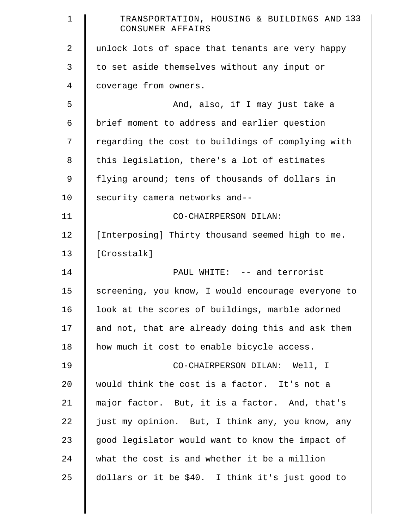| $\mathbf 1$    | TRANSPORTATION, HOUSING & BUILDINGS AND 133<br>CONSUMER AFFAIRS |
|----------------|-----------------------------------------------------------------|
| $\overline{2}$ | unlock lots of space that tenants are very happy                |
| 3              | to set aside themselves without any input or                    |
| 4              | coverage from owners.                                           |
| 5              | And, also, if I may just take a                                 |
| 6              | brief moment to address and earlier question                    |
| 7              | regarding the cost to buildings of complying with               |
| 8              | this legislation, there's a lot of estimates                    |
| 9              | flying around; tens of thousands of dollars in                  |
| 10             | security camera networks and--                                  |
| 11             | CO-CHAIRPERSON DILAN:                                           |
| 12             | [Interposing] Thirty thousand seemed high to me.                |
| 13             | [Crosstalk]                                                     |
| 14             | PAUL WHITE: -- and terrorist                                    |
| 15             | screening, you know, I would encourage everyone to              |
| 16             | look at the scores of buildings, marble adorned                 |
| 17             | and not, that are already doing this and ask them               |
| 18             | how much it cost to enable bicycle access.                      |
| 19             | CO-CHAIRPERSON DILAN: Well, I                                   |
| 20             | would think the cost is a factor. It's not a                    |
| 21             | major factor. But, it is a factor. And, that's                  |
| 22             | just my opinion. But, I think any, you know, any                |
| 23             | good legislator would want to know the impact of                |
| 24             | what the cost is and whether it be a million                    |
| 25             | dollars or it be \$40. I think it's just good to                |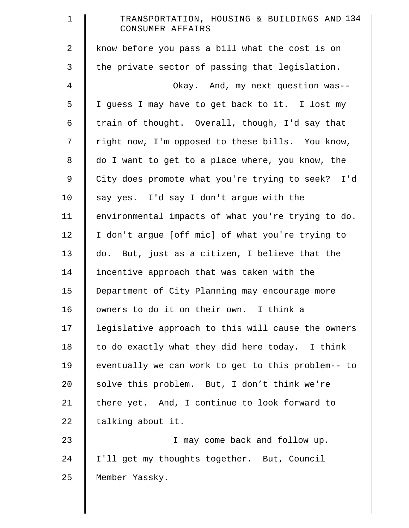| $\mathbf 1$    | TRANSPORTATION, HOUSING & BUILDINGS AND 134<br>CONSUMER AFFAIRS |
|----------------|-----------------------------------------------------------------|
| $\overline{2}$ | know before you pass a bill what the cost is on                 |
| 3              | the private sector of passing that legislation.                 |
| $\overline{4}$ | Okay. And, my next question was--                               |
| 5              | I guess I may have to get back to it. I lost my                 |
| 6              | train of thought. Overall, though, I'd say that                 |
| 7              | right now, I'm opposed to these bills. You know,                |
| $8\,$          | do I want to get to a place where, you know, the                |
| $\mathsf 9$    | City does promote what you're trying to seek? I'd               |
| 10             | say yes. I'd say I don't argue with the                         |
| 11             | environmental impacts of what you're trying to do.              |
| 12             | I don't argue [off mic] of what you're trying to                |
| 13             | do. But, just as a citizen, I believe that the                  |
| 14             | incentive approach that was taken with the                      |
| 15             | Department of City Planning may encourage more                  |
| 16             | owners to do it on their own. I think a                         |
| 17             | legislative approach to this will cause the owners              |
| 18             | to do exactly what they did here today. I think                 |
| 19             | eventually we can work to get to this problem-- to              |
| 20             | solve this problem. But, I don't think we're                    |
| 21             | there yet. And, I continue to look forward to                   |
| 22             | talking about it.                                               |
| 23             | I may come back and follow up.                                  |
| 24             | I'll get my thoughts together. But, Council                     |
| 25             | Member Yassky.                                                  |

║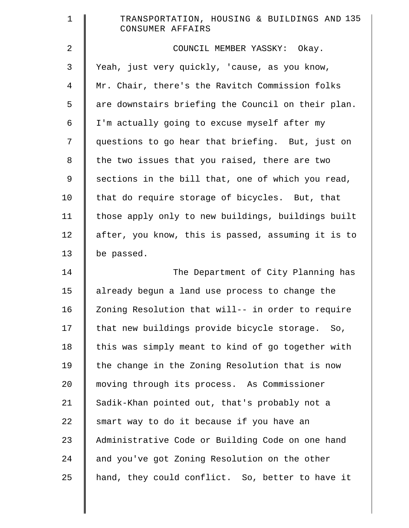| $\mathbf 1$    | TRANSPORTATION, HOUSING & BUILDINGS AND 135<br>CONSUMER AFFAIRS |
|----------------|-----------------------------------------------------------------|
| $\overline{2}$ | COUNCIL MEMBER YASSKY: Okay.                                    |
| 3              | Yeah, just very quickly, 'cause, as you know,                   |
| $\overline{4}$ | Mr. Chair, there's the Ravitch Commission folks                 |
| 5              | are downstairs briefing the Council on their plan.              |
| 6              | I'm actually going to excuse myself after my                    |
| 7              | questions to go hear that briefing. But, just on                |
| $\,8\,$        | the two issues that you raised, there are two                   |
| 9              | sections in the bill that, one of which you read,               |
| 10             | that do require storage of bicycles. But, that                  |
| 11             | those apply only to new buildings, buildings built              |
| 12             | after, you know, this is passed, assuming it is to              |
| 13             | be passed.                                                      |
| 14             | The Department of City Planning has                             |
| 15             | already begun a land use process to change the                  |
| 16             | Zoning Resolution that will-- in order to require               |
| 17             | that new buildings provide bicycle storage. So,                 |
| 18             | this was simply meant to kind of go together with               |
| 19             | the change in the Zoning Resolution that is now                 |
| 20             | moving through its process. As Commissioner                     |
| 21             | Sadik-Khan pointed out, that's probably not a                   |
| 22             | smart way to do it because if you have an                       |
| 23             | Administrative Code or Building Code on one hand                |
| 24             | and you've got Zoning Resolution on the other                   |
| 25             | hand, they could conflict. So, better to have it                |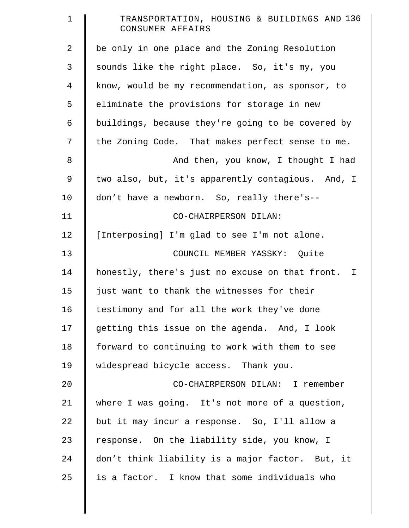| $\mathbf 1$    | TRANSPORTATION, HOUSING & BUILDINGS AND 136<br>CONSUMER AFFAIRS |
|----------------|-----------------------------------------------------------------|
| 2              | be only in one place and the Zoning Resolution                  |
| 3              | sounds like the right place. So, it's my, you                   |
| $\overline{4}$ | know, would be my recommendation, as sponsor, to                |
| 5              | eliminate the provisions for storage in new                     |
| 6              | buildings, because they're going to be covered by               |
| 7              | the Zoning Code. That makes perfect sense to me.                |
| 8              | And then, you know, I thought I had                             |
| $\mathsf 9$    | two also, but, it's apparently contagious. And, I               |
| 10             | don't have a newborn. So, really there's--                      |
| 11             | CO-CHAIRPERSON DILAN:                                           |
| 12             | [Interposing] I'm glad to see I'm not alone.                    |
| 13             | COUNCIL MEMBER YASSKY: Quite                                    |
| 14             | honestly, there's just no excuse on that front. I               |
| 15             | just want to thank the witnesses for their                      |
| 16             | testimony and for all the work they've done                     |
| 17             | getting this issue on the agenda. And, I look                   |
| 18             | forward to continuing to work with them to see                  |
| 19             | widespread bicycle access. Thank you.                           |
| 20             | CO-CHAIRPERSON DILAN: I remember                                |
| 21             | where I was going. It's not more of a question,                 |
| 22             | but it may incur a response. So, I'll allow a                   |
| 23             | response. On the liability side, you know, I                    |
| 24             | don't think liability is a major factor. But, it                |
| 25             | is a factor. I know that some individuals who                   |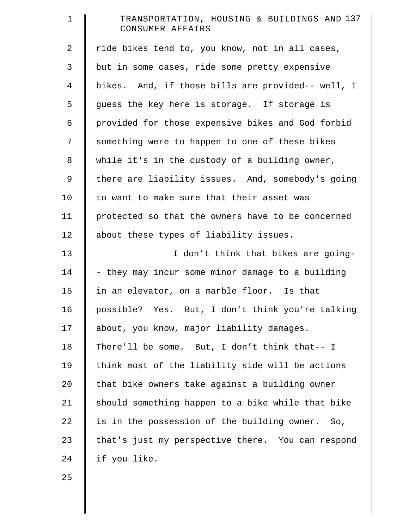| $\mathbf 1$    | TRANSPORTATION, HOUSING & BUILDINGS AND 137<br>CONSUMER AFFAIRS |
|----------------|-----------------------------------------------------------------|
| $\overline{a}$ | ride bikes tend to, you know, not in all cases,                 |
| 3              | but in some cases, ride some pretty expensive                   |
| 4              | bikes. And, if those bills are provided-- well, I               |
| 5              | guess the key here is storage. If storage is                    |
| 6              | provided for those expensive bikes and God forbid               |
| 7              | something were to happen to one of these bikes                  |
| 8              | while it's in the custody of a building owner,                  |
| 9              | there are liability issues. And, somebody's going               |
| 10             | to want to make sure that their asset was                       |
| 11             | protected so that the owners have to be concerned               |
| 12             | about these types of liability issues.                          |
| 13             | I don't think that bikes are going-                             |
| 14             | - they may incur some minor damage to a building                |
| 15             | in an elevator, on a marble floor. Is that                      |
| 16             | possible? Yes. But, I don't think you're talking                |
| 17             | about, you know, major liability damages.                       |
| 18             | There'll be some. But, I don't think that-- I                   |
| 19             | think most of the liability side will be actions                |
| 20             | that bike owners take against a building owner                  |
| 21             | should something happen to a bike while that bike               |
| 22             | is in the possession of the building owner. So,                 |
| 23             | that's just my perspective there. You can respond               |
| 24             | if you like.                                                    |
| 25             |                                                                 |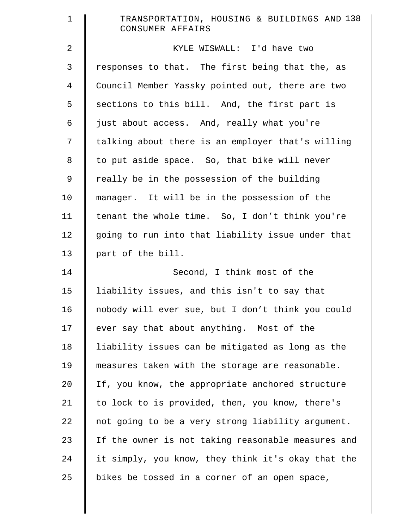| $\mathbf 1$    | TRANSPORTATION, HOUSING & BUILDINGS AND 138<br>CONSUMER AFFAIRS |
|----------------|-----------------------------------------------------------------|
| $\overline{2}$ | KYLE WISWALL: I'd have two                                      |
| 3              | responses to that. The first being that the, as                 |
| $\overline{4}$ | Council Member Yassky pointed out, there are two                |
| 5              | sections to this bill. And, the first part is                   |
| 6              | just about access. And, really what you're                      |
| 7              | talking about there is an employer that's willing               |
| 8              | to put aside space. So, that bike will never                    |
| 9              | really be in the possession of the building                     |
| 10             | manager. It will be in the possession of the                    |
| 11             | tenant the whole time. So, I don't think you're                 |
| 12             | going to run into that liability issue under that               |
| 13             | part of the bill.                                               |
| 14             | Second, I think most of the                                     |
| 15             | liability issues, and this isn't to say that                    |
| 16             | nobody will ever sue, but I don't think you could               |
| 17             | ever say that about anything. Most of the                       |
| 18             | liability issues can be mitigated as long as the                |
| 19             | measures taken with the storage are reasonable.                 |
| 20             | If, you know, the appropriate anchored structure                |
| 21             | to lock to is provided, then, you know, there's                 |
| 22             | not going to be a very strong liability argument.               |
| 23             | If the owner is not taking reasonable measures and              |
| 24             | it simply, you know, they think it's okay that the              |
| 25             | bikes be tossed in a corner of an open space,                   |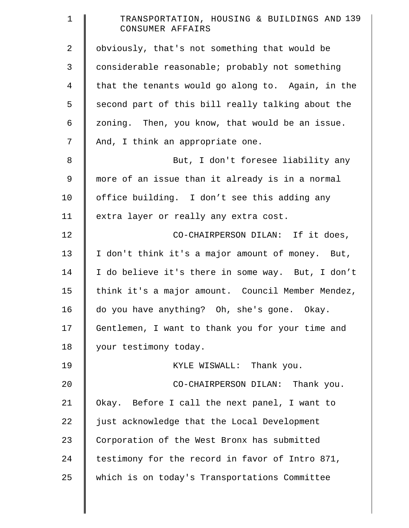| $\mathbf 1$    | TRANSPORTATION, HOUSING & BUILDINGS AND 139<br>CONSUMER AFFAIRS |
|----------------|-----------------------------------------------------------------|
| 2              | obviously, that's not something that would be                   |
| 3              | considerable reasonable; probably not something                 |
| $\overline{4}$ | that the tenants would go along to. Again, in the               |
| 5              | second part of this bill really talking about the               |
| 6              | zoning. Then, you know, that would be an issue.                 |
| 7              | And, I think an appropriate one.                                |
| $\,8\,$        | But, I don't foresee liability any                              |
| $\mathsf 9$    | more of an issue than it already is in a normal                 |
| 10             | office building. I don't see this adding any                    |
| 11             | extra layer or really any extra cost.                           |
| 12             | CO-CHAIRPERSON DILAN: If it does,                               |
| 13             | I don't think it's a major amount of money. But,                |
| 14             | I do believe it's there in some way. But, I don't               |
| 15             | think it's a major amount. Council Member Mendez,               |
| 16             | do you have anything? Oh, she's gone. Okay.                     |
| 17             | Gentlemen, I want to thank you for your time and                |
| 18             | your testimony today.                                           |
| 19             | KYLE WISWALL: Thank you.                                        |
| 20             | CO-CHAIRPERSON DILAN: Thank you.                                |
| 21             | Okay. Before I call the next panel, I want to                   |
| 22             | just acknowledge that the Local Development                     |
| 23             | Corporation of the West Bronx has submitted                     |
| 24             | testimony for the record in favor of Intro 871,                 |
| 25             | which is on today's Transportations Committee                   |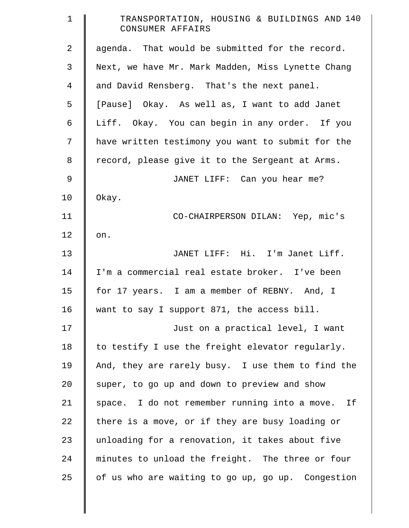| $\mathbf 1$    | TRANSPORTATION, HOUSING & BUILDINGS AND 140<br>CONSUMER AFFAIRS |
|----------------|-----------------------------------------------------------------|
| $\overline{2}$ | agenda. That would be submitted for the record.                 |
| 3              | Next, we have Mr. Mark Madden, Miss Lynette Chang               |
| $\overline{4}$ | and David Rensberg. That's the next panel.                      |
| 5              | [Pause] Okay. As well as, I want to add Janet                   |
| 6              | Liff. Okay. You can begin in any order. If you                  |
| 7              | have written testimony you want to submit for the               |
| 8              | record, please give it to the Sergeant at Arms.                 |
| $\mathsf 9$    | JANET LIFF: Can you hear me?                                    |
| 10             | Okay.                                                           |
| 11             | CO-CHAIRPERSON DILAN: Yep, mic's                                |
| 12             | on.                                                             |
| 13             | JANET LIFF: Hi. I'm Janet Liff.                                 |
| 14             | I'm a commercial real estate broker. I've been                  |
| 15             | for 17 years. I am a member of REBNY. And, I                    |
| 16             | want to say I support 871, the access bill.                     |
| 17             | Just on a practical level, I want                               |
| 18             | to testify I use the freight elevator regularly.                |
| 19             | And, they are rarely busy. I use them to find the               |
| 20             | super, to go up and down to preview and show                    |
| 21             | space. I do not remember running into a move. If                |
| 22             | there is a move, or if they are busy loading or                 |
| 23             | unloading for a renovation, it takes about five                 |
| 24             | minutes to unload the freight. The three or four                |
| 25             | of us who are waiting to go up, go up. Congestion               |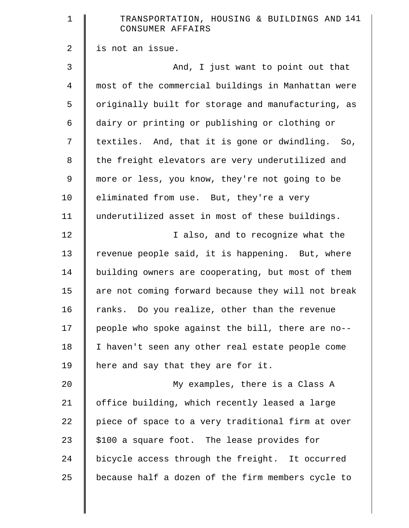| $\mathbf 1$    | TRANSPORTATION, HOUSING & BUILDINGS AND 141<br>CONSUMER AFFAIRS |
|----------------|-----------------------------------------------------------------|
| $\overline{2}$ | is not an issue.                                                |
| 3              | And, I just want to point out that                              |
| $\overline{4}$ | most of the commercial buildings in Manhattan were              |
| 5              | originally built for storage and manufacturing, as              |
| 6              | dairy or printing or publishing or clothing or                  |
| 7              | textiles. And, that it is gone or dwindling. So,                |
| $\,8\,$        | the freight elevators are very underutilized and                |
| 9              | more or less, you know, they're not going to be                 |
| 10             | eliminated from use. But, they're a very                        |
| 11             | underutilized asset in most of these buildings.                 |
| 12             | I also, and to recognize what the                               |
| 13             | revenue people said, it is happening. But, where                |
| 14             | building owners are cooperating, but most of them               |
| 15             | are not coming forward because they will not break              |
| 16             | ranks. Do you realize, other than the revenue                   |
| 17             | people who spoke against the bill, there are no--               |
| 18             | I haven't seen any other real estate people come                |
| 19             | here and say that they are for it.                              |
| 20             | My examples, there is a Class A                                 |
| 21             | office building, which recently leased a large                  |
| 22             | piece of space to a very traditional firm at over               |
| 23             | \$100 a square foot. The lease provides for                     |
| 24             | bicycle access through the freight. It occurred                 |
| 25             | because half a dozen of the firm members cycle to               |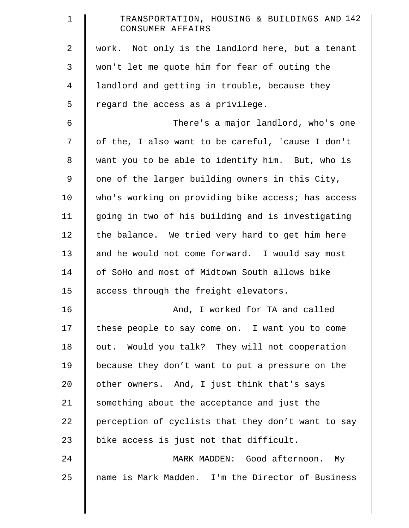| $\mathbf 1$ | TRANSPORTATION, HOUSING & BUILDINGS AND 142<br>CONSUMER AFFAIRS |
|-------------|-----------------------------------------------------------------|
| 2           | work. Not only is the landlord here, but a tenant               |
| 3           | won't let me quote him for fear of outing the                   |
| 4           | landlord and getting in trouble, because they                   |
| 5           | regard the access as a privilege.                               |
| $\epsilon$  | There's a major landlord, who's one                             |
| 7           | of the, I also want to be careful, 'cause I don't               |
| $8\,$       | want you to be able to identify him. But, who is                |
| 9           | one of the larger building owners in this City,                 |
| 10          | who's working on providing bike access; has access              |
| 11          | going in two of his building and is investigating               |
| 12          | the balance. We tried very hard to get him here                 |
| 13          | and he would not come forward. I would say most                 |
| 14          | of SoHo and most of Midtown South allows bike                   |
| 15          | access through the freight elevators.                           |
| 16          | And, I worked for TA and called                                 |
| 17          | these people to say come on. I want you to come                 |
| 18          | out. Would you talk? They will not cooperation                  |
| 19          | because they don't want to put a pressure on the                |
| 20          | other owners. And, I just think that's says                     |
| 21          | something about the acceptance and just the                     |
| 22          | perception of cyclists that they don't want to say              |
| 23          | bike access is just not that difficult.                         |
| 24          | MARK MADDEN: Good afternoon. My                                 |
| 25          | name is Mark Madden. I'm the Director of Business               |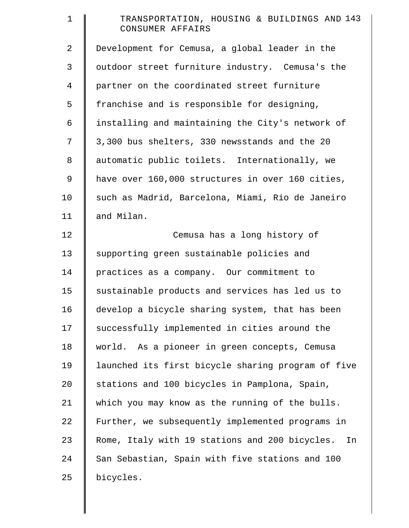| $\mathbf 1$    | TRANSPORTATION, HOUSING & BUILDINGS AND 143<br>CONSUMER AFFAIRS |
|----------------|-----------------------------------------------------------------|
| 2              | Development for Cemusa, a global leader in the                  |
| 3              | outdoor street furniture industry. Cemusa's the                 |
| $\overline{4}$ | partner on the coordinated street furniture                     |
| 5              | franchise and is responsible for designing,                     |
| 6              | installing and maintaining the City's network of                |
| 7              | 3,300 bus shelters, 330 newsstands and the 20                   |
| 8              | automatic public toilets. Internationally, we                   |
| 9              | have over 160,000 structures in over 160 cities,                |
| 10             | such as Madrid, Barcelona, Miami, Rio de Janeiro                |
| 11             | and Milan.                                                      |
| 12             | Cemusa has a long history of                                    |
| 13             | supporting green sustainable policies and                       |
| 14             | practices as a company. Our commitment to                       |
| 15             | sustainable products and services has led us to                 |
| 16             | develop a bicycle sharing system, that has been                 |
| 17             | successfully implemented in cities around the                   |
| 18             | world. As a pioneer in green concepts, Cemusa                   |
| 19             | launched its first bicycle sharing program of five              |
| 20             | stations and 100 bicycles in Pamplona, Spain,                   |
| 21             | which you may know as the running of the bulls.                 |
| 22             | Further, we subsequently implemented programs in                |
| 23             | Rome, Italy with 19 stations and 200 bicycles.<br>In            |
| 24             | San Sebastian, Spain with five stations and 100                 |
| 25             | bicycles.                                                       |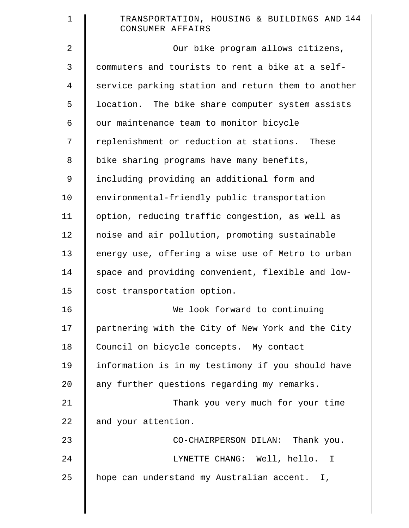| $\mathbf 1$ | TRANSPORTATION, HOUSING & BUILDINGS AND 144<br>CONSUMER AFFAIRS |
|-------------|-----------------------------------------------------------------|
| 2           | Our bike program allows citizens,                               |
| 3           | commuters and tourists to rent a bike at a self-                |
| 4           | service parking station and return them to another              |
| 5           | location. The bike share computer system assists                |
| 6           | our maintenance team to monitor bicycle                         |
| 7           | replenishment or reduction at stations. These                   |
| 8           | bike sharing programs have many benefits,                       |
| $\mathsf 9$ | including providing an additional form and                      |
| 10          | environmental-friendly public transportation                    |
| 11          | option, reducing traffic congestion, as well as                 |
| 12          | noise and air pollution, promoting sustainable                  |
| 13          | energy use, offering a wise use of Metro to urban               |
| 14          | space and providing convenient, flexible and low-               |
| 15          | cost transportation option.                                     |
| 16          | We look forward to continuing                                   |
| 17          | partnering with the City of New York and the City               |
| 18          | Council on bicycle concepts. My contact                         |
| 19          | information is in my testimony if you should have               |
| 20          | any further questions regarding my remarks.                     |
| 21          | Thank you very much for your time                               |
| 22          | and your attention.                                             |
| 23          | CO-CHAIRPERSON DILAN: Thank you.                                |
| 24          | LYNETTE CHANG: Well, hello. I                                   |
| 25          | hope can understand my Australian accent. I,                    |
|             |                                                                 |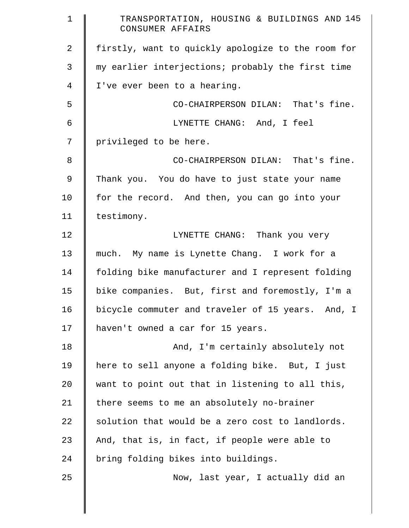| $\mathbf 1$    | TRANSPORTATION, HOUSING & BUILDINGS AND 145<br>CONSUMER AFFAIRS |
|----------------|-----------------------------------------------------------------|
| $\overline{2}$ | firstly, want to quickly apologize to the room for              |
| 3              | my earlier interjections; probably the first time               |
| 4              | I've ever been to a hearing.                                    |
| 5              | CO-CHAIRPERSON DILAN: That's fine.                              |
| 6              | LYNETTE CHANG: And, I feel                                      |
| 7              | privileged to be here.                                          |
| 8              | CO-CHAIRPERSON DILAN: That's fine.                              |
| 9              | Thank you. You do have to just state your name                  |
| 10             | for the record. And then, you can go into your                  |
| 11             | testimony.                                                      |
| 12             | LYNETTE CHANG: Thank you very                                   |
| 13             | much. My name is Lynette Chang. I work for a                    |
| 14             | folding bike manufacturer and I represent folding               |
| 15             | bike companies. But, first and foremostly, I'm a                |
| 16             | bicycle commuter and traveler of 15 years. And, I               |
| 17             | haven't owned a car for 15 years.                               |
| 18             | And, I'm certainly absolutely not                               |
| 19             | here to sell anyone a folding bike. But, I just                 |
| 20             | want to point out that in listening to all this,                |
| 21             | there seems to me an absolutely no-brainer                      |
| 22             | solution that would be a zero cost to landlords.                |
| 23             | And, that is, in fact, if people were able to                   |
| 24             | bring folding bikes into buildings.                             |
| 25             | Now, last year, I actually did an                               |
|                |                                                                 |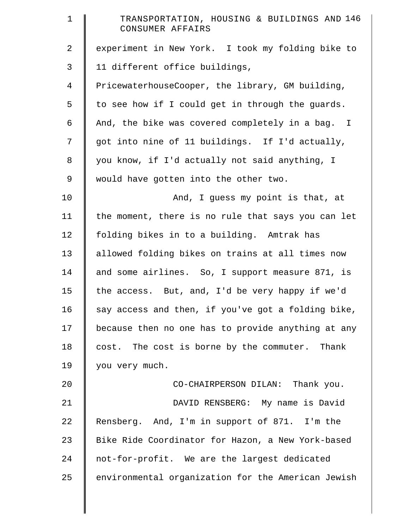| $\mathbf 1$    | TRANSPORTATION, HOUSING & BUILDINGS AND 146<br>CONSUMER AFFAIRS |
|----------------|-----------------------------------------------------------------|
| $\overline{2}$ | experiment in New York. I took my folding bike to               |
| 3              | 11 different office buildings,                                  |
| $\overline{4}$ | PricewaterhouseCooper, the library, GM building,                |
| 5              | to see how if I could get in through the guards.                |
| 6              | And, the bike was covered completely in a bag. I                |
| 7              | got into nine of 11 buildings. If I'd actually,                 |
| 8              | you know, if I'd actually not said anything, I                  |
| 9              | would have gotten into the other two.                           |
| 10             | And, I guess my point is that, at                               |
| 11             | the moment, there is no rule that says you can let              |
| 12             | folding bikes in to a building. Amtrak has                      |
| 13             | allowed folding bikes on trains at all times now                |
| 14             | and some airlines. So, I support measure 871, is                |
| 15             | the access. But, and, I'd be very happy if we'd                 |
| 16             | say access and then, if you've got a folding bike,              |
| 17             | because then no one has to provide anything at any              |
| 18             | cost. The cost is borne by the commuter. Thank                  |
| 19             | you very much.                                                  |
| 20             | CO-CHAIRPERSON DILAN: Thank you.                                |
| 21             | DAVID RENSBERG: My name is David                                |
| 22             | Rensberg. And, I'm in support of 871. I'm the                   |
| 23             | Bike Ride Coordinator for Hazon, a New York-based               |
| 24             | not-for-profit. We are the largest dedicated                    |
| 25             | environmental organization for the American Jewish              |
|                |                                                                 |

║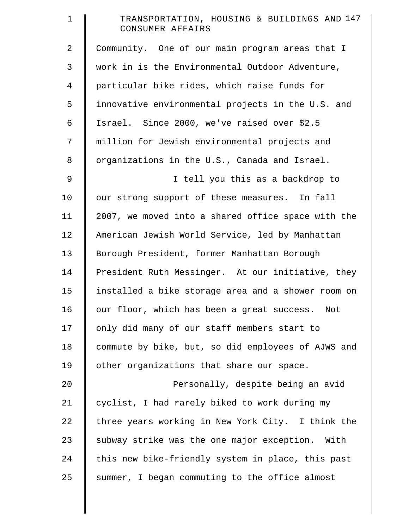| $\mathbf 1$    | TRANSPORTATION, HOUSING & BUILDINGS AND 147<br>CONSUMER AFFAIRS |
|----------------|-----------------------------------------------------------------|
| 2              | Community. One of our main program areas that I                 |
| 3              | work in is the Environmental Outdoor Adventure,                 |
| $\overline{4}$ | particular bike rides, which raise funds for                    |
| 5              | innovative environmental projects in the U.S. and               |
| 6              | Israel. Since 2000, we've raised over \$2.5                     |
| 7              | million for Jewish environmental projects and                   |
| 8              | organizations in the U.S., Canada and Israel.                   |
| $\mathsf 9$    | I tell you this as a backdrop to                                |
| 10             | our strong support of these measures. In fall                   |
| 11             | 2007, we moved into a shared office space with the              |
| 12             | American Jewish World Service, led by Manhattan                 |
| 13             | Borough President, former Manhattan Borough                     |
| 14             | President Ruth Messinger. At our initiative, they               |
| 15             | installed a bike storage area and a shower room on              |
| 16             | our floor, which has been a great success. Not                  |
| 17             | only did many of our staff members start to                     |
| 18             | commute by bike, but, so did employees of AJWS and              |
| 19             | other organizations that share our space.                       |
| 20             | Personally, despite being an avid                               |
| 21             | cyclist, I had rarely biked to work during my                   |
| 22             | three years working in New York City. I think the               |
| 23             | subway strike was the one major exception. With                 |
| 24             | this new bike-friendly system in place, this past               |
| 25             | summer, I began commuting to the office almost                  |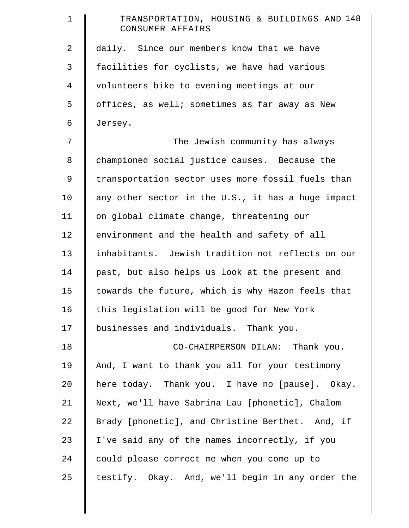| $\mathbf 1$    | TRANSPORTATION, HOUSING & BUILDINGS AND 148<br>CONSUMER AFFAIRS |
|----------------|-----------------------------------------------------------------|
| $\overline{2}$ | daily. Since our members know that we have                      |
| 3              | facilities for cyclists, we have had various                    |
| 4              | volunteers bike to evening meetings at our                      |
| 5              | offices, as well; sometimes as far away as New                  |
| 6              | Jersey.                                                         |
| 7              | The Jewish community has always                                 |
| 8              | championed social justice causes. Because the                   |
| 9              | transportation sector uses more fossil fuels than               |
| 10             | any other sector in the U.S., it has a huge impact              |
| 11             | on global climate change, threatening our                       |
| 12             | environment and the health and safety of all                    |
| 13             | inhabitants. Jewish tradition not reflects on our               |
| 14             | past, but also helps us look at the present and                 |
| 15             | towards the future, which is why Hazon feels that               |
| 16             | this legislation will be good for New York                      |
| 17             | businesses and individuals. Thank you.                          |
| 18             | CO-CHAIRPERSON DILAN: Thank you.                                |
| 19             | And, I want to thank you all for your testimony                 |
| 20             | here today. Thank you. I have no [pause]. Okay.                 |
| 21             | Next, we'll have Sabrina Lau [phonetic], Chalom                 |
| 22             | Brady [phonetic], and Christine Berthet. And, if                |
| 23             | I've said any of the names incorrectly, if you                  |
| 24             | could please correct me when you come up to                     |
| 25             | testify. Okay. And, we'll begin in any order the                |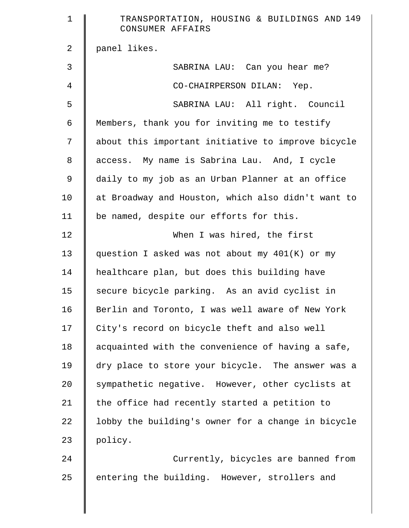| $\mathbf 1$    | TRANSPORTATION, HOUSING & BUILDINGS AND 149<br>CONSUMER AFFAIRS |
|----------------|-----------------------------------------------------------------|
| $\overline{a}$ | panel likes.                                                    |
| 3              | SABRINA LAU: Can you hear me?                                   |
| 4              | CO-CHAIRPERSON DILAN: Yep.                                      |
| 5              | SABRINA LAU: All right. Council                                 |
| 6              | Members, thank you for inviting me to testify                   |
| 7              | about this important initiative to improve bicycle              |
| 8              | access. My name is Sabrina Lau. And, I cycle                    |
| $\mathsf 9$    | daily to my job as an Urban Planner at an office                |
| 10             | at Broadway and Houston, which also didn't want to              |
| 11             | be named, despite our efforts for this.                         |
| 12             | When I was hired, the first                                     |
| 13             | question I asked was not about my 401(K) or my                  |
| 14             | healthcare plan, but does this building have                    |
| 15             | secure bicycle parking. As an avid cyclist in                   |
| 16             | Berlin and Toronto, I was well aware of New York                |
| 17             | City's record on bicycle theft and also well                    |
| 18             | acquainted with the convenience of having a safe,               |
| 19             | dry place to store your bicycle. The answer was a               |
| 20             | sympathetic negative. However, other cyclists at                |
| 21             | the office had recently started a petition to                   |
| 22             | lobby the building's owner for a change in bicycle              |
| 23             | policy.                                                         |
| 24             | Currently, bicycles are banned from                             |
| 25             | entering the building. However, strollers and                   |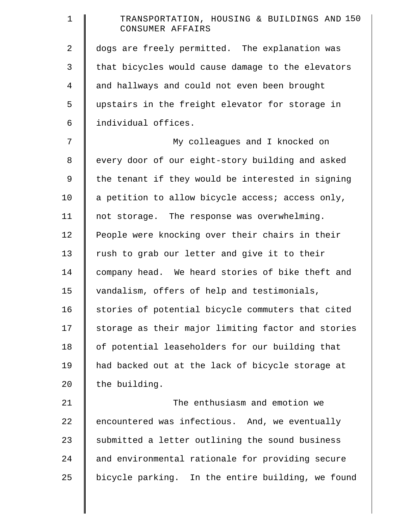| $\mathbf 1$    | TRANSPORTATION, HOUSING & BUILDINGS AND 150<br>CONSUMER AFFAIRS |
|----------------|-----------------------------------------------------------------|
| $\overline{a}$ | dogs are freely permitted. The explanation was                  |
| 3              | that bicycles would cause damage to the elevators               |
| $\overline{4}$ | and hallways and could not even been brought                    |
| 5              | upstairs in the freight elevator for storage in                 |
| 6              | individual offices.                                             |
| 7              | My colleagues and I knocked on                                  |
| 8              | every door of our eight-story building and asked                |
| 9              | the tenant if they would be interested in signing               |
| 10             | a petition to allow bicycle access; access only,                |
| 11             | not storage. The response was overwhelming.                     |
| 12             | People were knocking over their chairs in their                 |
| 13             | rush to grab our letter and give it to their                    |
| 14             | company head. We heard stories of bike theft and                |
| 15             | vandalism, offers of help and testimonials,                     |
| 16             | stories of potential bicycle commuters that cited               |
| 17             | storage as their major limiting factor and stories              |
| 18             | of potential leaseholders for our building that                 |
| 19             | had backed out at the lack of bicycle storage at                |
| 20             | the building.                                                   |
| 21             | The enthusiasm and emotion we                                   |
| 22             | encountered was infectious. And, we eventually                  |
| 23             | submitted a letter outlining the sound business                 |
| 24             | and environmental rationale for providing secure                |
| 25             | bicycle parking. In the entire building, we found               |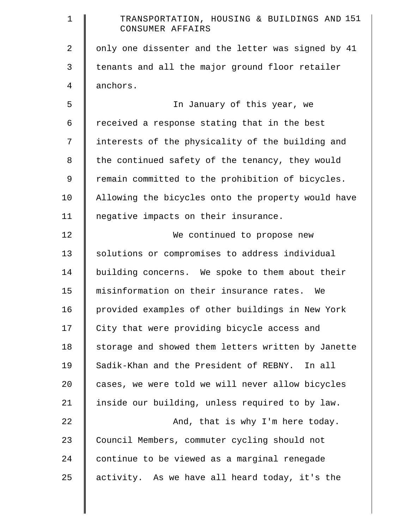| $\mathbf 1$    | TRANSPORTATION, HOUSING & BUILDINGS AND 151<br>CONSUMER AFFAIRS |
|----------------|-----------------------------------------------------------------|
| 2              | only one dissenter and the letter was signed by 41              |
| 3              | tenants and all the major ground floor retailer                 |
| $\overline{4}$ | anchors.                                                        |
| 5              | In January of this year, we                                     |
| 6              | received a response stating that in the best                    |
| 7              | interests of the physicality of the building and                |
| 8              | the continued safety of the tenancy, they would                 |
| $\mathsf 9$    | remain committed to the prohibition of bicycles.                |
| 10             | Allowing the bicycles onto the property would have              |
| 11             | negative impacts on their insurance.                            |
| 12             | We continued to propose new                                     |
| 13             | solutions or compromises to address individual                  |
| 14             | building concerns. We spoke to them about their                 |
| 15             | misinformation on their insurance rates. We                     |
| 16             | provided examples of other buildings in New York                |
| 17             | City that were providing bicycle access and                     |
| 18             | storage and showed them letters written by Janette              |
| 19             | Sadik-Khan and the President of REBNY. In all                   |
| 20             | cases, we were told we will never allow bicycles                |
| 21             | inside our building, unless required to by law.                 |
| 22             | And, that is why I'm here today.                                |
| 23             | Council Members, commuter cycling should not                    |
| 24             | continue to be viewed as a marginal renegade                    |
| 25             | activity. As we have all heard today, it's the                  |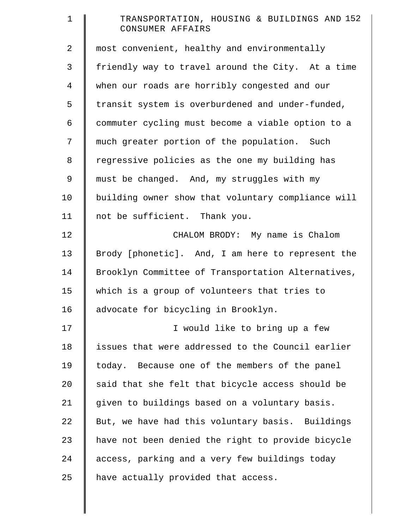| $\mathbf 1$    | TRANSPORTATION, HOUSING & BUILDINGS AND 152<br>CONSUMER AFFAIRS |
|----------------|-----------------------------------------------------------------|
| 2              | most convenient, healthy and environmentally                    |
| 3              | friendly way to travel around the City. At a time               |
| $\overline{4}$ | when our roads are horribly congested and our                   |
| 5              | transit system is overburdened and under-funded,                |
| 6              | commuter cycling must become a viable option to a               |
| 7              | much greater portion of the population. Such                    |
| 8              | regressive policies as the one my building has                  |
| 9              | must be changed. And, my struggles with my                      |
| 10             | building owner show that voluntary compliance will              |
| 11             | not be sufficient. Thank you.                                   |
| 12             | CHALOM BRODY: My name is Chalom                                 |
| 13             | Brody [phonetic]. And, I am here to represent the               |
| 14             | Brooklyn Committee of Transportation Alternatives,              |
| 15             | which is a group of volunteers that tries to                    |
| 16             | advocate for bicycling in Brooklyn.                             |
| 17             | I would like to bring up a few                                  |
| 18             | issues that were addressed to the Council earlier               |
| 19             | today. Because one of the members of the panel                  |
| 20             | said that she felt that bicycle access should be                |
| 21             | given to buildings based on a voluntary basis.                  |
| 22             | But, we have had this voluntary basis. Buildings                |
| 23             | have not been denied the right to provide bicycle               |
| 24             | access, parking and a very few buildings today                  |
| 25             | have actually provided that access.                             |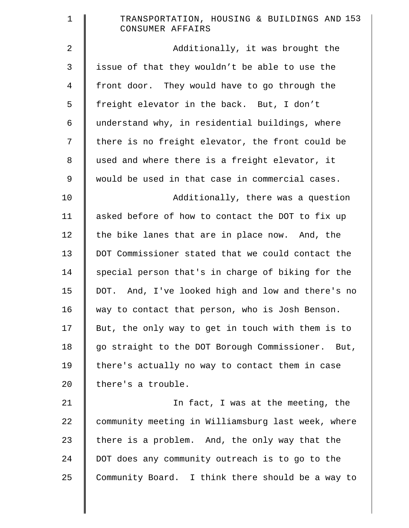| ᅩ |  |                  |  | TRANSPORTATION, HOUSING & BUILDINGS AND 153 |  |
|---|--|------------------|--|---------------------------------------------|--|
|   |  | CONSUMER AFFAIRS |  |                                             |  |

2 **Additionally, it was brought the** 3 issue of that they wouldn't be able to use the 4 front door. They would have to go through the 5 | freight elevator in the back. But, I don't  $6$  understand why, in residential buildings, where 7 | there is no freight elevator, the front could be 8 used and where there is a freight elevator, it 9 would be used in that case in commercial cases.

10 | Additionally, there was a question 11 asked before of how to contact the DOT to fix up  $12$  the bike lanes that are in place now. And, the 13 DOT Commissioner stated that we could contact the 14 special person that's in charge of biking for the 15 DOT. And, I've looked high and low and there's no 16 way to contact that person, who is Josh Benson. 17 | But, the only way to get in touch with them is to 18 | go straight to the DOT Borough Commissioner. But, 19 | there's actually no way to contact them in case 20 | there's a trouble.

21 | In fact, I was at the meeting, the 22 community meeting in Williamsburg last week, where 23 there is a problem. And, the only way that the 24 DOT does any community outreach is to go to the  $25$  Community Board. I think there should be a way to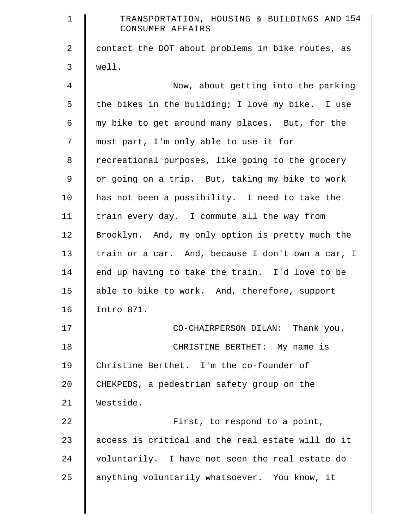| $\mathbf 1$    | TRANSPORTATION, HOUSING & BUILDINGS AND 154<br>CONSUMER AFFAIRS |
|----------------|-----------------------------------------------------------------|
| 2              | contact the DOT about problems in bike routes, as               |
| 3              | well.                                                           |
| $\overline{4}$ | Now, about getting into the parking                             |
| 5              | the bikes in the building; I love my bike. I use                |
| 6              | my bike to get around many places. But, for the                 |
| 7              | most part, I'm only able to use it for                          |
| 8              | recreational purposes, like going to the grocery                |
| 9              | or going on a trip. But, taking my bike to work                 |
| 10             | has not been a possibility. I need to take the                  |
| 11             | train every day. I commute all the way from                     |
| 12             | Brooklyn. And, my only option is pretty much the                |
| 13             | train or a car. And, because I don't own a car, I               |
| 14             | end up having to take the train. I'd love to be                 |
| 15             | able to bike to work. And, therefore, support                   |
| 16             | Intro 871.                                                      |
| 17             | CO-CHAIRPERSON DILAN: Thank you.                                |
| 18             | CHRISTINE BERTHET: My name is                                   |
| 19             | Christine Berthet. I'm the co-founder of                        |
| 20             | CHEKPEDS, a pedestrian safety group on the                      |
| 21             | Westside.                                                       |
| 22             | First, to respond to a point,                                   |
| 23             | access is critical and the real estate will do it               |
| 24             | voluntarily. I have not seen the real estate do                 |
| 25             | anything voluntarily whatsoever. You know, it                   |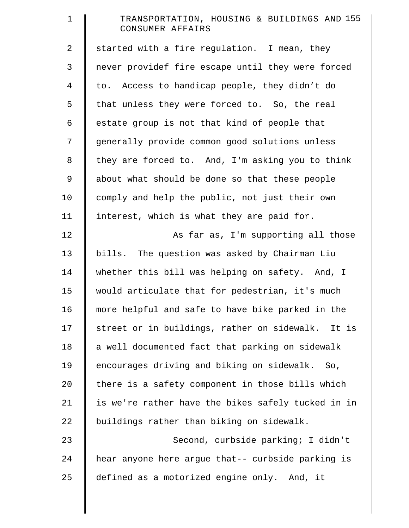| $\mathbf 1$    | TRANSPORTATION, HOUSING & BUILDINGS AND 155<br>CONSUMER AFFAIRS |
|----------------|-----------------------------------------------------------------|
| $\overline{a}$ | started with a fire regulation. I mean, they                    |
| 3              | never providef fire escape until they were forced               |
| $\overline{4}$ | to. Access to handicap people, they didn't do                   |
| 5              | that unless they were forced to. So, the real                   |
| 6              | estate group is not that kind of people that                    |
| 7              | generally provide common good solutions unless                  |
| 8              | they are forced to. And, I'm asking you to think                |
| 9              | about what should be done so that these people                  |
| 10             | comply and help the public, not just their own                  |
| 11             | interest, which is what they are paid for.                      |
| 12             | As far as, I'm supporting all those                             |
| 13             | bills. The question was asked by Chairman Liu                   |
| 14             | whether this bill was helping on safety. And, I                 |
| 15             | would articulate that for pedestrian, it's much                 |
| 16             | more helpful and safe to have bike parked in the                |
| 17             | street or in buildings, rather on sidewalk. It is               |
| 18             | a well documented fact that parking on sidewalk                 |
| 19             | encourages driving and biking on sidewalk. So,                  |
| 20             | there is a safety component in those bills which                |
| 21             | is we're rather have the bikes safely tucked in in              |
| 22             | buildings rather than biking on sidewalk.                       |
| 23             | Second, curbside parking; I didn't                              |
| 24             | hear anyone here argue that-- curbside parking is               |
| 25             | defined as a motorized engine only. And, it                     |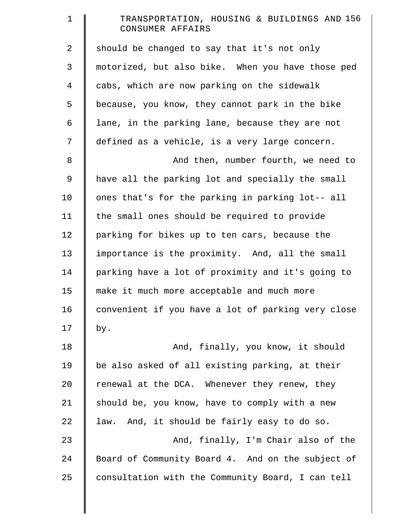| $\mathbf 1$    | TRANSPORTATION, HOUSING & BUILDINGS AND 156<br>CONSUMER AFFAIRS |
|----------------|-----------------------------------------------------------------|
| 2              | should be changed to say that it's not only                     |
| 3              | motorized, but also bike. When you have those ped               |
| $\overline{4}$ | cabs, which are now parking on the sidewalk                     |
| 5              | because, you know, they cannot park in the bike                 |
| 6              | lane, in the parking lane, because they are not                 |
| 7              | defined as a vehicle, is a very large concern.                  |
| 8              | And then, number fourth, we need to                             |
| 9              | have all the parking lot and specially the small                |
| 10             | ones that's for the parking in parking lot-- all                |
| 11             | the small ones should be required to provide                    |
| 12             | parking for bikes up to ten cars, because the                   |
| 13             | importance is the proximity. And, all the small                 |
| 14             | parking have a lot of proximity and it's going to               |
| 15             | make it much more acceptable and much more                      |
| 16             | convenient if you have a lot of parking very close              |
| 17             | by.                                                             |
| 18             | And, finally, you know, it should                               |
| 19             | be also asked of all existing parking, at their                 |
| 20             | renewal at the DCA. Whenever they renew, they                   |
| 21             | should be, you know, have to comply with a new                  |
| 22             | law. And, it should be fairly easy to do so.                    |
| 23             | And, finally, I'm Chair also of the                             |
| 24             | Board of Community Board 4. And on the subject of               |
| 25             | consultation with the Community Board, I can tell               |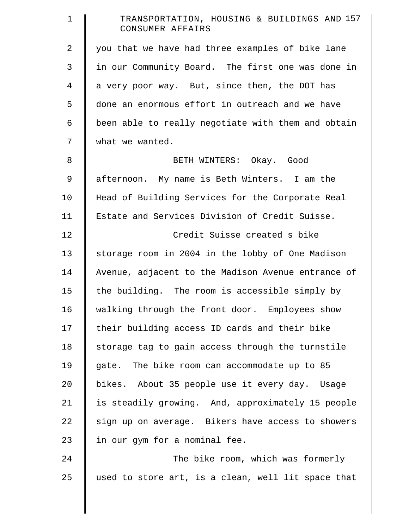| $\mathbf 1$    | TRANSPORTATION, HOUSING & BUILDINGS AND 157<br>CONSUMER AFFAIRS |
|----------------|-----------------------------------------------------------------|
| $\overline{2}$ | you that we have had three examples of bike lane                |
| 3              | in our Community Board. The first one was done in               |
| 4              | a very poor way. But, since then, the DOT has                   |
| 5              | done an enormous effort in outreach and we have                 |
| 6              | been able to really negotiate with them and obtain              |
| 7              | what we wanted.                                                 |
| 8              | BETH WINTERS: Okay. Good                                        |
| 9              | afternoon. My name is Beth Winters. I am the                    |
| 10             | Head of Building Services for the Corporate Real                |
| 11             | Estate and Services Division of Credit Suisse.                  |
| 12             | Credit Suisse created s bike                                    |
| 13             | storage room in 2004 in the lobby of One Madison                |
| 14             | Avenue, adjacent to the Madison Avenue entrance of              |
| 15             | the building. The room is accessible simply by                  |
| 16             | walking through the front door. Employees show                  |
| 17             | their building access ID cards and their bike                   |
| 18             | storage tag to gain access through the turnstile                |
| 19             | gate. The bike room can accommodate up to 85                    |
| 20             | bikes. About 35 people use it every day. Usage                  |
| 21             | is steadily growing. And, approximately 15 people               |
| 22             | sign up on average. Bikers have access to showers               |
| 23             | in our gym for a nominal fee.                                   |
| 24             | The bike room, which was formerly                               |
| 25             | used to store art, is a clean, well lit space that              |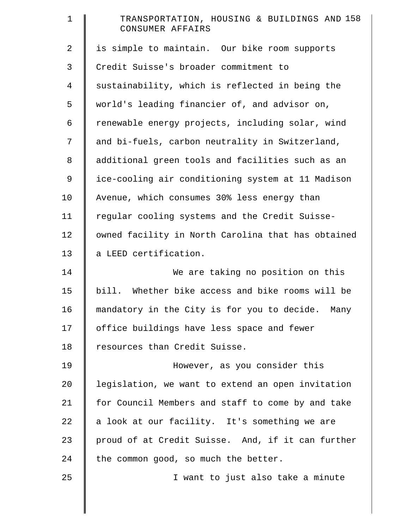| TRANSPORTATION, HOUSING & BUILDINGS AND 158<br>CONSUMER AFFAIRS |
|-----------------------------------------------------------------|
| is simple to maintain. Our bike room supports                   |
| Credit Suisse's broader commitment to                           |
| sustainability, which is reflected in being the                 |
| world's leading financier of, and advisor on,                   |
| renewable energy projects, including solar, wind                |
| and bi-fuels, carbon neutrality in Switzerland,                 |
| additional green tools and facilities such as an                |
| ice-cooling air conditioning system at 11 Madison               |
| Avenue, which consumes 30% less energy than                     |
| regular cooling systems and the Credit Suisse-                  |
| owned facility in North Carolina that has obtained              |
| a LEED certification.                                           |
| We are taking no position on this                               |
| bill. Whether bike access and bike rooms will be                |
| mandatory in the City is for you to decide. Many                |
| office buildings have less space and fewer                      |
| resources than Credit Suisse.                                   |
| However, as you consider this                                   |
| legislation, we want to extend an open invitation               |
| for Council Members and staff to come by and take               |
| a look at our facility. It's something we are                   |
| proud of at Credit Suisse. And, if it can further               |
| the common good, so much the better.                            |
| I want to just also take a minute                               |
|                                                                 |
|                                                                 |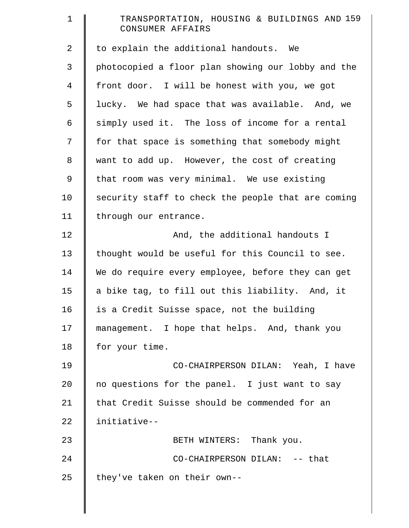| $\mathbf 1$ | TRANSPORTATION, HOUSING & BUILDINGS AND 159<br>CONSUMER AFFAIRS |
|-------------|-----------------------------------------------------------------|
| 2           | to explain the additional handouts. We                          |
| 3           | photocopied a floor plan showing our lobby and the              |
| 4           | front door. I will be honest with you, we got                   |
| 5           | lucky. We had space that was available. And, we                 |
| 6           | simply used it. The loss of income for a rental                 |
| 7           | for that space is something that somebody might                 |
| $\,8\,$     | want to add up. However, the cost of creating                   |
| 9           | that room was very minimal. We use existing                     |
| 10          | security staff to check the people that are coming              |
| 11          | through our entrance.                                           |
| 12          | And, the additional handouts I                                  |
| 13          | thought would be useful for this Council to see.                |
| 14          | We do require every employee, before they can get               |
| 15          | a bike tag, to fill out this liability. And, it                 |
| 16          | is a Credit Suisse space, not the building                      |
| 17          | management. I hope that helps. And, thank you                   |
| 18          | for your time.                                                  |
| 19          | CO-CHAIRPERSON DILAN: Yeah, I have                              |
| 20          | no questions for the panel. I just want to say                  |
| 21          | that Credit Suisse should be commended for an                   |
| 22          | initiative--                                                    |
| 23          | BETH WINTERS: Thank you.                                        |
| 24          | CO-CHAIRPERSON DILAN: -- that                                   |
| 25          | they've taken on their own--                                    |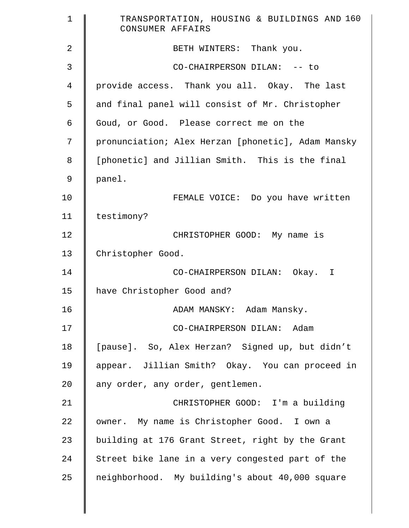| $\mathbf 1$    | TRANSPORTATION, HOUSING & BUILDINGS AND 160<br>CONSUMER AFFAIRS |
|----------------|-----------------------------------------------------------------|
| $\overline{2}$ | BETH WINTERS: Thank you.                                        |
| 3              | CO-CHAIRPERSON DILAN: -- to                                     |
| 4              | provide access. Thank you all. Okay. The last                   |
| 5              | and final panel will consist of Mr. Christopher                 |
| 6              | Goud, or Good. Please correct me on the                         |
| 7              | pronunciation; Alex Herzan [phonetic], Adam Mansky              |
| 8              | [phonetic] and Jillian Smith. This is the final                 |
| 9              | panel.                                                          |
| 10             | FEMALE VOICE: Do you have written                               |
| 11             | testimony?                                                      |
| 12             | CHRISTOPHER GOOD: My name is                                    |
| 13             | Christopher Good.                                               |
| 14             | CO-CHAIRPERSON DILAN: Okay. I                                   |
| 15             | have Christopher Good and?                                      |
| 16             | ADAM MANSKY: Adam Mansky.                                       |
| 17             | CO-CHAIRPERSON DILAN: Adam                                      |
| 18             | [pause]. So, Alex Herzan? Signed up, but didn't                 |
| 19             | appear. Jillian Smith? Okay. You can proceed in                 |
| 20             | any order, any order, gentlemen.                                |
| 21             | CHRISTOPHER GOOD: I'm a building                                |
| 22             | owner. My name is Christopher Good. I own a                     |
| 23             | building at 176 Grant Street, right by the Grant                |
| 24             | Street bike lane in a very congested part of the                |
| 25             | neighborhood. My building's about 40,000 square                 |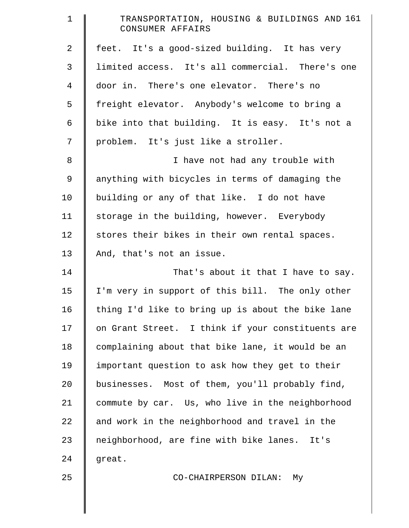| $\mathbf 1$    | TRANSPORTATION, HOUSING & BUILDINGS AND 161<br>CONSUMER AFFAIRS |
|----------------|-----------------------------------------------------------------|
| $\overline{2}$ | feet. It's a good-sized building. It has very                   |
| 3              | limited access. It's all commercial. There's one                |
| $\overline{4}$ | door in. There's one elevator. There's no                       |
| 5              | freight elevator. Anybody's welcome to bring a                  |
| 6              | bike into that building. It is easy. It's not a                 |
| 7              | problem. It's just like a stroller.                             |
| 8              | I have not had any trouble with                                 |
| 9              | anything with bicycles in terms of damaging the                 |
| 10             | building or any of that like. I do not have                     |
| 11             | storage in the building, however. Everybody                     |
| 12             | stores their bikes in their own rental spaces.                  |
| 13             | And, that's not an issue.                                       |
| 14             | That's about it that I have to say.                             |
| 15             | I'm very in support of this bill. The only other                |
| 16             | thing I'd like to bring up is about the bike lane               |
| 17             | on Grant Street. I think if your constituents are               |
| 18             | complaining about that bike lane, it would be an                |
| 19             | important question to ask how they get to their                 |
| 20             | businesses. Most of them, you'll probably find,                 |
| 21             | commute by car. Us, who live in the neighborhood                |
| 22             | and work in the neighborhood and travel in the                  |
| 23             | neighborhood, are fine with bike lanes. It's                    |
| 24             | great.                                                          |
| 25             | CO-CHAIRPERSON DILAN:<br>Мy                                     |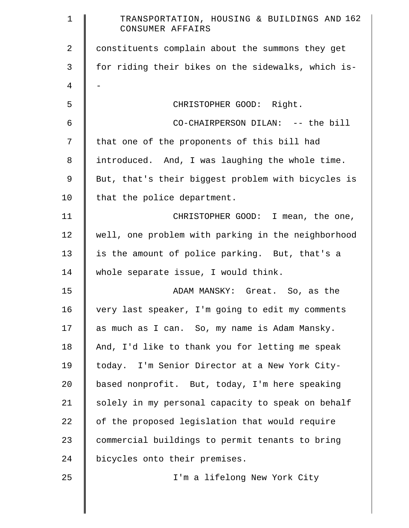| $\mathbf 1$    | TRANSPORTATION, HOUSING & BUILDINGS AND 162<br>CONSUMER AFFAIRS |
|----------------|-----------------------------------------------------------------|
| $\overline{a}$ | constituents complain about the summons they get                |
| 3              | for riding their bikes on the sidewalks, which is-              |
| 4              |                                                                 |
| 5              | CHRISTOPHER GOOD: Right.                                        |
| 6              | CO-CHAIRPERSON DILAN: -- the bill                               |
| 7              | that one of the proponents of this bill had                     |
| 8              | introduced. And, I was laughing the whole time.                 |
| 9              | But, that's their biggest problem with bicycles is              |
| 10             | that the police department.                                     |
| 11             | CHRISTOPHER GOOD: I mean, the one,                              |
| 12             | well, one problem with parking in the neighborhood              |
| 13             | is the amount of police parking. But, that's a                  |
| 14             | whole separate issue, I would think.                            |
| 15             | ADAM MANSKY: Great. So, as the                                  |
| 16             | very last speaker, I'm going to edit my comments                |
| 17             | as much as I can. So, my name is Adam Mansky.                   |
| 18             | And, I'd like to thank you for letting me speak                 |
| 19             | today. I'm Senior Director at a New York City-                  |
| 20             | based nonprofit. But, today, I'm here speaking                  |
| 21             | solely in my personal capacity to speak on behalf               |
| 22             | of the proposed legislation that would require                  |
| 23             | commercial buildings to permit tenants to bring                 |
| 24             | bicycles onto their premises.                                   |
| 25             | I'm a lifelong New York City                                    |
|                |                                                                 |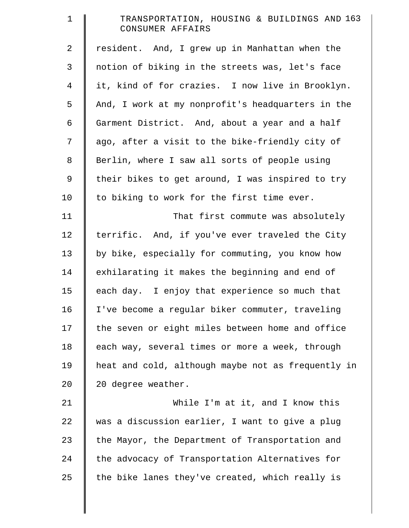| $\mathbf 1$    | TRANSPORTATION, HOUSING & BUILDINGS AND 163<br>CONSUMER AFFAIRS |
|----------------|-----------------------------------------------------------------|
| $\overline{2}$ | resident. And, I grew up in Manhattan when the                  |
| 3              | notion of biking in the streets was, let's face                 |
| $\overline{4}$ | it, kind of for crazies. I now live in Brooklyn.                |
| 5              | And, I work at my nonprofit's headquarters in the               |
| 6              | Garment District. And, about a year and a half                  |
| 7              | ago, after a visit to the bike-friendly city of                 |
| $8\,$          | Berlin, where I saw all sorts of people using                   |
| $\mathsf 9$    | their bikes to get around, I was inspired to try                |
| 10             | to biking to work for the first time ever.                      |
| 11             | That first commute was absolutely                               |
| 12             | terrific. And, if you've ever traveled the City                 |
| 13             | by bike, especially for commuting, you know how                 |
| 14             | exhilarating it makes the beginning and end of                  |
| 15             | each day. I enjoy that experience so much that                  |
| 16             | I've become a regular biker commuter, traveling                 |
| 17             | the seven or eight miles between home and office                |
| 18             | each way, several times or more a week, through                 |
| 19             | heat and cold, although maybe not as frequently in              |
| 20             | 20 degree weather.                                              |
| 21             | While I'm at it, and I know this                                |
| 22             | was a discussion earlier, I want to give a plug                 |
| 23             | the Mayor, the Department of Transportation and                 |
| 24             | the advocacy of Transportation Alternatives for                 |
| 25             | the bike lanes they've created, which really is                 |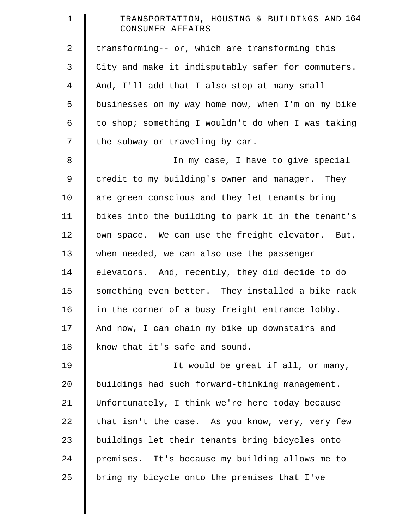| $\mathbf 1$    | TRANSPORTATION, HOUSING & BUILDINGS AND 164<br>CONSUMER AFFAIRS |
|----------------|-----------------------------------------------------------------|
| $\overline{2}$ | transforming-- or, which are transforming this                  |
| 3              | City and make it indisputably safer for commuters.              |
| $\overline{4}$ | And, I'll add that I also stop at many small                    |
| 5              | businesses on my way home now, when I'm on my bike              |
| 6              | to shop; something I wouldn't do when I was taking              |
| 7              | the subway or traveling by car.                                 |
| $\,8\,$        | In my case, I have to give special                              |
| 9              | credit to my building's owner and manager. They                 |
| 10             | are green conscious and they let tenants bring                  |
| 11             | bikes into the building to park it in the tenant's              |
| 12             | own space. We can use the freight elevator. But,                |
| 13             | when needed, we can also use the passenger                      |
| 14             | elevators. And, recently, they did decide to do                 |
| 15             | something even better. They installed a bike rack               |
| 16             | in the corner of a busy freight entrance lobby.                 |
| 17             | And now, I can chain my bike up downstairs and                  |
| 18             | know that it's safe and sound.                                  |
| 19             | It would be great if all, or many,                              |
| 20             | buildings had such forward-thinking management.                 |
| 21             | Unfortunately, I think we're here today because                 |
| 22             | that isn't the case. As you know, very, very few                |
| 23             | buildings let their tenants bring bicycles onto                 |
| 24             | premises. It's because my building allows me to                 |
| 25             | bring my bicycle onto the premises that I've                    |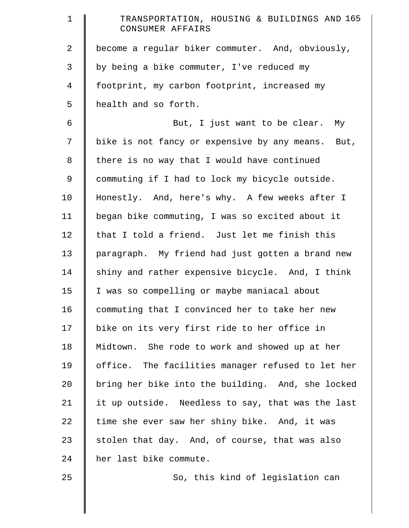| $\mathbf 1$    | TRANSPORTATION, HOUSING & BUILDINGS AND 165<br>CONSUMER AFFAIRS |
|----------------|-----------------------------------------------------------------|
| 2              | become a regular biker commuter. And, obviously,                |
| 3              | by being a bike commuter, I've reduced my                       |
| $\overline{4}$ | footprint, my carbon footprint, increased my                    |
| 5              | health and so forth.                                            |
| 6              | But, I just want to be clear. My                                |
| 7              | bike is not fancy or expensive by any means. But,               |
| 8              | there is no way that I would have continued                     |
| 9              | commuting if I had to lock my bicycle outside.                  |
| 10             | Honestly. And, here's why. A few weeks after I                  |
| 11             | began bike commuting, I was so excited about it                 |
| 12             | that I told a friend. Just let me finish this                   |
| 13             | paragraph. My friend had just gotten a brand new                |
| 14             | shiny and rather expensive bicycle. And, I think                |
| 15             | I was so compelling or maybe maniacal about                     |
| 16             | commuting that I convinced her to take her new                  |
| 17             | bike on its very first ride to her office in                    |
| 18             | Midtown. She rode to work and showed up at her                  |
| 19             | office. The facilities manager refused to let her               |
| 20             | bring her bike into the building. And, she locked               |
| 21             | it up outside. Needless to say, that was the last               |
| 22             | time she ever saw her shiny bike. And, it was                   |
| 23             | stolen that day. And, of course, that was also                  |
| 24             | her last bike commute.                                          |
| 25             | So, this kind of legislation can                                |
|                |                                                                 |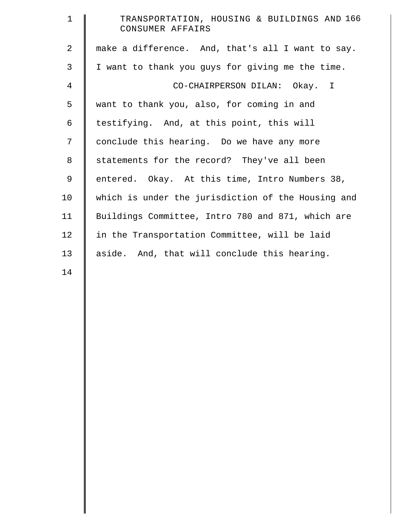| $\mathbf{1}$   | TRANSPORTATION, HOUSING & BUILDINGS AND 166<br>CONSUMER AFFAIRS |
|----------------|-----------------------------------------------------------------|
| $\overline{2}$ | make a difference. And, that's all I want to say.               |
| 3              | I want to thank you guys for giving me the time.                |
| 4              | CO-CHAIRPERSON DILAN: Okay. I                                   |
| 5              | want to thank you, also, for coming in and                      |
| 6              | testifying. And, at this point, this will                       |
| 7              | conclude this hearing. Do we have any more                      |
| 8              | statements for the record? They've all been                     |
| $\mathsf 9$    | entered. Okay. At this time, Intro Numbers 38,                  |
| 10             | which is under the jurisdiction of the Housing and              |
| 11             | Buildings Committee, Intro 780 and 871, which are               |
| 12             | in the Transportation Committee, will be laid                   |
| 13             | aside. And, that will conclude this hearing.                    |
|                |                                                                 |

14